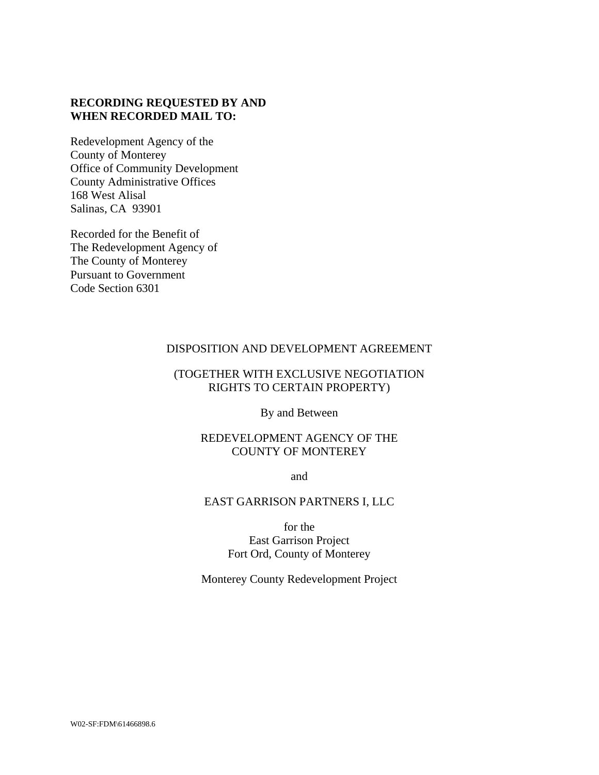### **RECORDING REQUESTED BY AND WHEN RECORDED MAIL TO:**

Redevelopment Agency of the County of Monterey Office of Community Development County Administrative Offices 168 West Alisal Salinas, CA 93901

Recorded for the Benefit of The Redevelopment Agency of The County of Monterey Pursuant to Government Code Section 6301

### DISPOSITION AND DEVELOPMENT AGREEMENT

### (TOGETHER WITH EXCLUSIVE NEGOTIATION RIGHTS TO CERTAIN PROPERTY)

By and Between

#### REDEVELOPMENT AGENCY OF THE COUNTY OF MONTEREY

and

### EAST GARRISON PARTNERS I, LLC

for the East Garrison Project Fort Ord, County of Monterey

Monterey County Redevelopment Project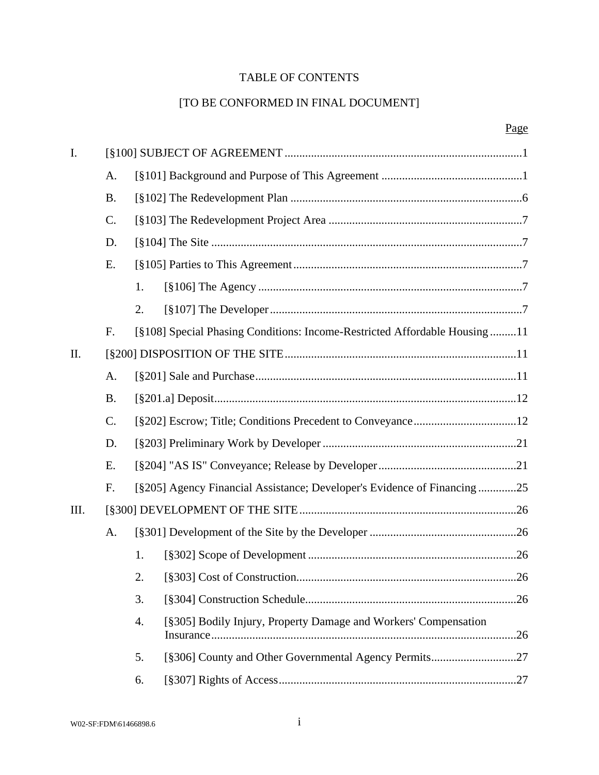# TABLE OF CONTENTS

# [TO BE CONFORMED IN FINAL DOCUMENT]

| I.   |                |    |                                                                           |     |
|------|----------------|----|---------------------------------------------------------------------------|-----|
|      | A.             |    |                                                                           |     |
|      | <b>B.</b>      |    |                                                                           |     |
|      | $\mathbf{C}$ . |    |                                                                           |     |
| D.   |                |    |                                                                           |     |
|      | Ε.             |    |                                                                           |     |
|      |                | 1. |                                                                           |     |
|      |                | 2. |                                                                           |     |
|      | F.             |    | [§108] Special Phasing Conditions: Income-Restricted Affordable Housing11 |     |
| II.  |                |    |                                                                           |     |
|      | A.             |    |                                                                           |     |
|      | <b>B.</b>      |    |                                                                           |     |
|      | C.             |    |                                                                           |     |
|      | D.             |    |                                                                           |     |
|      | Ε.             |    |                                                                           |     |
|      | F.             |    | [§205] Agency Financial Assistance; Developer's Evidence of Financing25   |     |
| III. |                |    |                                                                           |     |
|      | A.             |    |                                                                           |     |
|      |                | 1. |                                                                           |     |
|      |                | 2. | [§303] Cost of Construction                                               | .26 |
|      |                | 3. |                                                                           |     |
|      |                | 4. | [§305] Bodily Injury, Property Damage and Workers' Compensation           |     |
|      |                | 5. | [§306] County and Other Governmental Agency Permits27                     |     |
|      |                | 6. |                                                                           |     |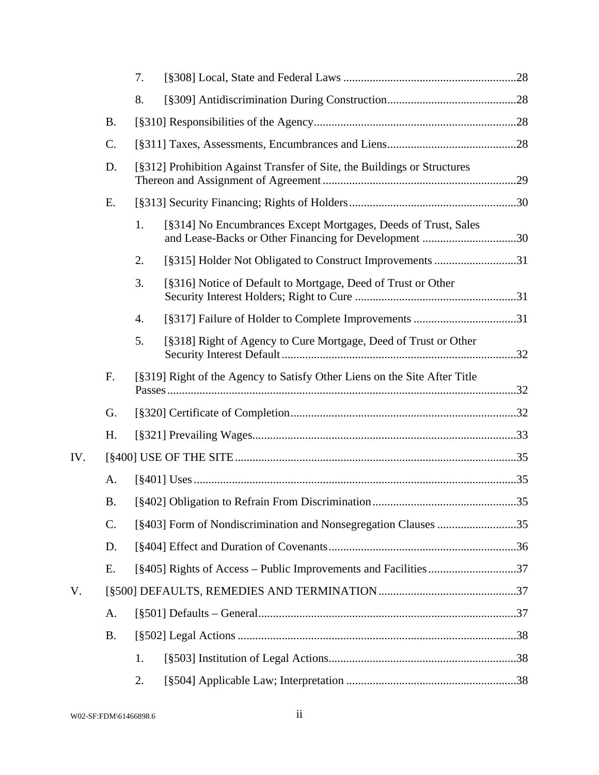|     |           | 7.                                                                                                                            |  |
|-----|-----------|-------------------------------------------------------------------------------------------------------------------------------|--|
|     |           | 8.                                                                                                                            |  |
|     | <b>B.</b> |                                                                                                                               |  |
|     | C.        |                                                                                                                               |  |
|     | D.        | [§312] Prohibition Against Transfer of Site, the Buildings or Structures                                                      |  |
|     | Ε.        |                                                                                                                               |  |
|     |           | [§314] No Encumbrances Except Mortgages, Deeds of Trust, Sales<br>1.<br>and Lease-Backs or Other Financing for Development 30 |  |
|     |           | [§315] Holder Not Obligated to Construct Improvements 31<br>2.                                                                |  |
|     |           | 3.<br>[§316] Notice of Default to Mortgage, Deed of Trust or Other                                                            |  |
|     |           | [§317] Failure of Holder to Complete Improvements 31<br>4.                                                                    |  |
|     |           | 5.<br>[§318] Right of Agency to Cure Mortgage, Deed of Trust or Other                                                         |  |
|     | F.        | [§319] Right of the Agency to Satisfy Other Liens on the Site After Title                                                     |  |
|     | G.        |                                                                                                                               |  |
|     | H.        |                                                                                                                               |  |
| IV. |           |                                                                                                                               |  |
|     | A.        |                                                                                                                               |  |
|     | <b>B.</b> |                                                                                                                               |  |
|     | C.        |                                                                                                                               |  |
|     | D.        |                                                                                                                               |  |
|     | Ε.        |                                                                                                                               |  |
| V.  |           |                                                                                                                               |  |
|     | A.        |                                                                                                                               |  |
|     | <b>B.</b> |                                                                                                                               |  |
|     |           | 1.                                                                                                                            |  |
|     |           | 2.                                                                                                                            |  |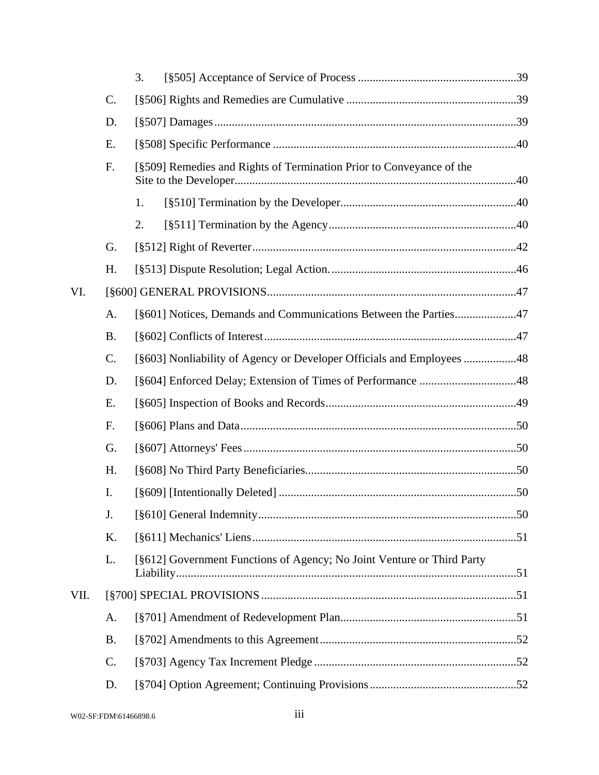|      |           | 3.                                                                     |  |  |
|------|-----------|------------------------------------------------------------------------|--|--|
|      | C.        |                                                                        |  |  |
|      | D.        |                                                                        |  |  |
|      | E.        |                                                                        |  |  |
|      | F.        | [§509] Remedies and Rights of Termination Prior to Conveyance of the   |  |  |
|      |           | 1.                                                                     |  |  |
|      |           | 2.                                                                     |  |  |
|      | G.        |                                                                        |  |  |
|      | H.        |                                                                        |  |  |
| VI.  |           |                                                                        |  |  |
|      | A.        | [§601] Notices, Demands and Communications Between the Parties47       |  |  |
|      | <b>B.</b> |                                                                        |  |  |
|      | $C$ .     | [§603] Nonliability of Agency or Developer Officials and Employees 48  |  |  |
|      | D.        |                                                                        |  |  |
|      | Ε.        |                                                                        |  |  |
|      | F.        |                                                                        |  |  |
|      | G.        |                                                                        |  |  |
|      | H.        |                                                                        |  |  |
|      | I.        |                                                                        |  |  |
|      | J.        |                                                                        |  |  |
|      | K.        |                                                                        |  |  |
|      | L.        | [§612] Government Functions of Agency; No Joint Venture or Third Party |  |  |
| VII. |           |                                                                        |  |  |
|      | А.        |                                                                        |  |  |
|      | <b>B.</b> |                                                                        |  |  |
|      | C.        |                                                                        |  |  |
|      | D.        |                                                                        |  |  |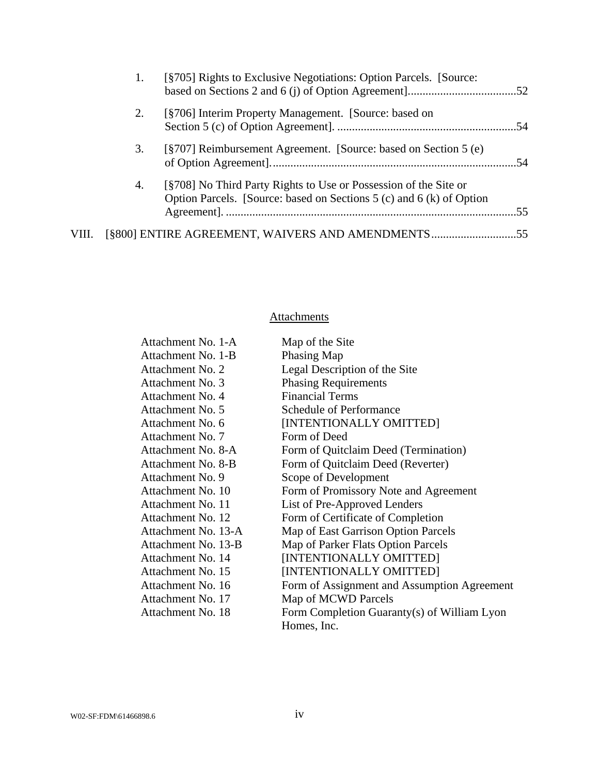|       | 1. | [§705] Rights to Exclusive Negotiations: Option Parcels. [Source:                                                                        |      |
|-------|----|------------------------------------------------------------------------------------------------------------------------------------------|------|
|       | 2. | [§706] Interim Property Management. [Source: based on                                                                                    |      |
|       | 3. | [§707] Reimbursement Agreement. [Source: based on Section 5 (e)                                                                          |      |
|       | 4. | [§708] No Third Party Rights to Use or Possession of the Site or<br>Option Parcels. [Source: based on Sections 5 (c) and 6 (k) of Option | .55. |
| VIII. |    | [§800] ENTIRE AGREEMENT, WAIVERS AND AMENDMENTS55                                                                                        |      |

# **Attachments**

| Attachment No. 1-A  | Map of the Site                             |
|---------------------|---------------------------------------------|
| Attachment No. 1-B  | Phasing Map                                 |
| Attachment No. 2    | Legal Description of the Site               |
| Attachment No. 3    | <b>Phasing Requirements</b>                 |
| Attachment No. 4    | <b>Financial Terms</b>                      |
| Attachment No. 5    | <b>Schedule of Performance</b>              |
| Attachment No. 6    | [INTENTIONALLY OMITTED]                     |
| Attachment No. 7    | Form of Deed                                |
| Attachment No. 8-A  | Form of Quitclaim Deed (Termination)        |
| Attachment No. 8-B  | Form of Quitclaim Deed (Reverter)           |
| Attachment No. 9    | Scope of Development                        |
| Attachment No. 10   | Form of Promissory Note and Agreement       |
| Attachment No. 11   | List of Pre-Approved Lenders                |
| Attachment No. 12   | Form of Certificate of Completion           |
| Attachment No. 13-A | Map of East Garrison Option Parcels         |
| Attachment No. 13-B | Map of Parker Flats Option Parcels          |
| Attachment No. 14   | [INTENTIONALLY OMITTED]                     |
| Attachment No. 15   | [INTENTIONALLY OMITTED]                     |
| Attachment No. 16   | Form of Assignment and Assumption Agreement |
| Attachment No. 17   | Map of MCWD Parcels                         |
| Attachment No. 18   | Form Completion Guaranty(s) of William Lyon |
|                     | Homes, Inc.                                 |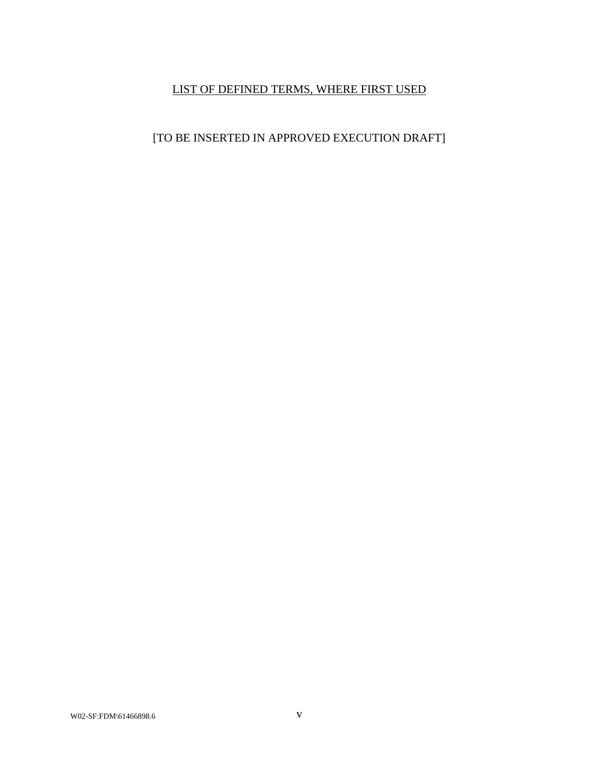# LIST OF DEFINED TERMS, WHERE FIRST USED

# [TO BE INSERTED IN APPROVED EXECUTION DRAFT]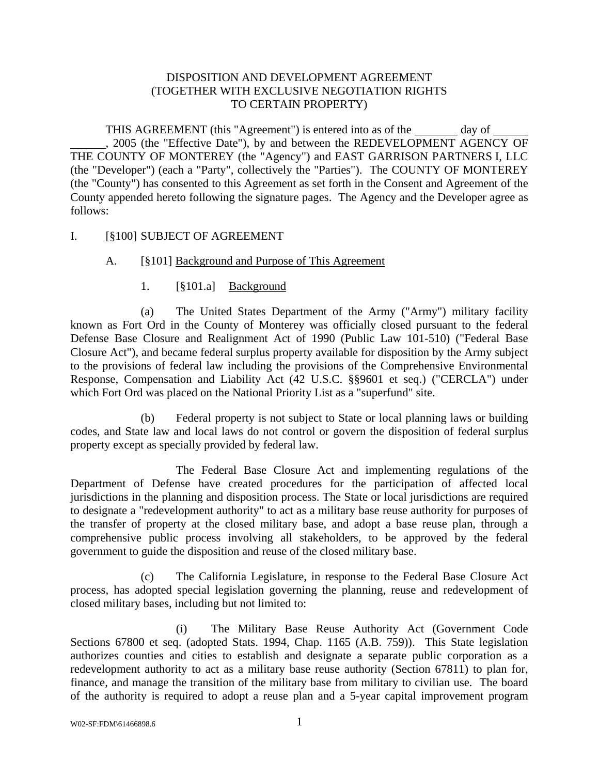### DISPOSITION AND DEVELOPMENT AGREEMENT (TOGETHER WITH EXCLUSIVE NEGOTIATION RIGHTS TO CERTAIN PROPERTY)

THIS AGREEMENT (this "Agreement") is entered into as of the day of , 2005 (the "Effective Date"), by and between the REDEVELOPMENT AGENCY OF THE COUNTY OF MONTEREY (the "Agency") and EAST GARRISON PARTNERS I, LLC (the "Developer") (each a "Party", collectively the "Parties"). The COUNTY OF MONTEREY (the "County") has consented to this Agreement as set forth in the Consent and Agreement of the County appended hereto following the signature pages. The Agency and the Developer agree as follows:

#### I. [§100] SUBJECT OF AGREEMENT

#### A. [§101] Background and Purpose of This Agreement

#### 1. [§101.a] Background

(a) The United States Department of the Army ("Army") military facility known as Fort Ord in the County of Monterey was officially closed pursuant to the federal Defense Base Closure and Realignment Act of 1990 (Public Law 101-510) ("Federal Base Closure Act"), and became federal surplus property available for disposition by the Army subject to the provisions of federal law including the provisions of the Comprehensive Environmental Response, Compensation and Liability Act (42 U.S.C. §§9601 et seq.) ("CERCLA") under which Fort Ord was placed on the National Priority List as a "superfund" site.

(b) Federal property is not subject to State or local planning laws or building codes, and State law and local laws do not control or govern the disposition of federal surplus property except as specially provided by federal law.

 The Federal Base Closure Act and implementing regulations of the Department of Defense have created procedures for the participation of affected local jurisdictions in the planning and disposition process. The State or local jurisdictions are required to designate a "redevelopment authority" to act as a military base reuse authority for purposes of the transfer of property at the closed military base, and adopt a base reuse plan, through a comprehensive public process involving all stakeholders, to be approved by the federal government to guide the disposition and reuse of the closed military base.

(c) The California Legislature, in response to the Federal Base Closure Act process, has adopted special legislation governing the planning, reuse and redevelopment of closed military bases, including but not limited to:

 (i) The Military Base Reuse Authority Act (Government Code Sections 67800 et seq. (adopted Stats. 1994, Chap. 1165 (A.B. 759)). This State legislation authorizes counties and cities to establish and designate a separate public corporation as a redevelopment authority to act as a military base reuse authority (Section 67811) to plan for, finance, and manage the transition of the military base from military to civilian use. The board of the authority is required to adopt a reuse plan and a 5-year capital improvement program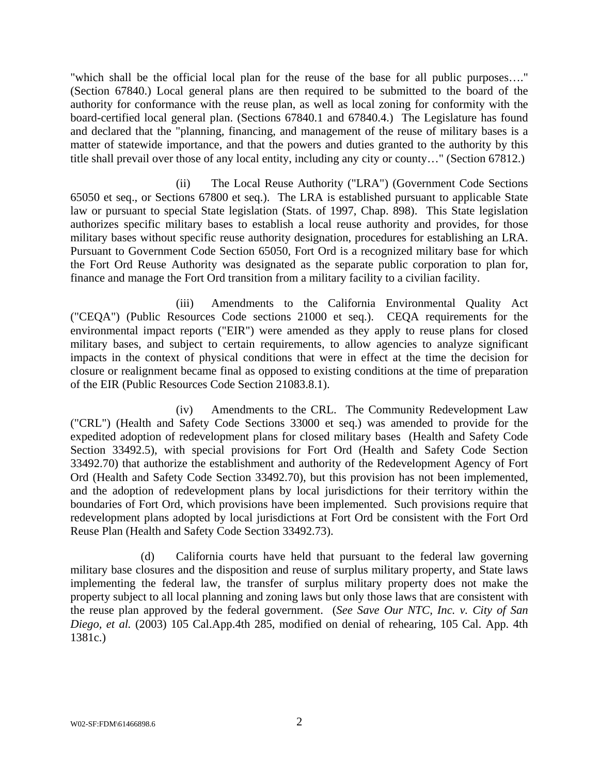"which shall be the official local plan for the reuse of the base for all public purposes…." (Section 67840.) Local general plans are then required to be submitted to the board of the authority for conformance with the reuse plan, as well as local zoning for conformity with the board-certified local general plan. (Sections 67840.1 and 67840.4.) The Legislature has found and declared that the "planning, financing, and management of the reuse of military bases is a matter of statewide importance, and that the powers and duties granted to the authority by this title shall prevail over those of any local entity, including any city or county…" (Section 67812.)

 (ii) The Local Reuse Authority ("LRA") (Government Code Sections 65050 et seq., or Sections 67800 et seq.). The LRA is established pursuant to applicable State law or pursuant to special State legislation (Stats. of 1997, Chap. 898). This State legislation authorizes specific military bases to establish a local reuse authority and provides, for those military bases without specific reuse authority designation, procedures for establishing an LRA. Pursuant to Government Code Section 65050, Fort Ord is a recognized military base for which the Fort Ord Reuse Authority was designated as the separate public corporation to plan for, finance and manage the Fort Ord transition from a military facility to a civilian facility.

 (iii) Amendments to the California Environmental Quality Act ("CEQA") (Public Resources Code sections 21000 et seq.). CEQA requirements for the environmental impact reports ("EIR") were amended as they apply to reuse plans for closed military bases, and subject to certain requirements, to allow agencies to analyze significant impacts in the context of physical conditions that were in effect at the time the decision for closure or realignment became final as opposed to existing conditions at the time of preparation of the EIR (Public Resources Code Section 21083.8.1).

 (iv) Amendments to the CRL. The Community Redevelopment Law ("CRL") (Health and Safety Code Sections 33000 et seq.) was amended to provide for the expedited adoption of redevelopment plans for closed military bases (Health and Safety Code Section 33492.5), with special provisions for Fort Ord (Health and Safety Code Section 33492.70) that authorize the establishment and authority of the Redevelopment Agency of Fort Ord (Health and Safety Code Section 33492.70), but this provision has not been implemented, and the adoption of redevelopment plans by local jurisdictions for their territory within the boundaries of Fort Ord, which provisions have been implemented. Such provisions require that redevelopment plans adopted by local jurisdictions at Fort Ord be consistent with the Fort Ord Reuse Plan (Health and Safety Code Section 33492.73).

(d) California courts have held that pursuant to the federal law governing military base closures and the disposition and reuse of surplus military property, and State laws implementing the federal law, the transfer of surplus military property does not make the property subject to all local planning and zoning laws but only those laws that are consistent with the reuse plan approved by the federal government. (*See Save Our NTC, Inc. v. City of San Diego, et al.* (2003) 105 Cal.App.4th 285, modified on denial of rehearing, 105 Cal. App. 4th 1381c.)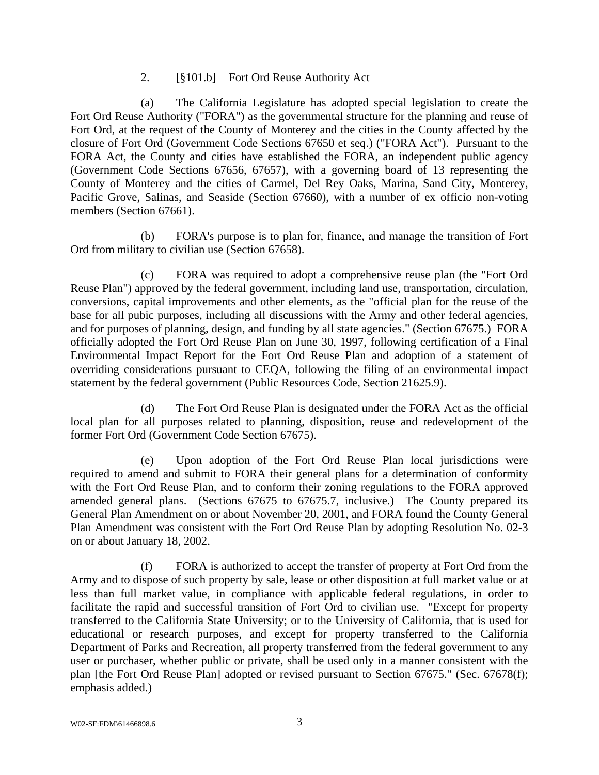#### 2. [§101.b] Fort Ord Reuse Authority Act

(a) The California Legislature has adopted special legislation to create the Fort Ord Reuse Authority ("FORA") as the governmental structure for the planning and reuse of Fort Ord, at the request of the County of Monterey and the cities in the County affected by the closure of Fort Ord (Government Code Sections 67650 et seq.) ("FORA Act"). Pursuant to the FORA Act, the County and cities have established the FORA, an independent public agency (Government Code Sections 67656, 67657), with a governing board of 13 representing the County of Monterey and the cities of Carmel, Del Rey Oaks, Marina, Sand City, Monterey, Pacific Grove, Salinas, and Seaside (Section 67660), with a number of ex officio non-voting members (Section 67661).

(b) FORA's purpose is to plan for, finance, and manage the transition of Fort Ord from military to civilian use (Section 67658).

(c) FORA was required to adopt a comprehensive reuse plan (the "Fort Ord Reuse Plan") approved by the federal government, including land use, transportation, circulation, conversions, capital improvements and other elements, as the "official plan for the reuse of the base for all pubic purposes, including all discussions with the Army and other federal agencies, and for purposes of planning, design, and funding by all state agencies." (Section 67675.) FORA officially adopted the Fort Ord Reuse Plan on June 30, 1997, following certification of a Final Environmental Impact Report for the Fort Ord Reuse Plan and adoption of a statement of overriding considerations pursuant to CEQA, following the filing of an environmental impact statement by the federal government (Public Resources Code, Section 21625.9).

(d) The Fort Ord Reuse Plan is designated under the FORA Act as the official local plan for all purposes related to planning, disposition, reuse and redevelopment of the former Fort Ord (Government Code Section 67675).

(e) Upon adoption of the Fort Ord Reuse Plan local jurisdictions were required to amend and submit to FORA their general plans for a determination of conformity with the Fort Ord Reuse Plan, and to conform their zoning regulations to the FORA approved amended general plans. (Sections 67675 to 67675.7, inclusive.) The County prepared its General Plan Amendment on or about November 20, 2001, and FORA found the County General Plan Amendment was consistent with the Fort Ord Reuse Plan by adopting Resolution No. 02-3 on or about January 18, 2002.

(f) FORA is authorized to accept the transfer of property at Fort Ord from the Army and to dispose of such property by sale, lease or other disposition at full market value or at less than full market value, in compliance with applicable federal regulations, in order to facilitate the rapid and successful transition of Fort Ord to civilian use. "Except for property transferred to the California State University; or to the University of California, that is used for educational or research purposes, and except for property transferred to the California Department of Parks and Recreation, all property transferred from the federal government to any user or purchaser, whether public or private, shall be used only in a manner consistent with the plan [the Fort Ord Reuse Plan] adopted or revised pursuant to Section 67675." (Sec. 67678(f); emphasis added.)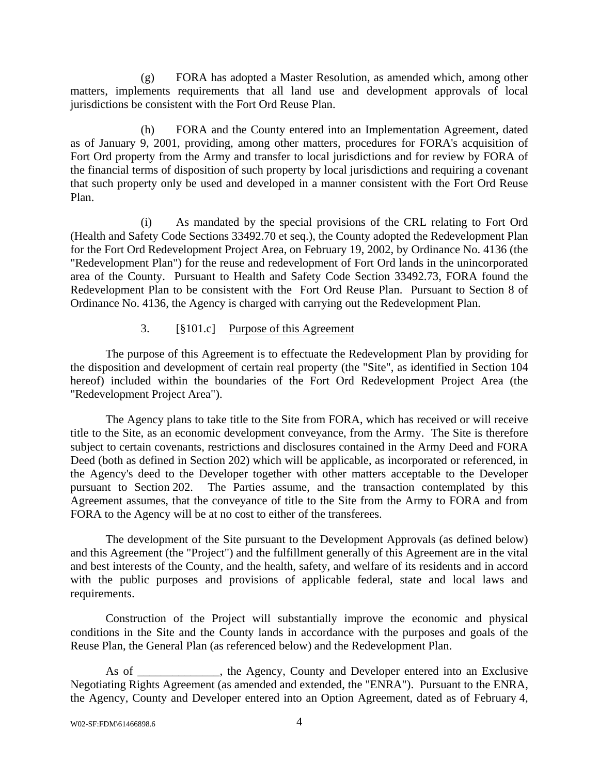(g) FORA has adopted a Master Resolution, as amended which, among other matters, implements requirements that all land use and development approvals of local jurisdictions be consistent with the Fort Ord Reuse Plan.

(h) FORA and the County entered into an Implementation Agreement, dated as of January 9, 2001, providing, among other matters, procedures for FORA's acquisition of Fort Ord property from the Army and transfer to local jurisdictions and for review by FORA of the financial terms of disposition of such property by local jurisdictions and requiring a covenant that such property only be used and developed in a manner consistent with the Fort Ord Reuse Plan.

(i) As mandated by the special provisions of the CRL relating to Fort Ord (Health and Safety Code Sections 33492.70 et seq.), the County adopted the Redevelopment Plan for the Fort Ord Redevelopment Project Area, on February 19, 2002, by Ordinance No. 4136 (the "Redevelopment Plan") for the reuse and redevelopment of Fort Ord lands in the unincorporated area of the County. Pursuant to Health and Safety Code Section 33492.73, FORA found the Redevelopment Plan to be consistent with the Fort Ord Reuse Plan. Pursuant to Section 8 of Ordinance No. 4136, the Agency is charged with carrying out the Redevelopment Plan.

### 3. [§101.c] Purpose of this Agreement

The purpose of this Agreement is to effectuate the Redevelopment Plan by providing for the disposition and development of certain real property (the "Site", as identified in Section 104 hereof) included within the boundaries of the Fort Ord Redevelopment Project Area (the "Redevelopment Project Area").

The Agency plans to take title to the Site from FORA, which has received or will receive title to the Site, as an economic development conveyance, from the Army. The Site is therefore subject to certain covenants, restrictions and disclosures contained in the Army Deed and FORA Deed (both as defined in Section 202) which will be applicable, as incorporated or referenced, in the Agency's deed to the Developer together with other matters acceptable to the Developer pursuant to Section 202. The Parties assume, and the transaction contemplated by this Agreement assumes, that the conveyance of title to the Site from the Army to FORA and from FORA to the Agency will be at no cost to either of the transferees.

The development of the Site pursuant to the Development Approvals (as defined below) and this Agreement (the "Project") and the fulfillment generally of this Agreement are in the vital and best interests of the County, and the health, safety, and welfare of its residents and in accord with the public purposes and provisions of applicable federal, state and local laws and requirements.

Construction of the Project will substantially improve the economic and physical conditions in the Site and the County lands in accordance with the purposes and goals of the Reuse Plan, the General Plan (as referenced below) and the Redevelopment Plan.

As of \_\_\_\_\_\_\_\_\_\_\_, the Agency, County and Developer entered into an Exclusive Negotiating Rights Agreement (as amended and extended, the "ENRA"). Pursuant to the ENRA, the Agency, County and Developer entered into an Option Agreement, dated as of February 4,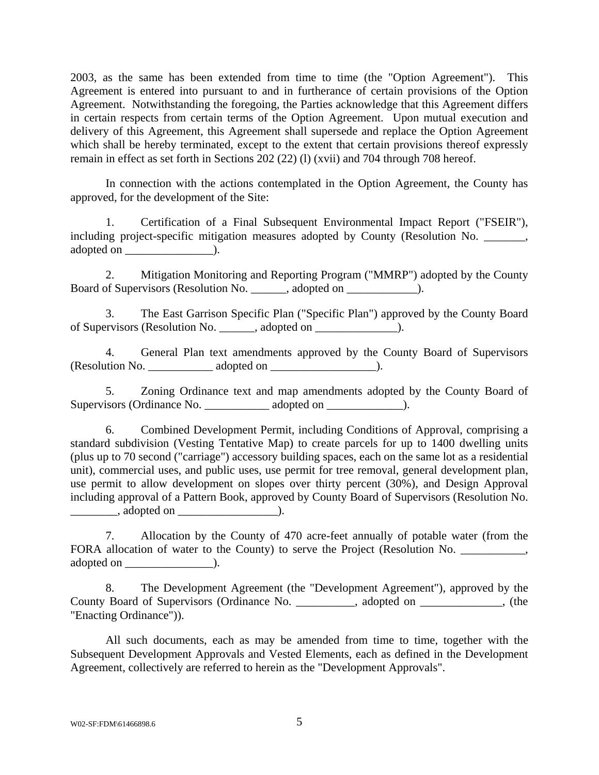2003, as the same has been extended from time to time (the "Option Agreement"). This Agreement is entered into pursuant to and in furtherance of certain provisions of the Option Agreement. Notwithstanding the foregoing, the Parties acknowledge that this Agreement differs in certain respects from certain terms of the Option Agreement. Upon mutual execution and delivery of this Agreement, this Agreement shall supersede and replace the Option Agreement which shall be hereby terminated, except to the extent that certain provisions thereof expressly remain in effect as set forth in Sections 202 (22) (l) (xvii) and 704 through 708 hereof.

In connection with the actions contemplated in the Option Agreement, the County has approved, for the development of the Site:

1. Certification of a Final Subsequent Environmental Impact Report ("FSEIR"), including project-specific mitigation measures adopted by County (Resolution No. \_\_\_\_\_\_\_, adopted on \_\_\_\_\_\_\_\_\_\_\_\_\_\_\_).

2. Mitigation Monitoring and Reporting Program ("MMRP") adopted by the County Board of Supervisors (Resolution No.  $\qquad \qquad$ , adopted on  $\qquad \qquad$ ).

3. The East Garrison Specific Plan ("Specific Plan") approved by the County Board of Supervisors (Resolution No. \_\_\_\_\_\_, adopted on \_\_\_\_\_\_\_\_\_\_\_\_\_\_).

4. General Plan text amendments approved by the County Board of Supervisors (Resolution No. \_\_\_\_\_\_\_\_\_\_\_ adopted on \_\_\_\_\_\_\_\_\_\_\_\_\_\_\_\_\_\_).

5. Zoning Ordinance text and map amendments adopted by the County Board of Supervisors (Ordinance No.  $\qquad \qquad \text{adopted on}$ ).

6. Combined Development Permit, including Conditions of Approval, comprising a standard subdivision (Vesting Tentative Map) to create parcels for up to 1400 dwelling units (plus up to 70 second ("carriage") accessory building spaces, each on the same lot as a residential unit), commercial uses, and public uses, use permit for tree removal, general development plan, use permit to allow development on slopes over thirty percent (30%), and Design Approval including approval of a Pattern Book, approved by County Board of Supervisors (Resolution No.  $\frac{1}{\sqrt{1-\frac{1}{2}}}\$ , adopted on  $\frac{1}{\sqrt{1-\frac{1}{2}}}\$ .

7. Allocation by the County of 470 acre-feet annually of potable water (from the FORA allocation of water to the County) to serve the Project (Resolution No. adopted on  $\qquad$ ).

8. The Development Agreement (the "Development Agreement"), approved by the County Board of Supervisors (Ordinance No. \_\_\_\_\_\_\_\_\_\_, adopted on \_\_\_\_\_\_\_\_\_\_\_\_\_\_, (the "Enacting Ordinance")).

All such documents, each as may be amended from time to time, together with the Subsequent Development Approvals and Vested Elements, each as defined in the Development Agreement, collectively are referred to herein as the "Development Approvals".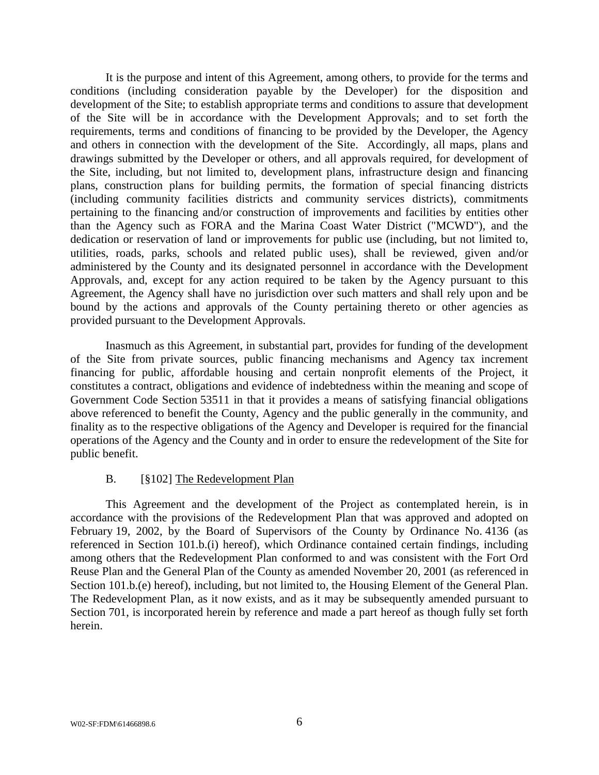It is the purpose and intent of this Agreement, among others, to provide for the terms and conditions (including consideration payable by the Developer) for the disposition and development of the Site; to establish appropriate terms and conditions to assure that development of the Site will be in accordance with the Development Approvals; and to set forth the requirements, terms and conditions of financing to be provided by the Developer, the Agency and others in connection with the development of the Site. Accordingly, all maps, plans and drawings submitted by the Developer or others, and all approvals required, for development of the Site, including, but not limited to, development plans, infrastructure design and financing plans, construction plans for building permits, the formation of special financing districts (including community facilities districts and community services districts), commitments pertaining to the financing and/or construction of improvements and facilities by entities other than the Agency such as FORA and the Marina Coast Water District ("MCWD"), and the dedication or reservation of land or improvements for public use (including, but not limited to, utilities, roads, parks, schools and related public uses), shall be reviewed, given and/or administered by the County and its designated personnel in accordance with the Development Approvals, and, except for any action required to be taken by the Agency pursuant to this Agreement, the Agency shall have no jurisdiction over such matters and shall rely upon and be bound by the actions and approvals of the County pertaining thereto or other agencies as provided pursuant to the Development Approvals.

Inasmuch as this Agreement, in substantial part, provides for funding of the development of the Site from private sources, public financing mechanisms and Agency tax increment financing for public, affordable housing and certain nonprofit elements of the Project, it constitutes a contract, obligations and evidence of indebtedness within the meaning and scope of Government Code Section 53511 in that it provides a means of satisfying financial obligations above referenced to benefit the County, Agency and the public generally in the community, and finality as to the respective obligations of the Agency and Developer is required for the financial operations of the Agency and the County and in order to ensure the redevelopment of the Site for public benefit.

#### B. [§102] The Redevelopment Plan

This Agreement and the development of the Project as contemplated herein, is in accordance with the provisions of the Redevelopment Plan that was approved and adopted on February 19, 2002, by the Board of Supervisors of the County by Ordinance No. 4136 (as referenced in Section 101.b.(i) hereof), which Ordinance contained certain findings, including among others that the Redevelopment Plan conformed to and was consistent with the Fort Ord Reuse Plan and the General Plan of the County as amended November 20, 2001 (as referenced in Section 101.b.(e) hereof), including, but not limited to, the Housing Element of the General Plan. The Redevelopment Plan, as it now exists, and as it may be subsequently amended pursuant to Section 701, is incorporated herein by reference and made a part hereof as though fully set forth herein.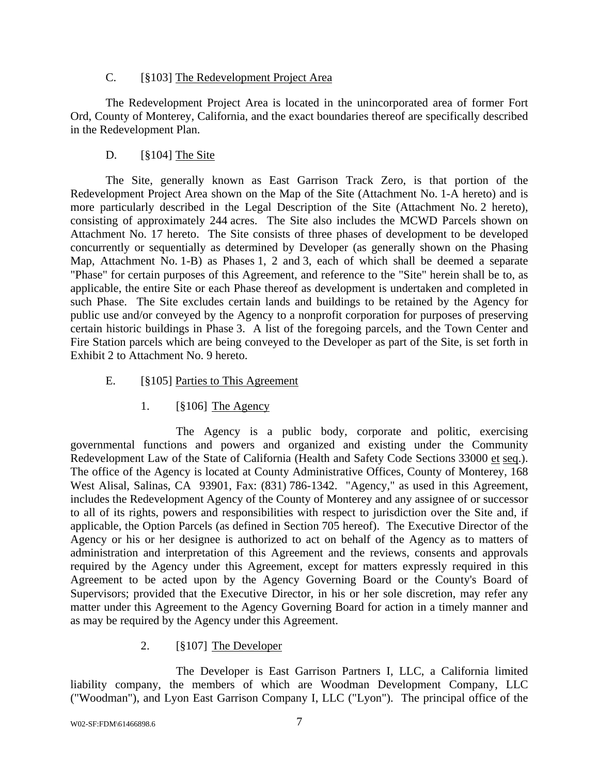### C. [§103] The Redevelopment Project Area

The Redevelopment Project Area is located in the unincorporated area of former Fort Ord, County of Monterey, California, and the exact boundaries thereof are specifically described in the Redevelopment Plan.

### D. [§104] The Site

The Site, generally known as East Garrison Track Zero, is that portion of the Redevelopment Project Area shown on the Map of the Site (Attachment No. 1-A hereto) and is more particularly described in the Legal Description of the Site (Attachment No. 2 hereto), consisting of approximately 244 acres. The Site also includes the MCWD Parcels shown on Attachment No. 17 hereto. The Site consists of three phases of development to be developed concurrently or sequentially as determined by Developer (as generally shown on the Phasing Map, Attachment No. 1-B) as Phases 1, 2 and 3, each of which shall be deemed a separate "Phase" for certain purposes of this Agreement, and reference to the "Site" herein shall be to, as applicable, the entire Site or each Phase thereof as development is undertaken and completed in such Phase. The Site excludes certain lands and buildings to be retained by the Agency for public use and/or conveyed by the Agency to a nonprofit corporation for purposes of preserving certain historic buildings in Phase 3. A list of the foregoing parcels, and the Town Center and Fire Station parcels which are being conveyed to the Developer as part of the Site, is set forth in Exhibit 2 to Attachment No. 9 hereto.

### E. [§105] Parties to This Agreement

### 1. [§106] The Agency

The Agency is a public body, corporate and politic, exercising governmental functions and powers and organized and existing under the Community Redevelopment Law of the State of California (Health and Safety Code Sections 33000 et seq.). The office of the Agency is located at County Administrative Offices, County of Monterey, 168 West Alisal, Salinas, CA 93901, Fax: (831) 786-1342. "Agency," as used in this Agreement, includes the Redevelopment Agency of the County of Monterey and any assignee of or successor to all of its rights, powers and responsibilities with respect to jurisdiction over the Site and, if applicable, the Option Parcels (as defined in Section 705 hereof). The Executive Director of the Agency or his or her designee is authorized to act on behalf of the Agency as to matters of administration and interpretation of this Agreement and the reviews, consents and approvals required by the Agency under this Agreement, except for matters expressly required in this Agreement to be acted upon by the Agency Governing Board or the County's Board of Supervisors; provided that the Executive Director, in his or her sole discretion, may refer any matter under this Agreement to the Agency Governing Board for action in a timely manner and as may be required by the Agency under this Agreement.

### 2. [§107] The Developer

The Developer is East Garrison Partners I, LLC, a California limited liability company, the members of which are Woodman Development Company, LLC ("Woodman"), and Lyon East Garrison Company I, LLC ("Lyon"). The principal office of the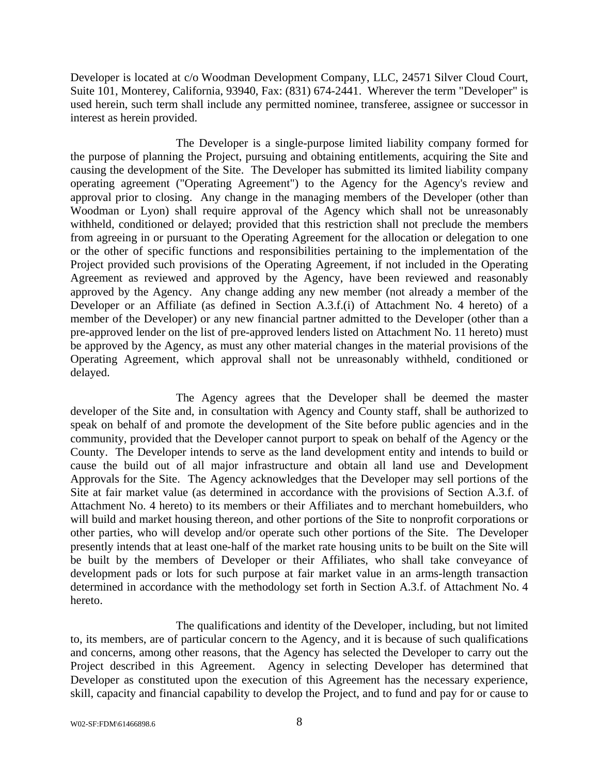Developer is located at c/o Woodman Development Company, LLC, 24571 Silver Cloud Court, Suite 101, Monterey, California, 93940, Fax: (831) 674-2441. Wherever the term "Developer" is used herein, such term shall include any permitted nominee, transferee, assignee or successor in interest as herein provided.

The Developer is a single-purpose limited liability company formed for the purpose of planning the Project, pursuing and obtaining entitlements, acquiring the Site and causing the development of the Site. The Developer has submitted its limited liability company operating agreement ("Operating Agreement") to the Agency for the Agency's review and approval prior to closing. Any change in the managing members of the Developer (other than Woodman or Lyon) shall require approval of the Agency which shall not be unreasonably withheld, conditioned or delayed; provided that this restriction shall not preclude the members from agreeing in or pursuant to the Operating Agreement for the allocation or delegation to one or the other of specific functions and responsibilities pertaining to the implementation of the Project provided such provisions of the Operating Agreement, if not included in the Operating Agreement as reviewed and approved by the Agency, have been reviewed and reasonably approved by the Agency. Any change adding any new member (not already a member of the Developer or an Affiliate (as defined in Section A.3.f.(i) of Attachment No. 4 hereto) of a member of the Developer) or any new financial partner admitted to the Developer (other than a pre-approved lender on the list of pre-approved lenders listed on Attachment No. 11 hereto) must be approved by the Agency, as must any other material changes in the material provisions of the Operating Agreement, which approval shall not be unreasonably withheld, conditioned or delayed.

The Agency agrees that the Developer shall be deemed the master developer of the Site and, in consultation with Agency and County staff, shall be authorized to speak on behalf of and promote the development of the Site before public agencies and in the community, provided that the Developer cannot purport to speak on behalf of the Agency or the County. The Developer intends to serve as the land development entity and intends to build or cause the build out of all major infrastructure and obtain all land use and Development Approvals for the Site. The Agency acknowledges that the Developer may sell portions of the Site at fair market value (as determined in accordance with the provisions of Section A.3.f. of Attachment No. 4 hereto) to its members or their Affiliates and to merchant homebuilders, who will build and market housing thereon, and other portions of the Site to nonprofit corporations or other parties, who will develop and/or operate such other portions of the Site. The Developer presently intends that at least one-half of the market rate housing units to be built on the Site will be built by the members of Developer or their Affiliates, who shall take conveyance of development pads or lots for such purpose at fair market value in an arms-length transaction determined in accordance with the methodology set forth in Section A.3.f. of Attachment No. 4 hereto.

The qualifications and identity of the Developer, including, but not limited to, its members, are of particular concern to the Agency, and it is because of such qualifications and concerns, among other reasons, that the Agency has selected the Developer to carry out the Project described in this Agreement. Agency in selecting Developer has determined that Developer as constituted upon the execution of this Agreement has the necessary experience, skill, capacity and financial capability to develop the Project, and to fund and pay for or cause to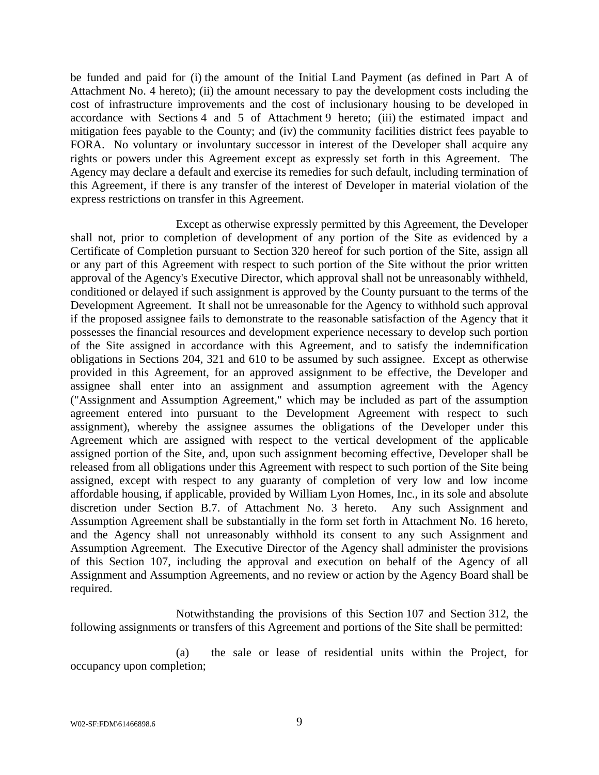be funded and paid for (i) the amount of the Initial Land Payment (as defined in Part A of Attachment No. 4 hereto); (ii) the amount necessary to pay the development costs including the cost of infrastructure improvements and the cost of inclusionary housing to be developed in accordance with Sections 4 and 5 of Attachment 9 hereto; (iii) the estimated impact and mitigation fees payable to the County; and (iv) the community facilities district fees payable to FORA. No voluntary or involuntary successor in interest of the Developer shall acquire any rights or powers under this Agreement except as expressly set forth in this Agreement. The Agency may declare a default and exercise its remedies for such default, including termination of this Agreement, if there is any transfer of the interest of Developer in material violation of the express restrictions on transfer in this Agreement.

Except as otherwise expressly permitted by this Agreement, the Developer shall not, prior to completion of development of any portion of the Site as evidenced by a Certificate of Completion pursuant to Section 320 hereof for such portion of the Site, assign all or any part of this Agreement with respect to such portion of the Site without the prior written approval of the Agency's Executive Director, which approval shall not be unreasonably withheld, conditioned or delayed if such assignment is approved by the County pursuant to the terms of the Development Agreement. It shall not be unreasonable for the Agency to withhold such approval if the proposed assignee fails to demonstrate to the reasonable satisfaction of the Agency that it possesses the financial resources and development experience necessary to develop such portion of the Site assigned in accordance with this Agreement, and to satisfy the indemnification obligations in Sections 204, 321 and 610 to be assumed by such assignee. Except as otherwise provided in this Agreement, for an approved assignment to be effective, the Developer and assignee shall enter into an assignment and assumption agreement with the Agency ("Assignment and Assumption Agreement," which may be included as part of the assumption agreement entered into pursuant to the Development Agreement with respect to such assignment), whereby the assignee assumes the obligations of the Developer under this Agreement which are assigned with respect to the vertical development of the applicable assigned portion of the Site, and, upon such assignment becoming effective, Developer shall be released from all obligations under this Agreement with respect to such portion of the Site being assigned, except with respect to any guaranty of completion of very low and low income affordable housing, if applicable, provided by William Lyon Homes, Inc., in its sole and absolute discretion under Section B.7. of Attachment No. 3 hereto. Any such Assignment and Assumption Agreement shall be substantially in the form set forth in Attachment No. 16 hereto, and the Agency shall not unreasonably withhold its consent to any such Assignment and Assumption Agreement. The Executive Director of the Agency shall administer the provisions of this Section 107, including the approval and execution on behalf of the Agency of all Assignment and Assumption Agreements, and no review or action by the Agency Board shall be required.

Notwithstanding the provisions of this Section 107 and Section 312, the following assignments or transfers of this Agreement and portions of the Site shall be permitted:

(a) the sale or lease of residential units within the Project, for occupancy upon completion;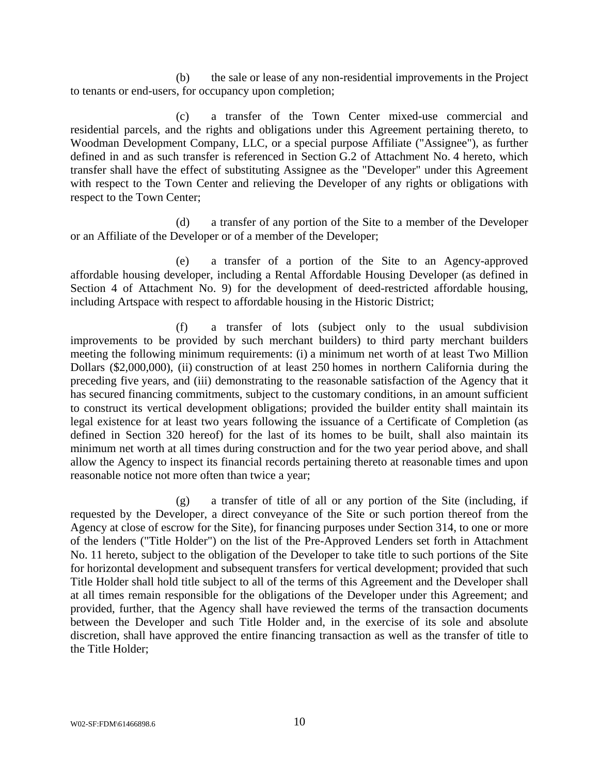(b) the sale or lease of any non-residential improvements in the Project to tenants or end-users, for occupancy upon completion;

(c) a transfer of the Town Center mixed-use commercial and residential parcels, and the rights and obligations under this Agreement pertaining thereto, to Woodman Development Company, LLC, or a special purpose Affiliate ("Assignee"), as further defined in and as such transfer is referenced in Section G.2 of Attachment No. 4 hereto, which transfer shall have the effect of substituting Assignee as the "Developer" under this Agreement with respect to the Town Center and relieving the Developer of any rights or obligations with respect to the Town Center;

(d) a transfer of any portion of the Site to a member of the Developer or an Affiliate of the Developer or of a member of the Developer;

(e) a transfer of a portion of the Site to an Agency-approved affordable housing developer, including a Rental Affordable Housing Developer (as defined in Section 4 of Attachment No. 9) for the development of deed-restricted affordable housing, including Artspace with respect to affordable housing in the Historic District;

(f) a transfer of lots (subject only to the usual subdivision improvements to be provided by such merchant builders) to third party merchant builders meeting the following minimum requirements: (i) a minimum net worth of at least Two Million Dollars (\$2,000,000), (ii) construction of at least 250 homes in northern California during the preceding five years, and (iii) demonstrating to the reasonable satisfaction of the Agency that it has secured financing commitments, subject to the customary conditions, in an amount sufficient to construct its vertical development obligations; provided the builder entity shall maintain its legal existence for at least two years following the issuance of a Certificate of Completion (as defined in Section 320 hereof) for the last of its homes to be built, shall also maintain its minimum net worth at all times during construction and for the two year period above, and shall allow the Agency to inspect its financial records pertaining thereto at reasonable times and upon reasonable notice not more often than twice a year;

(g) a transfer of title of all or any portion of the Site (including, if requested by the Developer, a direct conveyance of the Site or such portion thereof from the Agency at close of escrow for the Site), for financing purposes under Section 314, to one or more of the lenders ("Title Holder") on the list of the Pre-Approved Lenders set forth in Attachment No. 11 hereto, subject to the obligation of the Developer to take title to such portions of the Site for horizontal development and subsequent transfers for vertical development; provided that such Title Holder shall hold title subject to all of the terms of this Agreement and the Developer shall at all times remain responsible for the obligations of the Developer under this Agreement; and provided, further, that the Agency shall have reviewed the terms of the transaction documents between the Developer and such Title Holder and, in the exercise of its sole and absolute discretion, shall have approved the entire financing transaction as well as the transfer of title to the Title Holder;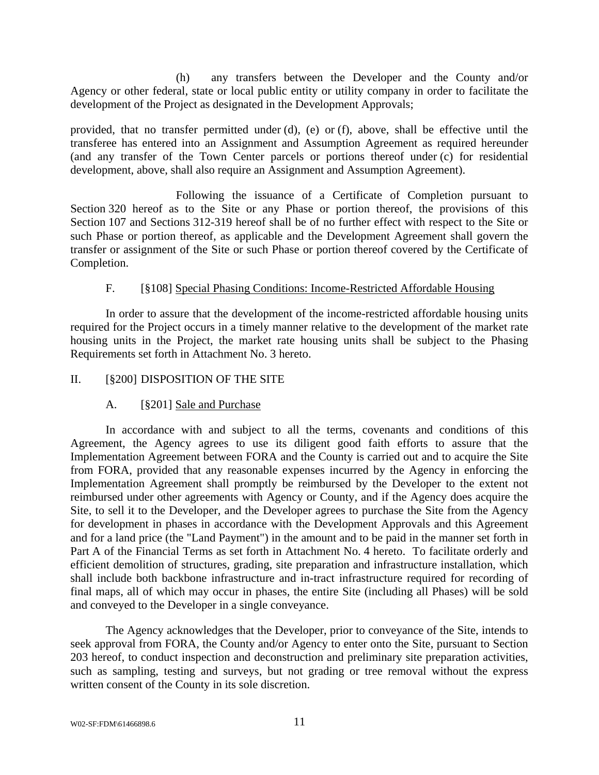(h) any transfers between the Developer and the County and/or Agency or other federal, state or local public entity or utility company in order to facilitate the development of the Project as designated in the Development Approvals;

provided, that no transfer permitted under (d), (e) or (f), above, shall be effective until the transferee has entered into an Assignment and Assumption Agreement as required hereunder (and any transfer of the Town Center parcels or portions thereof under (c) for residential development, above, shall also require an Assignment and Assumption Agreement).

Following the issuance of a Certificate of Completion pursuant to Section 320 hereof as to the Site or any Phase or portion thereof, the provisions of this Section 107 and Sections 312-319 hereof shall be of no further effect with respect to the Site or such Phase or portion thereof, as applicable and the Development Agreement shall govern the transfer or assignment of the Site or such Phase or portion thereof covered by the Certificate of Completion.

### F. [§108] Special Phasing Conditions: Income-Restricted Affordable Housing

In order to assure that the development of the income-restricted affordable housing units required for the Project occurs in a timely manner relative to the development of the market rate housing units in the Project, the market rate housing units shall be subject to the Phasing Requirements set forth in Attachment No. 3 hereto.

### II. [§200] DISPOSITION OF THE SITE

### A. [§201] Sale and Purchase

In accordance with and subject to all the terms, covenants and conditions of this Agreement, the Agency agrees to use its diligent good faith efforts to assure that the Implementation Agreement between FORA and the County is carried out and to acquire the Site from FORA, provided that any reasonable expenses incurred by the Agency in enforcing the Implementation Agreement shall promptly be reimbursed by the Developer to the extent not reimbursed under other agreements with Agency or County, and if the Agency does acquire the Site, to sell it to the Developer, and the Developer agrees to purchase the Site from the Agency for development in phases in accordance with the Development Approvals and this Agreement and for a land price (the "Land Payment") in the amount and to be paid in the manner set forth in Part A of the Financial Terms as set forth in Attachment No. 4 hereto. To facilitate orderly and efficient demolition of structures, grading, site preparation and infrastructure installation, which shall include both backbone infrastructure and in-tract infrastructure required for recording of final maps, all of which may occur in phases, the entire Site (including all Phases) will be sold and conveyed to the Developer in a single conveyance.

The Agency acknowledges that the Developer, prior to conveyance of the Site, intends to seek approval from FORA, the County and/or Agency to enter onto the Site, pursuant to Section 203 hereof, to conduct inspection and deconstruction and preliminary site preparation activities, such as sampling, testing and surveys, but not grading or tree removal without the express written consent of the County in its sole discretion.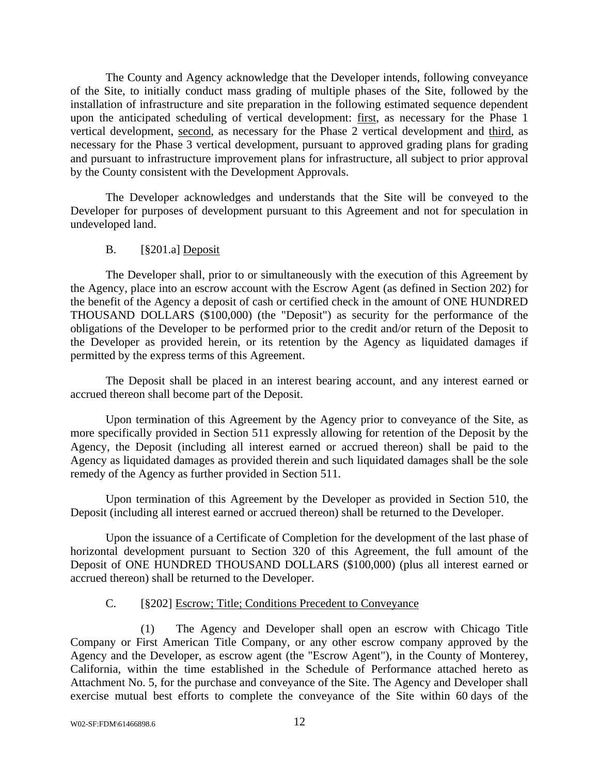The County and Agency acknowledge that the Developer intends, following conveyance of the Site, to initially conduct mass grading of multiple phases of the Site, followed by the installation of infrastructure and site preparation in the following estimated sequence dependent upon the anticipated scheduling of vertical development: first, as necessary for the Phase 1 vertical development, second, as necessary for the Phase 2 vertical development and third, as necessary for the Phase 3 vertical development, pursuant to approved grading plans for grading and pursuant to infrastructure improvement plans for infrastructure, all subject to prior approval by the County consistent with the Development Approvals.

The Developer acknowledges and understands that the Site will be conveyed to the Developer for purposes of development pursuant to this Agreement and not for speculation in undeveloped land.

### B. [§201.a] Deposit

The Developer shall, prior to or simultaneously with the execution of this Agreement by the Agency, place into an escrow account with the Escrow Agent (as defined in Section 202) for the benefit of the Agency a deposit of cash or certified check in the amount of ONE HUNDRED THOUSAND DOLLARS (\$100,000) (the "Deposit") as security for the performance of the obligations of the Developer to be performed prior to the credit and/or return of the Deposit to the Developer as provided herein, or its retention by the Agency as liquidated damages if permitted by the express terms of this Agreement.

The Deposit shall be placed in an interest bearing account, and any interest earned or accrued thereon shall become part of the Deposit.

Upon termination of this Agreement by the Agency prior to conveyance of the Site, as more specifically provided in Section 511 expressly allowing for retention of the Deposit by the Agency, the Deposit (including all interest earned or accrued thereon) shall be paid to the Agency as liquidated damages as provided therein and such liquidated damages shall be the sole remedy of the Agency as further provided in Section 511.

Upon termination of this Agreement by the Developer as provided in Section 510, the Deposit (including all interest earned or accrued thereon) shall be returned to the Developer.

Upon the issuance of a Certificate of Completion for the development of the last phase of horizontal development pursuant to Section 320 of this Agreement, the full amount of the Deposit of ONE HUNDRED THOUSAND DOLLARS (\$100,000) (plus all interest earned or accrued thereon) shall be returned to the Developer.

### C. [§202] Escrow; Title; Conditions Precedent to Conveyance

(1) The Agency and Developer shall open an escrow with Chicago Title Company or First American Title Company, or any other escrow company approved by the Agency and the Developer, as escrow agent (the "Escrow Agent"), in the County of Monterey, California, within the time established in the Schedule of Performance attached hereto as Attachment No. 5, for the purchase and conveyance of the Site. The Agency and Developer shall exercise mutual best efforts to complete the conveyance of the Site within 60 days of the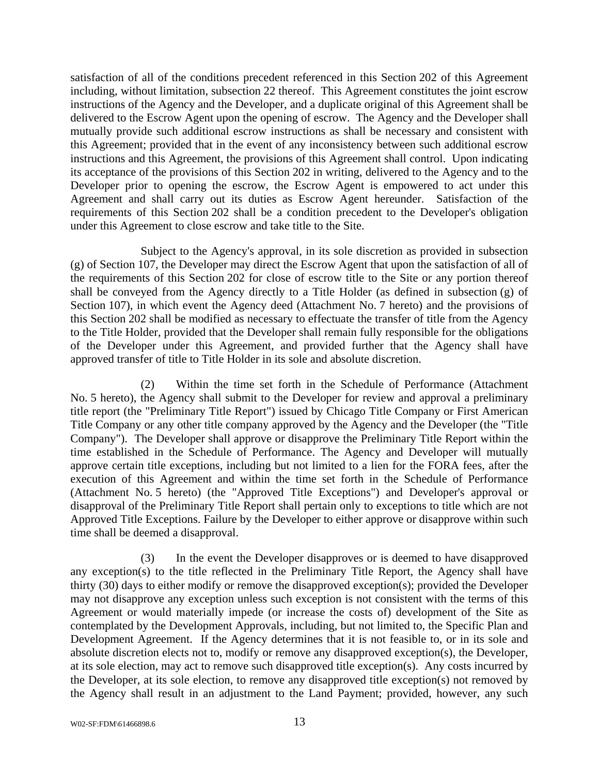satisfaction of all of the conditions precedent referenced in this Section 202 of this Agreement including, without limitation, subsection 22 thereof. This Agreement constitutes the joint escrow instructions of the Agency and the Developer, and a duplicate original of this Agreement shall be delivered to the Escrow Agent upon the opening of escrow. The Agency and the Developer shall mutually provide such additional escrow instructions as shall be necessary and consistent with this Agreement; provided that in the event of any inconsistency between such additional escrow instructions and this Agreement, the provisions of this Agreement shall control. Upon indicating its acceptance of the provisions of this Section 202 in writing, delivered to the Agency and to the Developer prior to opening the escrow, the Escrow Agent is empowered to act under this Agreement and shall carry out its duties as Escrow Agent hereunder. Satisfaction of the requirements of this Section 202 shall be a condition precedent to the Developer's obligation under this Agreement to close escrow and take title to the Site.

Subject to the Agency's approval, in its sole discretion as provided in subsection (g) of Section 107, the Developer may direct the Escrow Agent that upon the satisfaction of all of the requirements of this Section 202 for close of escrow title to the Site or any portion thereof shall be conveyed from the Agency directly to a Title Holder (as defined in subsection (g) of Section 107), in which event the Agency deed (Attachment No. 7 hereto) and the provisions of this Section 202 shall be modified as necessary to effectuate the transfer of title from the Agency to the Title Holder, provided that the Developer shall remain fully responsible for the obligations of the Developer under this Agreement, and provided further that the Agency shall have approved transfer of title to Title Holder in its sole and absolute discretion.

(2) Within the time set forth in the Schedule of Performance (Attachment No. 5 hereto), the Agency shall submit to the Developer for review and approval a preliminary title report (the "Preliminary Title Report") issued by Chicago Title Company or First American Title Company or any other title company approved by the Agency and the Developer (the "Title Company"). The Developer shall approve or disapprove the Preliminary Title Report within the time established in the Schedule of Performance. The Agency and Developer will mutually approve certain title exceptions, including but not limited to a lien for the FORA fees, after the execution of this Agreement and within the time set forth in the Schedule of Performance (Attachment No. 5 hereto) (the "Approved Title Exceptions") and Developer's approval or disapproval of the Preliminary Title Report shall pertain only to exceptions to title which are not Approved Title Exceptions. Failure by the Developer to either approve or disapprove within such time shall be deemed a disapproval.

(3) In the event the Developer disapproves or is deemed to have disapproved any exception(s) to the title reflected in the Preliminary Title Report, the Agency shall have thirty (30) days to either modify or remove the disapproved exception(s); provided the Developer may not disapprove any exception unless such exception is not consistent with the terms of this Agreement or would materially impede (or increase the costs of) development of the Site as contemplated by the Development Approvals, including, but not limited to, the Specific Plan and Development Agreement. If the Agency determines that it is not feasible to, or in its sole and absolute discretion elects not to, modify or remove any disapproved exception(s), the Developer, at its sole election, may act to remove such disapproved title exception(s). Any costs incurred by the Developer, at its sole election, to remove any disapproved title exception(s) not removed by the Agency shall result in an adjustment to the Land Payment; provided, however, any such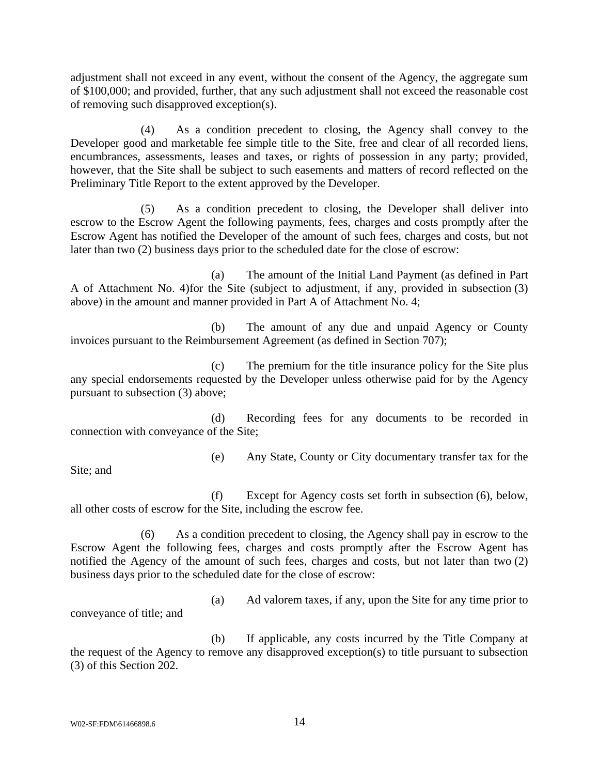adjustment shall not exceed in any event, without the consent of the Agency, the aggregate sum of \$100,000; and provided, further, that any such adjustment shall not exceed the reasonable cost of removing such disapproved exception(s).

(4) As a condition precedent to closing, the Agency shall convey to the Developer good and marketable fee simple title to the Site, free and clear of all recorded liens, encumbrances, assessments, leases and taxes, or rights of possession in any party; provided, however, that the Site shall be subject to such easements and matters of record reflected on the Preliminary Title Report to the extent approved by the Developer.

(5) As a condition precedent to closing, the Developer shall deliver into escrow to the Escrow Agent the following payments, fees, charges and costs promptly after the Escrow Agent has notified the Developer of the amount of such fees, charges and costs, but not later than two (2) business days prior to the scheduled date for the close of escrow:

(a) The amount of the Initial Land Payment (as defined in Part A of Attachment No. 4)for the Site (subject to adjustment, if any, provided in subsection (3) above) in the amount and manner provided in Part A of Attachment No. 4;

(b) The amount of any due and unpaid Agency or County invoices pursuant to the Reimbursement Agreement (as defined in Section 707);

(c) The premium for the title insurance policy for the Site plus any special endorsements requested by the Developer unless otherwise paid for by the Agency pursuant to subsection (3) above;

(d) Recording fees for any documents to be recorded in connection with conveyance of the Site;

Site; and

(e) Any State, County or City documentary transfer tax for the

(f) Except for Agency costs set forth in subsection (6), below, all other costs of escrow for the Site, including the escrow fee.

(6) As a condition precedent to closing, the Agency shall pay in escrow to the Escrow Agent the following fees, charges and costs promptly after the Escrow Agent has notified the Agency of the amount of such fees, charges and costs, but not later than two (2) business days prior to the scheduled date for the close of escrow:

conveyance of title; and

(a) Ad valorem taxes, if any, upon the Site for any time prior to

(b) If applicable, any costs incurred by the Title Company at the request of the Agency to remove any disapproved exception(s) to title pursuant to subsection (3) of this Section 202.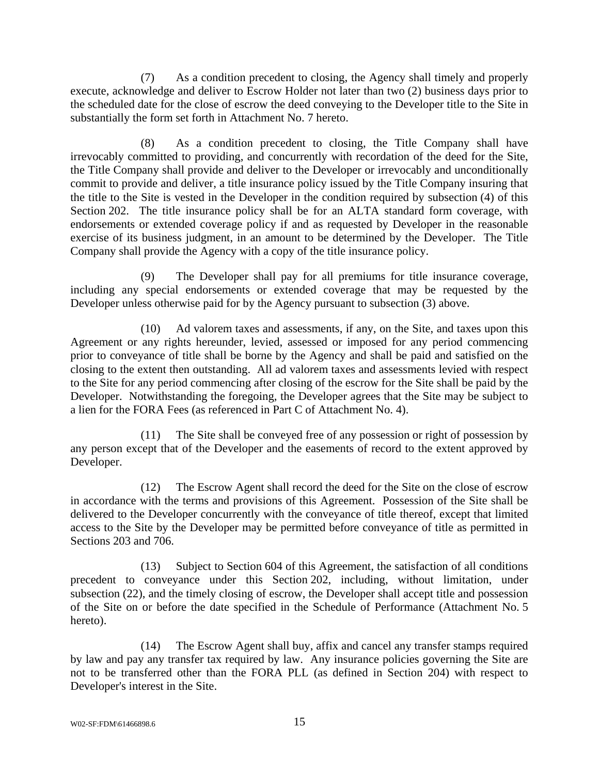(7) As a condition precedent to closing, the Agency shall timely and properly execute, acknowledge and deliver to Escrow Holder not later than two (2) business days prior to the scheduled date for the close of escrow the deed conveying to the Developer title to the Site in substantially the form set forth in Attachment No. 7 hereto.

(8) As a condition precedent to closing, the Title Company shall have irrevocably committed to providing, and concurrently with recordation of the deed for the Site, the Title Company shall provide and deliver to the Developer or irrevocably and unconditionally commit to provide and deliver, a title insurance policy issued by the Title Company insuring that the title to the Site is vested in the Developer in the condition required by subsection (4) of this Section 202. The title insurance policy shall be for an ALTA standard form coverage, with endorsements or extended coverage policy if and as requested by Developer in the reasonable exercise of its business judgment, in an amount to be determined by the Developer. The Title Company shall provide the Agency with a copy of the title insurance policy.

(9) The Developer shall pay for all premiums for title insurance coverage, including any special endorsements or extended coverage that may be requested by the Developer unless otherwise paid for by the Agency pursuant to subsection (3) above.

(10) Ad valorem taxes and assessments, if any, on the Site, and taxes upon this Agreement or any rights hereunder, levied, assessed or imposed for any period commencing prior to conveyance of title shall be borne by the Agency and shall be paid and satisfied on the closing to the extent then outstanding. All ad valorem taxes and assessments levied with respect to the Site for any period commencing after closing of the escrow for the Site shall be paid by the Developer. Notwithstanding the foregoing, the Developer agrees that the Site may be subject to a lien for the FORA Fees (as referenced in Part C of Attachment No. 4).

(11) The Site shall be conveyed free of any possession or right of possession by any person except that of the Developer and the easements of record to the extent approved by Developer.

(12) The Escrow Agent shall record the deed for the Site on the close of escrow in accordance with the terms and provisions of this Agreement. Possession of the Site shall be delivered to the Developer concurrently with the conveyance of title thereof, except that limited access to the Site by the Developer may be permitted before conveyance of title as permitted in Sections 203 and 706.

(13) Subject to Section 604 of this Agreement, the satisfaction of all conditions precedent to conveyance under this Section 202, including, without limitation, under subsection (22), and the timely closing of escrow, the Developer shall accept title and possession of the Site on or before the date specified in the Schedule of Performance (Attachment No. 5 hereto).

(14) The Escrow Agent shall buy, affix and cancel any transfer stamps required by law and pay any transfer tax required by law. Any insurance policies governing the Site are not to be transferred other than the FORA PLL (as defined in Section 204) with respect to Developer's interest in the Site.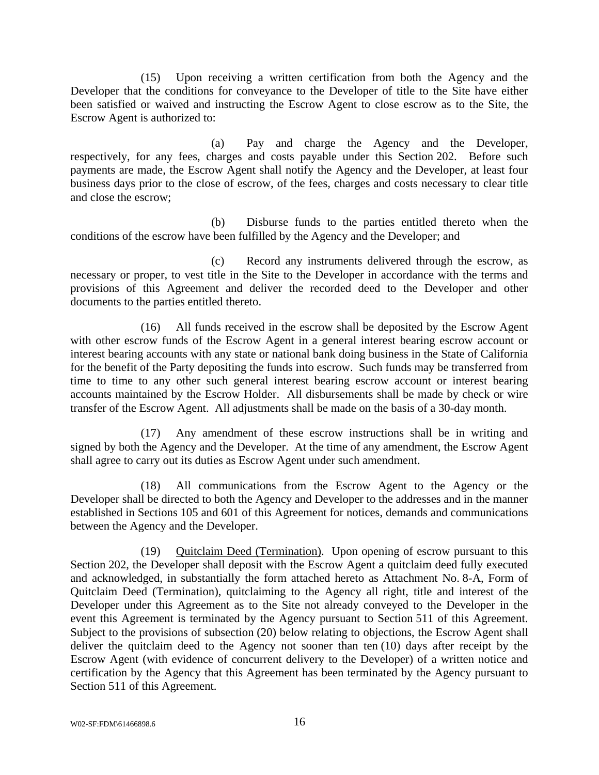(15) Upon receiving a written certification from both the Agency and the Developer that the conditions for conveyance to the Developer of title to the Site have either been satisfied or waived and instructing the Escrow Agent to close escrow as to the Site, the Escrow Agent is authorized to:

(a) Pay and charge the Agency and the Developer, respectively, for any fees, charges and costs payable under this Section 202. Before such payments are made, the Escrow Agent shall notify the Agency and the Developer, at least four business days prior to the close of escrow, of the fees, charges and costs necessary to clear title and close the escrow;

(b) Disburse funds to the parties entitled thereto when the conditions of the escrow have been fulfilled by the Agency and the Developer; and

(c) Record any instruments delivered through the escrow, as necessary or proper, to vest title in the Site to the Developer in accordance with the terms and provisions of this Agreement and deliver the recorded deed to the Developer and other documents to the parties entitled thereto.

(16) All funds received in the escrow shall be deposited by the Escrow Agent with other escrow funds of the Escrow Agent in a general interest bearing escrow account or interest bearing accounts with any state or national bank doing business in the State of California for the benefit of the Party depositing the funds into escrow. Such funds may be transferred from time to time to any other such general interest bearing escrow account or interest bearing accounts maintained by the Escrow Holder. All disbursements shall be made by check or wire transfer of the Escrow Agent. All adjustments shall be made on the basis of a 30-day month.

(17) Any amendment of these escrow instructions shall be in writing and signed by both the Agency and the Developer. At the time of any amendment, the Escrow Agent shall agree to carry out its duties as Escrow Agent under such amendment.

(18) All communications from the Escrow Agent to the Agency or the Developer shall be directed to both the Agency and Developer to the addresses and in the manner established in Sections 105 and 601 of this Agreement for notices, demands and communications between the Agency and the Developer.

(19) Quitclaim Deed (Termination). Upon opening of escrow pursuant to this Section 202, the Developer shall deposit with the Escrow Agent a quitclaim deed fully executed and acknowledged, in substantially the form attached hereto as Attachment No. 8-A, Form of Quitclaim Deed (Termination), quitclaiming to the Agency all right, title and interest of the Developer under this Agreement as to the Site not already conveyed to the Developer in the event this Agreement is terminated by the Agency pursuant to Section 511 of this Agreement. Subject to the provisions of subsection (20) below relating to objections, the Escrow Agent shall deliver the quitclaim deed to the Agency not sooner than ten (10) days after receipt by the Escrow Agent (with evidence of concurrent delivery to the Developer) of a written notice and certification by the Agency that this Agreement has been terminated by the Agency pursuant to Section 511 of this Agreement.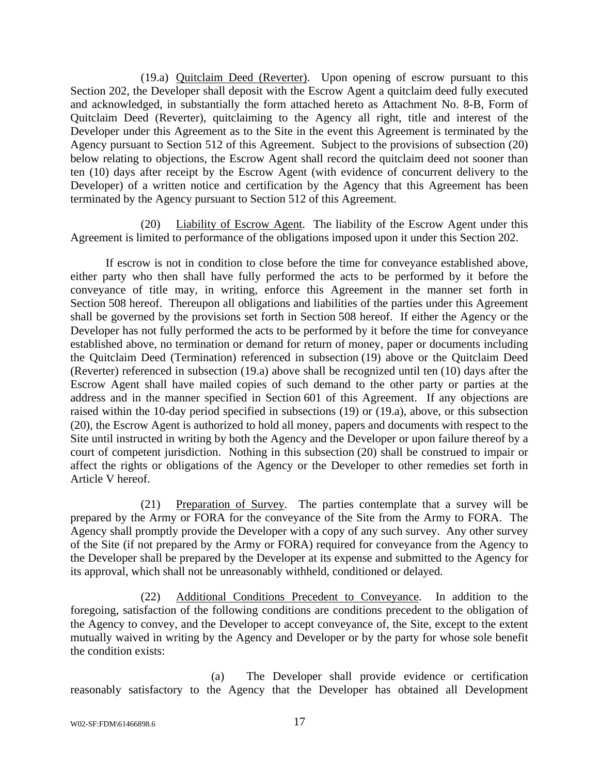(19.a) Quitclaim Deed (Reverter). Upon opening of escrow pursuant to this Section 202, the Developer shall deposit with the Escrow Agent a quitclaim deed fully executed and acknowledged, in substantially the form attached hereto as Attachment No. 8-B, Form of Quitclaim Deed (Reverter), quitclaiming to the Agency all right, title and interest of the Developer under this Agreement as to the Site in the event this Agreement is terminated by the Agency pursuant to Section 512 of this Agreement. Subject to the provisions of subsection (20) below relating to objections, the Escrow Agent shall record the quitclaim deed not sooner than ten (10) days after receipt by the Escrow Agent (with evidence of concurrent delivery to the Developer) of a written notice and certification by the Agency that this Agreement has been terminated by the Agency pursuant to Section 512 of this Agreement.

(20) Liability of Escrow Agent. The liability of the Escrow Agent under this Agreement is limited to performance of the obligations imposed upon it under this Section 202.

If escrow is not in condition to close before the time for conveyance established above, either party who then shall have fully performed the acts to be performed by it before the conveyance of title may, in writing, enforce this Agreement in the manner set forth in Section 508 hereof. Thereupon all obligations and liabilities of the parties under this Agreement shall be governed by the provisions set forth in Section 508 hereof. If either the Agency or the Developer has not fully performed the acts to be performed by it before the time for conveyance established above, no termination or demand for return of money, paper or documents including the Quitclaim Deed (Termination) referenced in subsection (19) above or the Quitclaim Deed (Reverter) referenced in subsection (19.a) above shall be recognized until ten (10) days after the Escrow Agent shall have mailed copies of such demand to the other party or parties at the address and in the manner specified in Section 601 of this Agreement. If any objections are raised within the 10-day period specified in subsections (19) or (19.a), above, or this subsection (20), the Escrow Agent is authorized to hold all money, papers and documents with respect to the Site until instructed in writing by both the Agency and the Developer or upon failure thereof by a court of competent jurisdiction. Nothing in this subsection (20) shall be construed to impair or affect the rights or obligations of the Agency or the Developer to other remedies set forth in Article V hereof.

(21) Preparation of Survey. The parties contemplate that a survey will be prepared by the Army or FORA for the conveyance of the Site from the Army to FORA. The Agency shall promptly provide the Developer with a copy of any such survey. Any other survey of the Site (if not prepared by the Army or FORA) required for conveyance from the Agency to the Developer shall be prepared by the Developer at its expense and submitted to the Agency for its approval, which shall not be unreasonably withheld, conditioned or delayed.

(22) Additional Conditions Precedent to Conveyance. In addition to the foregoing, satisfaction of the following conditions are conditions precedent to the obligation of the Agency to convey, and the Developer to accept conveyance of, the Site, except to the extent mutually waived in writing by the Agency and Developer or by the party for whose sole benefit the condition exists:

(a) The Developer shall provide evidence or certification reasonably satisfactory to the Agency that the Developer has obtained all Development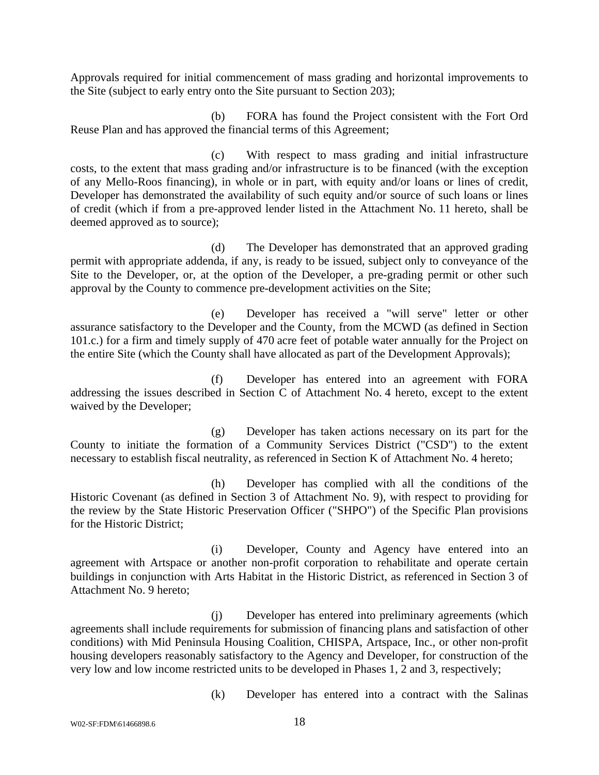Approvals required for initial commencement of mass grading and horizontal improvements to the Site (subject to early entry onto the Site pursuant to Section 203);

(b) FORA has found the Project consistent with the Fort Ord Reuse Plan and has approved the financial terms of this Agreement;

(c) With respect to mass grading and initial infrastructure costs, to the extent that mass grading and/or infrastructure is to be financed (with the exception of any Mello-Roos financing), in whole or in part, with equity and/or loans or lines of credit, Developer has demonstrated the availability of such equity and/or source of such loans or lines of credit (which if from a pre-approved lender listed in the Attachment No. 11 hereto, shall be deemed approved as to source);

(d) The Developer has demonstrated that an approved grading permit with appropriate addenda, if any, is ready to be issued, subject only to conveyance of the Site to the Developer, or, at the option of the Developer, a pre-grading permit or other such approval by the County to commence pre-development activities on the Site;

(e) Developer has received a "will serve" letter or other assurance satisfactory to the Developer and the County, from the MCWD (as defined in Section 101.c.) for a firm and timely supply of 470 acre feet of potable water annually for the Project on the entire Site (which the County shall have allocated as part of the Development Approvals);

(f) Developer has entered into an agreement with FORA addressing the issues described in Section C of Attachment No. 4 hereto, except to the extent waived by the Developer;

(g) Developer has taken actions necessary on its part for the County to initiate the formation of a Community Services District ("CSD") to the extent necessary to establish fiscal neutrality, as referenced in Section K of Attachment No. 4 hereto;

(h) Developer has complied with all the conditions of the Historic Covenant (as defined in Section 3 of Attachment No. 9), with respect to providing for the review by the State Historic Preservation Officer ("SHPO") of the Specific Plan provisions for the Historic District;

(i) Developer, County and Agency have entered into an agreement with Artspace or another non-profit corporation to rehabilitate and operate certain buildings in conjunction with Arts Habitat in the Historic District, as referenced in Section 3 of Attachment No. 9 hereto;

(j) Developer has entered into preliminary agreements (which agreements shall include requirements for submission of financing plans and satisfaction of other conditions) with Mid Peninsula Housing Coalition, CHISPA, Artspace, Inc., or other non-profit housing developers reasonably satisfactory to the Agency and Developer, for construction of the very low and low income restricted units to be developed in Phases 1, 2 and 3, respectively;

(k) Developer has entered into a contract with the Salinas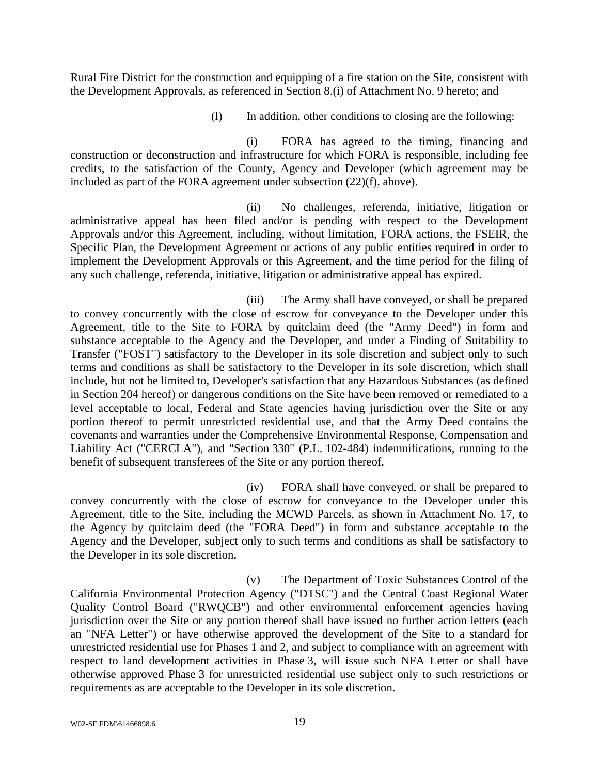Rural Fire District for the construction and equipping of a fire station on the Site, consistent with the Development Approvals, as referenced in Section 8.(i) of Attachment No. 9 hereto; and

(l) In addition, other conditions to closing are the following:

(i) FORA has agreed to the timing, financing and construction or deconstruction and infrastructure for which FORA is responsible, including fee credits, to the satisfaction of the County, Agency and Developer (which agreement may be included as part of the FORA agreement under subsection (22)(f), above).

(ii) No challenges, referenda, initiative, litigation or administrative appeal has been filed and/or is pending with respect to the Development Approvals and/or this Agreement, including, without limitation, FORA actions, the FSEIR, the Specific Plan, the Development Agreement or actions of any public entities required in order to implement the Development Approvals or this Agreement, and the time period for the filing of any such challenge, referenda, initiative, litigation or administrative appeal has expired.

(iii) The Army shall have conveyed, or shall be prepared to convey concurrently with the close of escrow for conveyance to the Developer under this Agreement, title to the Site to FORA by quitclaim deed (the "Army Deed") in form and substance acceptable to the Agency and the Developer, and under a Finding of Suitability to Transfer ("FOST") satisfactory to the Developer in its sole discretion and subject only to such terms and conditions as shall be satisfactory to the Developer in its sole discretion, which shall include, but not be limited to, Developer's satisfaction that any Hazardous Substances (as defined in Section 204 hereof) or dangerous conditions on the Site have been removed or remediated to a level acceptable to local, Federal and State agencies having jurisdiction over the Site or any portion thereof to permit unrestricted residential use, and that the Army Deed contains the covenants and warranties under the Comprehensive Environmental Response, Compensation and Liability Act ("CERCLA"), and "Section 330" (P.L. 102-484) indemnifications, running to the benefit of subsequent transferees of the Site or any portion thereof.

(iv) FORA shall have conveyed, or shall be prepared to convey concurrently with the close of escrow for conveyance to the Developer under this Agreement, title to the Site, including the MCWD Parcels, as shown in Attachment No. 17, to the Agency by quitclaim deed (the "FORA Deed") in form and substance acceptable to the Agency and the Developer, subject only to such terms and conditions as shall be satisfactory to the Developer in its sole discretion.

(v) The Department of Toxic Substances Control of the California Environmental Protection Agency ("DTSC") and the Central Coast Regional Water Quality Control Board ("RWQCB") and other environmental enforcement agencies having jurisdiction over the Site or any portion thereof shall have issued no further action letters (each an "NFA Letter") or have otherwise approved the development of the Site to a standard for unrestricted residential use for Phases 1 and 2, and subject to compliance with an agreement with respect to land development activities in Phase 3, will issue such NFA Letter or shall have otherwise approved Phase 3 for unrestricted residential use subject only to such restrictions or requirements as are acceptable to the Developer in its sole discretion.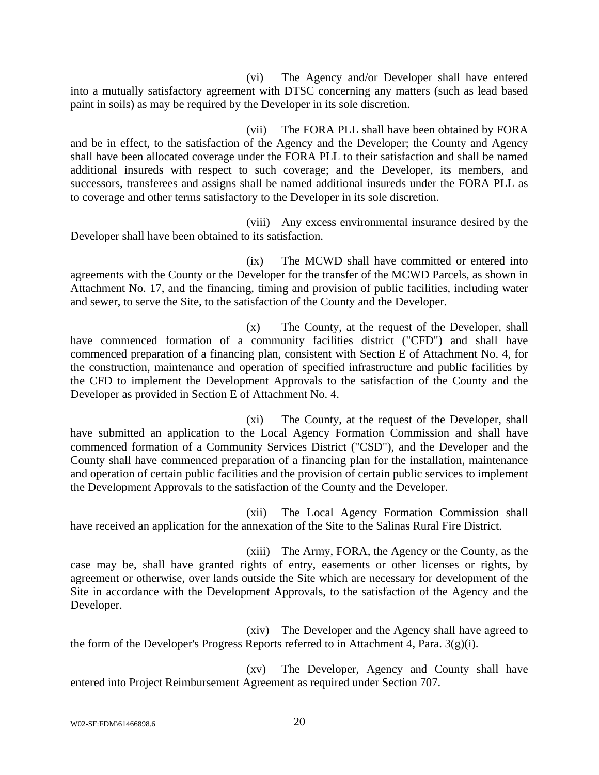(vi) The Agency and/or Developer shall have entered into a mutually satisfactory agreement with DTSC concerning any matters (such as lead based paint in soils) as may be required by the Developer in its sole discretion.

(vii) The FORA PLL shall have been obtained by FORA and be in effect, to the satisfaction of the Agency and the Developer; the County and Agency shall have been allocated coverage under the FORA PLL to their satisfaction and shall be named additional insureds with respect to such coverage; and the Developer, its members, and successors, transferees and assigns shall be named additional insureds under the FORA PLL as to coverage and other terms satisfactory to the Developer in its sole discretion.

(viii) Any excess environmental insurance desired by the Developer shall have been obtained to its satisfaction.

(ix) The MCWD shall have committed or entered into agreements with the County or the Developer for the transfer of the MCWD Parcels, as shown in Attachment No. 17, and the financing, timing and provision of public facilities, including water and sewer, to serve the Site, to the satisfaction of the County and the Developer.

(x) The County, at the request of the Developer, shall have commenced formation of a community facilities district ("CFD") and shall have commenced preparation of a financing plan, consistent with Section E of Attachment No. 4, for the construction, maintenance and operation of specified infrastructure and public facilities by the CFD to implement the Development Approvals to the satisfaction of the County and the Developer as provided in Section E of Attachment No. 4.

(xi) The County, at the request of the Developer, shall have submitted an application to the Local Agency Formation Commission and shall have commenced formation of a Community Services District ("CSD"), and the Developer and the County shall have commenced preparation of a financing plan for the installation, maintenance and operation of certain public facilities and the provision of certain public services to implement the Development Approvals to the satisfaction of the County and the Developer.

(xii) The Local Agency Formation Commission shall have received an application for the annexation of the Site to the Salinas Rural Fire District.

(xiii) The Army, FORA, the Agency or the County, as the case may be, shall have granted rights of entry, easements or other licenses or rights, by agreement or otherwise, over lands outside the Site which are necessary for development of the Site in accordance with the Development Approvals, to the satisfaction of the Agency and the Developer.

(xiv) The Developer and the Agency shall have agreed to the form of the Developer's Progress Reports referred to in Attachment 4, Para. 3(g)(i).

(xv) The Developer, Agency and County shall have entered into Project Reimbursement Agreement as required under Section 707.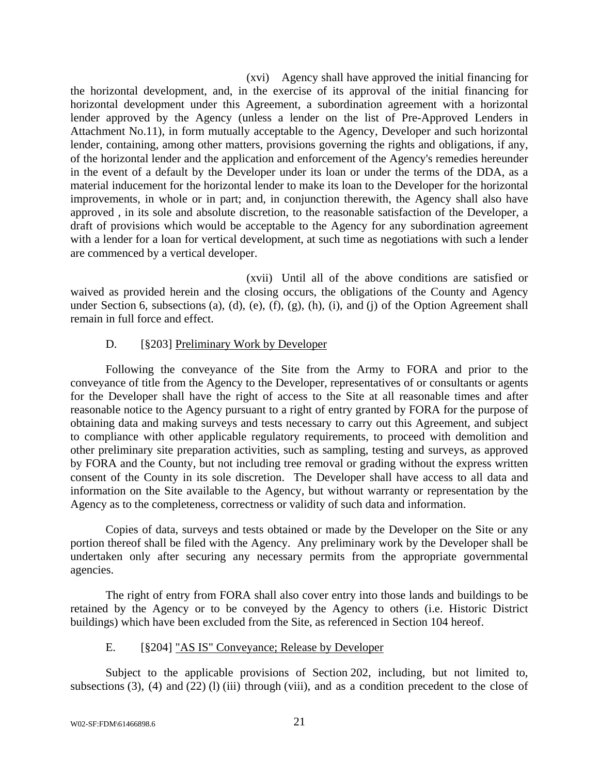(xvi) Agency shall have approved the initial financing for the horizontal development, and, in the exercise of its approval of the initial financing for horizontal development under this Agreement, a subordination agreement with a horizontal lender approved by the Agency (unless a lender on the list of Pre-Approved Lenders in Attachment No.11), in form mutually acceptable to the Agency, Developer and such horizontal lender, containing, among other matters, provisions governing the rights and obligations, if any, of the horizontal lender and the application and enforcement of the Agency's remedies hereunder in the event of a default by the Developer under its loan or under the terms of the DDA, as a material inducement for the horizontal lender to make its loan to the Developer for the horizontal improvements, in whole or in part; and, in conjunction therewith, the Agency shall also have approved , in its sole and absolute discretion, to the reasonable satisfaction of the Developer, a draft of provisions which would be acceptable to the Agency for any subordination agreement with a lender for a loan for vertical development, at such time as negotiations with such a lender are commenced by a vertical developer.

(xvii) Until all of the above conditions are satisfied or waived as provided herein and the closing occurs, the obligations of the County and Agency under Section 6, subsections (a), (d), (e), (f), (g), (h), (i), and (j) of the Option Agreement shall remain in full force and effect.

### D. [§203] Preliminary Work by Developer

Following the conveyance of the Site from the Army to FORA and prior to the conveyance of title from the Agency to the Developer, representatives of or consultants or agents for the Developer shall have the right of access to the Site at all reasonable times and after reasonable notice to the Agency pursuant to a right of entry granted by FORA for the purpose of obtaining data and making surveys and tests necessary to carry out this Agreement, and subject to compliance with other applicable regulatory requirements, to proceed with demolition and other preliminary site preparation activities, such as sampling, testing and surveys, as approved by FORA and the County, but not including tree removal or grading without the express written consent of the County in its sole discretion. The Developer shall have access to all data and information on the Site available to the Agency, but without warranty or representation by the Agency as to the completeness, correctness or validity of such data and information.

Copies of data, surveys and tests obtained or made by the Developer on the Site or any portion thereof shall be filed with the Agency. Any preliminary work by the Developer shall be undertaken only after securing any necessary permits from the appropriate governmental agencies.

The right of entry from FORA shall also cover entry into those lands and buildings to be retained by the Agency or to be conveyed by the Agency to others (i.e. Historic District buildings) which have been excluded from the Site, as referenced in Section 104 hereof.

### E. [§204] "AS IS" Conveyance; Release by Developer

Subject to the applicable provisions of Section 202, including, but not limited to, subsections  $(3)$ ,  $(4)$  and  $(22)$   $(l)$   $(iii)$  through (viii), and as a condition precedent to the close of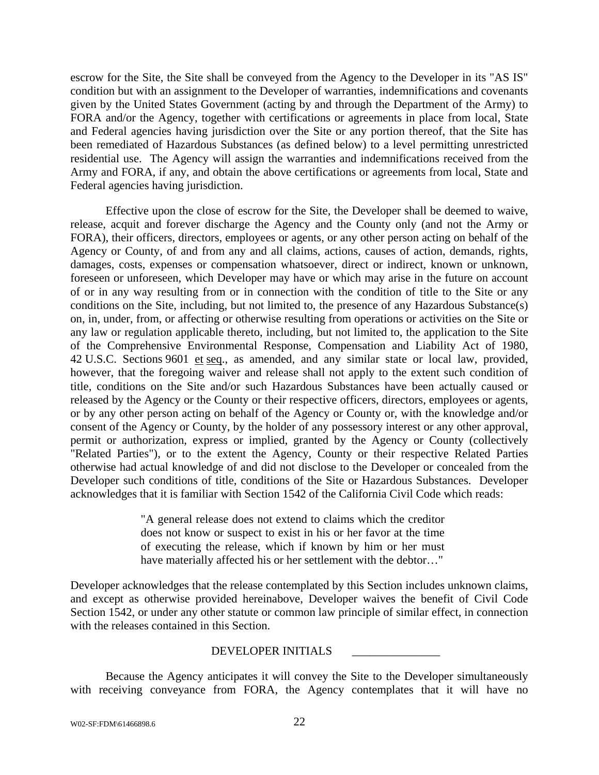escrow for the Site, the Site shall be conveyed from the Agency to the Developer in its "AS IS" condition but with an assignment to the Developer of warranties, indemnifications and covenants given by the United States Government (acting by and through the Department of the Army) to FORA and/or the Agency, together with certifications or agreements in place from local, State and Federal agencies having jurisdiction over the Site or any portion thereof, that the Site has been remediated of Hazardous Substances (as defined below) to a level permitting unrestricted residential use. The Agency will assign the warranties and indemnifications received from the Army and FORA, if any, and obtain the above certifications or agreements from local, State and Federal agencies having jurisdiction.

Effective upon the close of escrow for the Site, the Developer shall be deemed to waive, release, acquit and forever discharge the Agency and the County only (and not the Army or FORA), their officers, directors, employees or agents, or any other person acting on behalf of the Agency or County, of and from any and all claims, actions, causes of action, demands, rights, damages, costs, expenses or compensation whatsoever, direct or indirect, known or unknown, foreseen or unforeseen, which Developer may have or which may arise in the future on account of or in any way resulting from or in connection with the condition of title to the Site or any conditions on the Site, including, but not limited to, the presence of any Hazardous Substance(s) on, in, under, from, or affecting or otherwise resulting from operations or activities on the Site or any law or regulation applicable thereto, including, but not limited to, the application to the Site of the Comprehensive Environmental Response, Compensation and Liability Act of 1980, 42 U.S.C. Sections 9601 et seq., as amended, and any similar state or local law, provided, however, that the foregoing waiver and release shall not apply to the extent such condition of title, conditions on the Site and/or such Hazardous Substances have been actually caused or released by the Agency or the County or their respective officers, directors, employees or agents, or by any other person acting on behalf of the Agency or County or, with the knowledge and/or consent of the Agency or County, by the holder of any possessory interest or any other approval, permit or authorization, express or implied, granted by the Agency or County (collectively "Related Parties"), or to the extent the Agency, County or their respective Related Parties otherwise had actual knowledge of and did not disclose to the Developer or concealed from the Developer such conditions of title, conditions of the Site or Hazardous Substances. Developer acknowledges that it is familiar with Section 1542 of the California Civil Code which reads:

> "A general release does not extend to claims which the creditor does not know or suspect to exist in his or her favor at the time of executing the release, which if known by him or her must have materially affected his or her settlement with the debtor…"

Developer acknowledges that the release contemplated by this Section includes unknown claims, and except as otherwise provided hereinabove, Developer waives the benefit of Civil Code Section 1542, or under any other statute or common law principle of similar effect, in connection with the releases contained in this Section.

### DEVELOPER INITIALS \_\_\_\_\_\_\_\_\_\_\_\_\_\_\_

Because the Agency anticipates it will convey the Site to the Developer simultaneously with receiving conveyance from FORA, the Agency contemplates that it will have no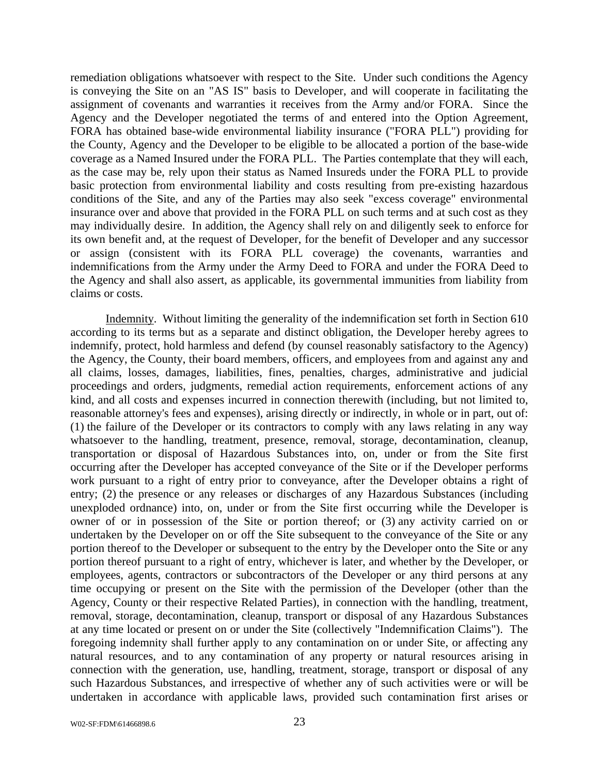remediation obligations whatsoever with respect to the Site. Under such conditions the Agency is conveying the Site on an "AS IS" basis to Developer, and will cooperate in facilitating the assignment of covenants and warranties it receives from the Army and/or FORA. Since the Agency and the Developer negotiated the terms of and entered into the Option Agreement, FORA has obtained base-wide environmental liability insurance ("FORA PLL") providing for the County, Agency and the Developer to be eligible to be allocated a portion of the base-wide coverage as a Named Insured under the FORA PLL. The Parties contemplate that they will each, as the case may be, rely upon their status as Named Insureds under the FORA PLL to provide basic protection from environmental liability and costs resulting from pre-existing hazardous conditions of the Site, and any of the Parties may also seek "excess coverage" environmental insurance over and above that provided in the FORA PLL on such terms and at such cost as they may individually desire. In addition, the Agency shall rely on and diligently seek to enforce for its own benefit and, at the request of Developer, for the benefit of Developer and any successor or assign (consistent with its FORA PLL coverage) the covenants, warranties and indemnifications from the Army under the Army Deed to FORA and under the FORA Deed to the Agency and shall also assert, as applicable, its governmental immunities from liability from claims or costs.

Indemnity. Without limiting the generality of the indemnification set forth in Section 610 according to its terms but as a separate and distinct obligation, the Developer hereby agrees to indemnify, protect, hold harmless and defend (by counsel reasonably satisfactory to the Agency) the Agency, the County, their board members, officers, and employees from and against any and all claims, losses, damages, liabilities, fines, penalties, charges, administrative and judicial proceedings and orders, judgments, remedial action requirements, enforcement actions of any kind, and all costs and expenses incurred in connection therewith (including, but not limited to, reasonable attorney's fees and expenses), arising directly or indirectly, in whole or in part, out of: (1) the failure of the Developer or its contractors to comply with any laws relating in any way whatsoever to the handling, treatment, presence, removal, storage, decontamination, cleanup, transportation or disposal of Hazardous Substances into, on, under or from the Site first occurring after the Developer has accepted conveyance of the Site or if the Developer performs work pursuant to a right of entry prior to conveyance, after the Developer obtains a right of entry; (2) the presence or any releases or discharges of any Hazardous Substances (including unexploded ordnance) into, on, under or from the Site first occurring while the Developer is owner of or in possession of the Site or portion thereof; or (3) any activity carried on or undertaken by the Developer on or off the Site subsequent to the conveyance of the Site or any portion thereof to the Developer or subsequent to the entry by the Developer onto the Site or any portion thereof pursuant to a right of entry, whichever is later, and whether by the Developer, or employees, agents, contractors or subcontractors of the Developer or any third persons at any time occupying or present on the Site with the permission of the Developer (other than the Agency, County or their respective Related Parties), in connection with the handling, treatment, removal, storage, decontamination, cleanup, transport or disposal of any Hazardous Substances at any time located or present on or under the Site (collectively "Indemnification Claims"). The foregoing indemnity shall further apply to any contamination on or under Site, or affecting any natural resources, and to any contamination of any property or natural resources arising in connection with the generation, use, handling, treatment, storage, transport or disposal of any such Hazardous Substances, and irrespective of whether any of such activities were or will be undertaken in accordance with applicable laws, provided such contamination first arises or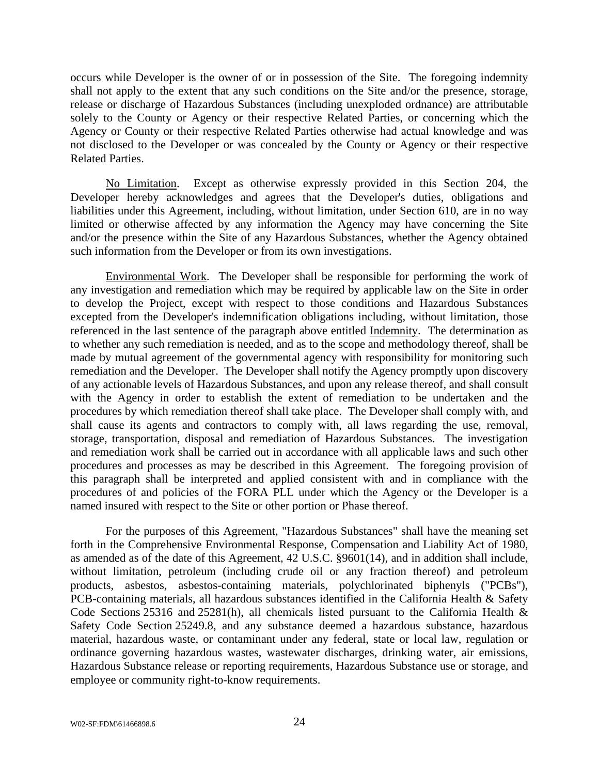occurs while Developer is the owner of or in possession of the Site. The foregoing indemnity shall not apply to the extent that any such conditions on the Site and/or the presence, storage, release or discharge of Hazardous Substances (including unexploded ordnance) are attributable solely to the County or Agency or their respective Related Parties, or concerning which the Agency or County or their respective Related Parties otherwise had actual knowledge and was not disclosed to the Developer or was concealed by the County or Agency or their respective Related Parties.

No Limitation. Except as otherwise expressly provided in this Section 204, the Developer hereby acknowledges and agrees that the Developer's duties, obligations and liabilities under this Agreement, including, without limitation, under Section 610, are in no way limited or otherwise affected by any information the Agency may have concerning the Site and/or the presence within the Site of any Hazardous Substances, whether the Agency obtained such information from the Developer or from its own investigations.

Environmental Work. The Developer shall be responsible for performing the work of any investigation and remediation which may be required by applicable law on the Site in order to develop the Project, except with respect to those conditions and Hazardous Substances excepted from the Developer's indemnification obligations including, without limitation, those referenced in the last sentence of the paragraph above entitled Indemnity. The determination as to whether any such remediation is needed, and as to the scope and methodology thereof, shall be made by mutual agreement of the governmental agency with responsibility for monitoring such remediation and the Developer. The Developer shall notify the Agency promptly upon discovery of any actionable levels of Hazardous Substances, and upon any release thereof, and shall consult with the Agency in order to establish the extent of remediation to be undertaken and the procedures by which remediation thereof shall take place. The Developer shall comply with, and shall cause its agents and contractors to comply with, all laws regarding the use, removal, storage, transportation, disposal and remediation of Hazardous Substances. The investigation and remediation work shall be carried out in accordance with all applicable laws and such other procedures and processes as may be described in this Agreement. The foregoing provision of this paragraph shall be interpreted and applied consistent with and in compliance with the procedures of and policies of the FORA PLL under which the Agency or the Developer is a named insured with respect to the Site or other portion or Phase thereof.

For the purposes of this Agreement, "Hazardous Substances" shall have the meaning set forth in the Comprehensive Environmental Response, Compensation and Liability Act of 1980, as amended as of the date of this Agreement, 42 U.S.C. §9601(14), and in addition shall include, without limitation, petroleum (including crude oil or any fraction thereof) and petroleum products, asbestos, asbestos-containing materials, polychlorinated biphenyls ("PCBs"), PCB-containing materials, all hazardous substances identified in the California Health & Safety Code Sections 25316 and 25281(h), all chemicals listed pursuant to the California Health & Safety Code Section 25249.8, and any substance deemed a hazardous substance, hazardous material, hazardous waste, or contaminant under any federal, state or local law, regulation or ordinance governing hazardous wastes, wastewater discharges, drinking water, air emissions, Hazardous Substance release or reporting requirements, Hazardous Substance use or storage, and employee or community right-to-know requirements.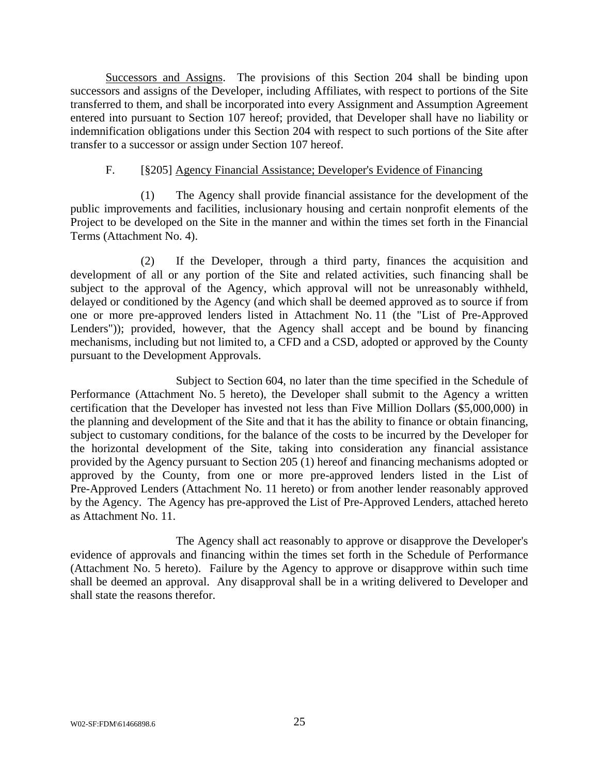Successors and Assigns. The provisions of this Section 204 shall be binding upon successors and assigns of the Developer, including Affiliates, with respect to portions of the Site transferred to them, and shall be incorporated into every Assignment and Assumption Agreement entered into pursuant to Section 107 hereof; provided, that Developer shall have no liability or indemnification obligations under this Section 204 with respect to such portions of the Site after transfer to a successor or assign under Section 107 hereof.

#### F. [§205] Agency Financial Assistance; Developer's Evidence of Financing

(1) The Agency shall provide financial assistance for the development of the public improvements and facilities, inclusionary housing and certain nonprofit elements of the Project to be developed on the Site in the manner and within the times set forth in the Financial Terms (Attachment No. 4).

(2) If the Developer, through a third party, finances the acquisition and development of all or any portion of the Site and related activities, such financing shall be subject to the approval of the Agency, which approval will not be unreasonably withheld, delayed or conditioned by the Agency (and which shall be deemed approved as to source if from one or more pre-approved lenders listed in Attachment No. 11 (the "List of Pre-Approved Lenders")); provided, however, that the Agency shall accept and be bound by financing mechanisms, including but not limited to, a CFD and a CSD, adopted or approved by the County pursuant to the Development Approvals.

Subject to Section 604, no later than the time specified in the Schedule of Performance (Attachment No. 5 hereto), the Developer shall submit to the Agency a written certification that the Developer has invested not less than Five Million Dollars (\$5,000,000) in the planning and development of the Site and that it has the ability to finance or obtain financing, subject to customary conditions, for the balance of the costs to be incurred by the Developer for the horizontal development of the Site, taking into consideration any financial assistance provided by the Agency pursuant to Section 205 (1) hereof and financing mechanisms adopted or approved by the County, from one or more pre-approved lenders listed in the List of Pre-Approved Lenders (Attachment No. 11 hereto) or from another lender reasonably approved by the Agency. The Agency has pre-approved the List of Pre-Approved Lenders, attached hereto as Attachment No. 11.

The Agency shall act reasonably to approve or disapprove the Developer's evidence of approvals and financing within the times set forth in the Schedule of Performance (Attachment No. 5 hereto). Failure by the Agency to approve or disapprove within such time shall be deemed an approval. Any disapproval shall be in a writing delivered to Developer and shall state the reasons therefor.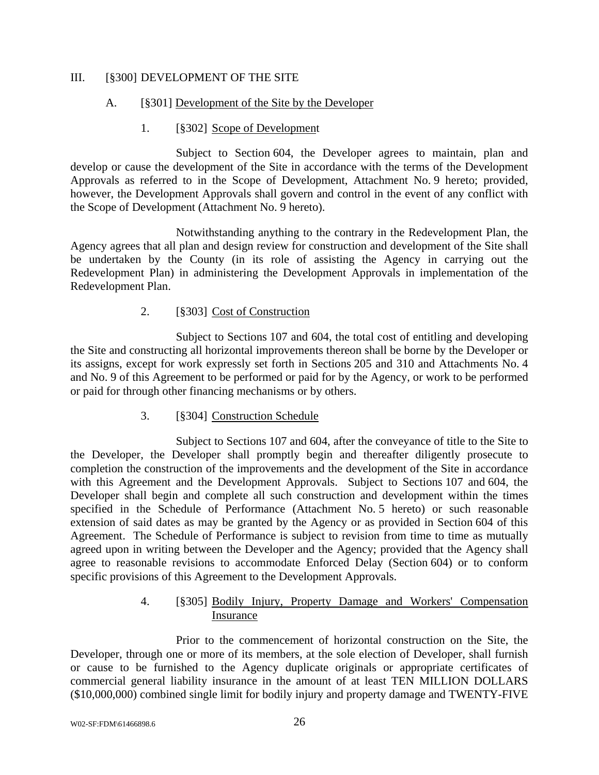### III. [§300] DEVELOPMENT OF THE SITE

#### A. [§301] Development of the Site by the Developer

#### 1. [§302] Scope of Development

Subject to Section 604, the Developer agrees to maintain, plan and develop or cause the development of the Site in accordance with the terms of the Development Approvals as referred to in the Scope of Development, Attachment No. 9 hereto; provided, however, the Development Approvals shall govern and control in the event of any conflict with the Scope of Development (Attachment No. 9 hereto).

Notwithstanding anything to the contrary in the Redevelopment Plan, the Agency agrees that all plan and design review for construction and development of the Site shall be undertaken by the County (in its role of assisting the Agency in carrying out the Redevelopment Plan) in administering the Development Approvals in implementation of the Redevelopment Plan.

### 2. [§303] Cost of Construction

Subject to Sections 107 and 604, the total cost of entitling and developing the Site and constructing all horizontal improvements thereon shall be borne by the Developer or its assigns, except for work expressly set forth in Sections 205 and 310 and Attachments No. 4 and No. 9 of this Agreement to be performed or paid for by the Agency, or work to be performed or paid for through other financing mechanisms or by others.

### 3. [§304] Construction Schedule

Subject to Sections 107 and 604, after the conveyance of title to the Site to the Developer, the Developer shall promptly begin and thereafter diligently prosecute to completion the construction of the improvements and the development of the Site in accordance with this Agreement and the Development Approvals. Subject to Sections 107 and 604, the Developer shall begin and complete all such construction and development within the times specified in the Schedule of Performance (Attachment No. 5 hereto) or such reasonable extension of said dates as may be granted by the Agency or as provided in Section 604 of this Agreement. The Schedule of Performance is subject to revision from time to time as mutually agreed upon in writing between the Developer and the Agency; provided that the Agency shall agree to reasonable revisions to accommodate Enforced Delay (Section 604) or to conform specific provisions of this Agreement to the Development Approvals.

### 4. [§305] Bodily Injury, Property Damage and Workers' Compensation Insurance

Prior to the commencement of horizontal construction on the Site, the Developer, through one or more of its members, at the sole election of Developer, shall furnish or cause to be furnished to the Agency duplicate originals or appropriate certificates of commercial general liability insurance in the amount of at least TEN MILLION DOLLARS (\$10,000,000) combined single limit for bodily injury and property damage and TWENTY-FIVE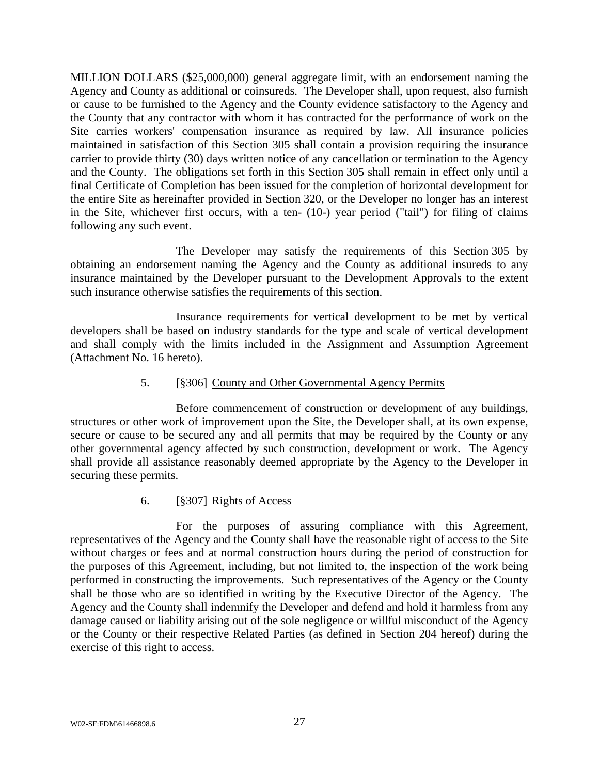MILLION DOLLARS (\$25,000,000) general aggregate limit, with an endorsement naming the Agency and County as additional or coinsureds. The Developer shall, upon request, also furnish or cause to be furnished to the Agency and the County evidence satisfactory to the Agency and the County that any contractor with whom it has contracted for the performance of work on the Site carries workers' compensation insurance as required by law. All insurance policies maintained in satisfaction of this Section 305 shall contain a provision requiring the insurance carrier to provide thirty (30) days written notice of any cancellation or termination to the Agency and the County. The obligations set forth in this Section 305 shall remain in effect only until a final Certificate of Completion has been issued for the completion of horizontal development for the entire Site as hereinafter provided in Section 320, or the Developer no longer has an interest in the Site, whichever first occurs, with a ten- (10-) year period ("tail") for filing of claims following any such event.

The Developer may satisfy the requirements of this Section 305 by obtaining an endorsement naming the Agency and the County as additional insureds to any insurance maintained by the Developer pursuant to the Development Approvals to the extent such insurance otherwise satisfies the requirements of this section.

Insurance requirements for vertical development to be met by vertical developers shall be based on industry standards for the type and scale of vertical development and shall comply with the limits included in the Assignment and Assumption Agreement (Attachment No. 16 hereto).

### 5. [§306] County and Other Governmental Agency Permits

Before commencement of construction or development of any buildings, structures or other work of improvement upon the Site, the Developer shall, at its own expense, secure or cause to be secured any and all permits that may be required by the County or any other governmental agency affected by such construction, development or work. The Agency shall provide all assistance reasonably deemed appropriate by the Agency to the Developer in securing these permits.

### 6. [§307] Rights of Access

For the purposes of assuring compliance with this Agreement, representatives of the Agency and the County shall have the reasonable right of access to the Site without charges or fees and at normal construction hours during the period of construction for the purposes of this Agreement, including, but not limited to, the inspection of the work being performed in constructing the improvements. Such representatives of the Agency or the County shall be those who are so identified in writing by the Executive Director of the Agency. The Agency and the County shall indemnify the Developer and defend and hold it harmless from any damage caused or liability arising out of the sole negligence or willful misconduct of the Agency or the County or their respective Related Parties (as defined in Section 204 hereof) during the exercise of this right to access.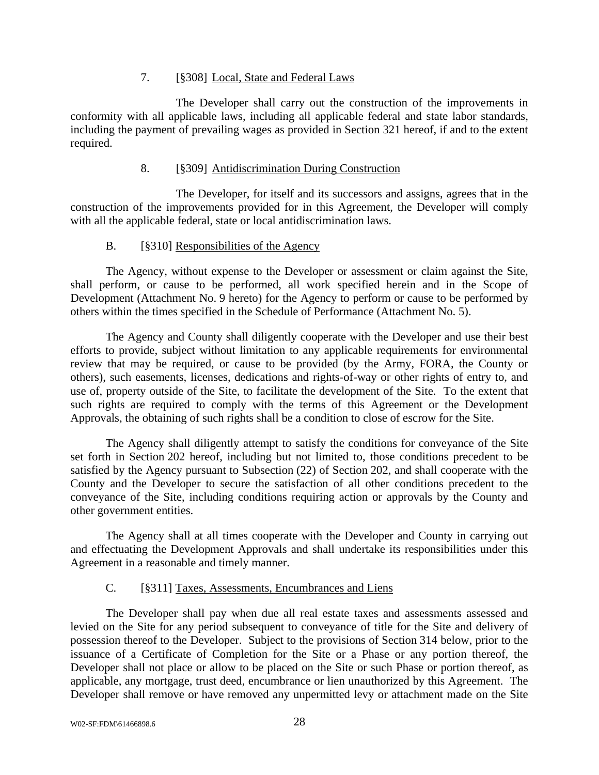#### 7. [§308] Local, State and Federal Laws

The Developer shall carry out the construction of the improvements in conformity with all applicable laws, including all applicable federal and state labor standards, including the payment of prevailing wages as provided in Section 321 hereof, if and to the extent required.

#### 8. [§309] Antidiscrimination During Construction

The Developer, for itself and its successors and assigns, agrees that in the construction of the improvements provided for in this Agreement, the Developer will comply with all the applicable federal, state or local antidiscrimination laws.

### B. [§310] Responsibilities of the Agency

The Agency, without expense to the Developer or assessment or claim against the Site, shall perform, or cause to be performed, all work specified herein and in the Scope of Development (Attachment No. 9 hereto) for the Agency to perform or cause to be performed by others within the times specified in the Schedule of Performance (Attachment No. 5).

The Agency and County shall diligently cooperate with the Developer and use their best efforts to provide, subject without limitation to any applicable requirements for environmental review that may be required, or cause to be provided (by the Army, FORA, the County or others), such easements, licenses, dedications and rights-of-way or other rights of entry to, and use of, property outside of the Site, to facilitate the development of the Site. To the extent that such rights are required to comply with the terms of this Agreement or the Development Approvals, the obtaining of such rights shall be a condition to close of escrow for the Site.

The Agency shall diligently attempt to satisfy the conditions for conveyance of the Site set forth in Section 202 hereof, including but not limited to, those conditions precedent to be satisfied by the Agency pursuant to Subsection (22) of Section 202, and shall cooperate with the County and the Developer to secure the satisfaction of all other conditions precedent to the conveyance of the Site, including conditions requiring action or approvals by the County and other government entities.

The Agency shall at all times cooperate with the Developer and County in carrying out and effectuating the Development Approvals and shall undertake its responsibilities under this Agreement in a reasonable and timely manner.

### C. [§311] Taxes, Assessments, Encumbrances and Liens

The Developer shall pay when due all real estate taxes and assessments assessed and levied on the Site for any period subsequent to conveyance of title for the Site and delivery of possession thereof to the Developer. Subject to the provisions of Section 314 below, prior to the issuance of a Certificate of Completion for the Site or a Phase or any portion thereof, the Developer shall not place or allow to be placed on the Site or such Phase or portion thereof, as applicable, any mortgage, trust deed, encumbrance or lien unauthorized by this Agreement. The Developer shall remove or have removed any unpermitted levy or attachment made on the Site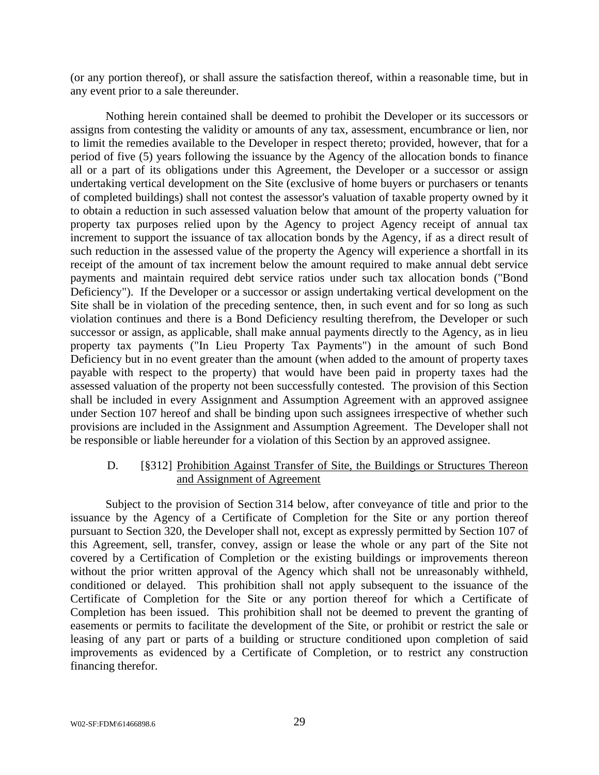(or any portion thereof), or shall assure the satisfaction thereof, within a reasonable time, but in any event prior to a sale thereunder.

Nothing herein contained shall be deemed to prohibit the Developer or its successors or assigns from contesting the validity or amounts of any tax, assessment, encumbrance or lien, nor to limit the remedies available to the Developer in respect thereto; provided, however, that for a period of five (5) years following the issuance by the Agency of the allocation bonds to finance all or a part of its obligations under this Agreement, the Developer or a successor or assign undertaking vertical development on the Site (exclusive of home buyers or purchasers or tenants of completed buildings) shall not contest the assessor's valuation of taxable property owned by it to obtain a reduction in such assessed valuation below that amount of the property valuation for property tax purposes relied upon by the Agency to project Agency receipt of annual tax increment to support the issuance of tax allocation bonds by the Agency, if as a direct result of such reduction in the assessed value of the property the Agency will experience a shortfall in its receipt of the amount of tax increment below the amount required to make annual debt service payments and maintain required debt service ratios under such tax allocation bonds ("Bond Deficiency"). If the Developer or a successor or assign undertaking vertical development on the Site shall be in violation of the preceding sentence, then, in such event and for so long as such violation continues and there is a Bond Deficiency resulting therefrom, the Developer or such successor or assign, as applicable, shall make annual payments directly to the Agency, as in lieu property tax payments ("In Lieu Property Tax Payments") in the amount of such Bond Deficiency but in no event greater than the amount (when added to the amount of property taxes payable with respect to the property) that would have been paid in property taxes had the assessed valuation of the property not been successfully contested. The provision of this Section shall be included in every Assignment and Assumption Agreement with an approved assignee under Section 107 hereof and shall be binding upon such assignees irrespective of whether such provisions are included in the Assignment and Assumption Agreement. The Developer shall not be responsible or liable hereunder for a violation of this Section by an approved assignee.

### D. [§312] Prohibition Against Transfer of Site, the Buildings or Structures Thereon and Assignment of Agreement

Subject to the provision of Section 314 below, after conveyance of title and prior to the issuance by the Agency of a Certificate of Completion for the Site or any portion thereof pursuant to Section 320, the Developer shall not, except as expressly permitted by Section 107 of this Agreement, sell, transfer, convey, assign or lease the whole or any part of the Site not covered by a Certification of Completion or the existing buildings or improvements thereon without the prior written approval of the Agency which shall not be unreasonably withheld, conditioned or delayed. This prohibition shall not apply subsequent to the issuance of the Certificate of Completion for the Site or any portion thereof for which a Certificate of Completion has been issued. This prohibition shall not be deemed to prevent the granting of easements or permits to facilitate the development of the Site, or prohibit or restrict the sale or leasing of any part or parts of a building or structure conditioned upon completion of said improvements as evidenced by a Certificate of Completion, or to restrict any construction financing therefor.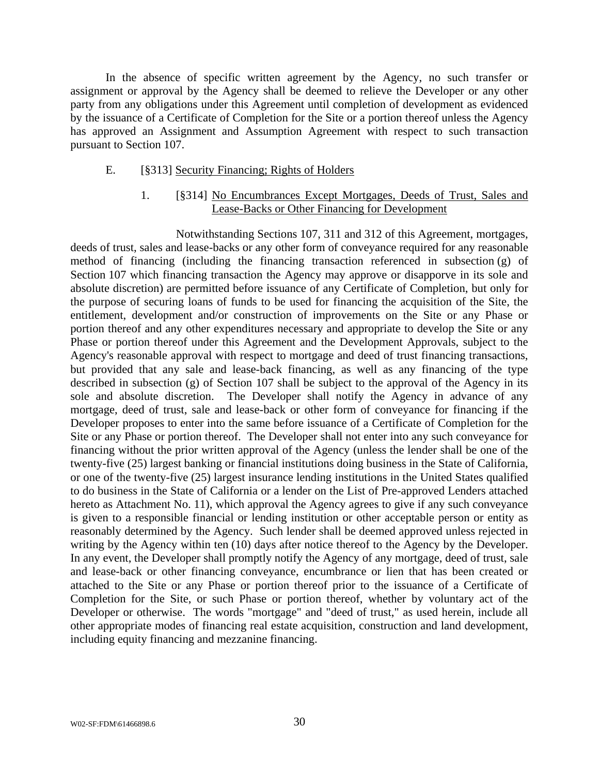In the absence of specific written agreement by the Agency, no such transfer or assignment or approval by the Agency shall be deemed to relieve the Developer or any other party from any obligations under this Agreement until completion of development as evidenced by the issuance of a Certificate of Completion for the Site or a portion thereof unless the Agency has approved an Assignment and Assumption Agreement with respect to such transaction pursuant to Section 107.

#### E. [§313] Security Financing; Rights of Holders

### 1. [§314] No Encumbrances Except Mortgages, Deeds of Trust, Sales and Lease-Backs or Other Financing for Development

Notwithstanding Sections 107, 311 and 312 of this Agreement, mortgages, deeds of trust, sales and lease-backs or any other form of conveyance required for any reasonable method of financing (including the financing transaction referenced in subsection (g) of Section 107 which financing transaction the Agency may approve or disapporve in its sole and absolute discretion) are permitted before issuance of any Certificate of Completion, but only for the purpose of securing loans of funds to be used for financing the acquisition of the Site, the entitlement, development and/or construction of improvements on the Site or any Phase or portion thereof and any other expenditures necessary and appropriate to develop the Site or any Phase or portion thereof under this Agreement and the Development Approvals, subject to the Agency's reasonable approval with respect to mortgage and deed of trust financing transactions, but provided that any sale and lease-back financing, as well as any financing of the type described in subsection (g) of Section 107 shall be subject to the approval of the Agency in its sole and absolute discretion. The Developer shall notify the Agency in advance of any mortgage, deed of trust, sale and lease-back or other form of conveyance for financing if the Developer proposes to enter into the same before issuance of a Certificate of Completion for the Site or any Phase or portion thereof. The Developer shall not enter into any such conveyance for financing without the prior written approval of the Agency (unless the lender shall be one of the twenty-five (25) largest banking or financial institutions doing business in the State of California, or one of the twenty-five (25) largest insurance lending institutions in the United States qualified to do business in the State of California or a lender on the List of Pre-approved Lenders attached hereto as Attachment No. 11), which approval the Agency agrees to give if any such conveyance is given to a responsible financial or lending institution or other acceptable person or entity as reasonably determined by the Agency. Such lender shall be deemed approved unless rejected in writing by the Agency within ten (10) days after notice thereof to the Agency by the Developer. In any event, the Developer shall promptly notify the Agency of any mortgage, deed of trust, sale and lease-back or other financing conveyance, encumbrance or lien that has been created or attached to the Site or any Phase or portion thereof prior to the issuance of a Certificate of Completion for the Site, or such Phase or portion thereof, whether by voluntary act of the Developer or otherwise. The words "mortgage" and "deed of trust," as used herein, include all other appropriate modes of financing real estate acquisition, construction and land development, including equity financing and mezzanine financing.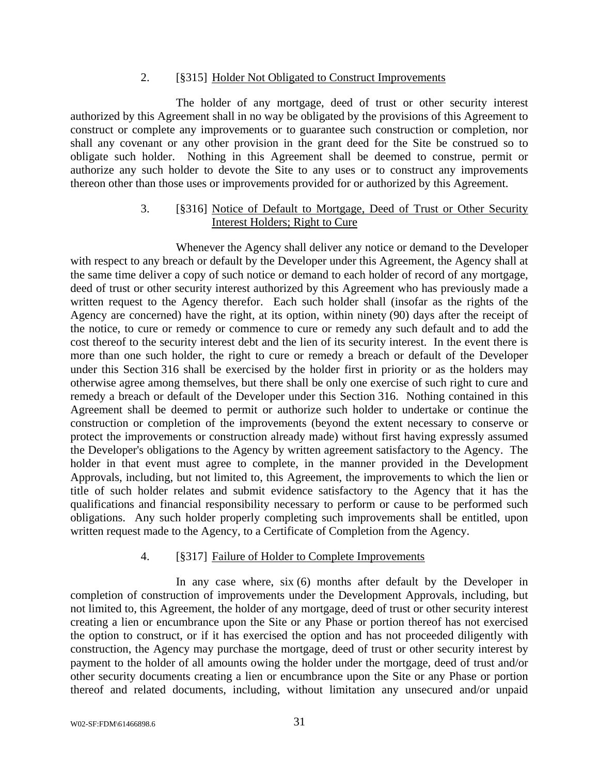#### 2. [§315] Holder Not Obligated to Construct Improvements

The holder of any mortgage, deed of trust or other security interest authorized by this Agreement shall in no way be obligated by the provisions of this Agreement to construct or complete any improvements or to guarantee such construction or completion, nor shall any covenant or any other provision in the grant deed for the Site be construed so to obligate such holder. Nothing in this Agreement shall be deemed to construe, permit or authorize any such holder to devote the Site to any uses or to construct any improvements thereon other than those uses or improvements provided for or authorized by this Agreement.

#### 3. [§316] Notice of Default to Mortgage, Deed of Trust or Other Security Interest Holders; Right to Cure

Whenever the Agency shall deliver any notice or demand to the Developer with respect to any breach or default by the Developer under this Agreement, the Agency shall at the same time deliver a copy of such notice or demand to each holder of record of any mortgage, deed of trust or other security interest authorized by this Agreement who has previously made a written request to the Agency therefor. Each such holder shall (insofar as the rights of the Agency are concerned) have the right, at its option, within ninety (90) days after the receipt of the notice, to cure or remedy or commence to cure or remedy any such default and to add the cost thereof to the security interest debt and the lien of its security interest. In the event there is more than one such holder, the right to cure or remedy a breach or default of the Developer under this Section 316 shall be exercised by the holder first in priority or as the holders may otherwise agree among themselves, but there shall be only one exercise of such right to cure and remedy a breach or default of the Developer under this Section 316. Nothing contained in this Agreement shall be deemed to permit or authorize such holder to undertake or continue the construction or completion of the improvements (beyond the extent necessary to conserve or protect the improvements or construction already made) without first having expressly assumed the Developer's obligations to the Agency by written agreement satisfactory to the Agency. The holder in that event must agree to complete, in the manner provided in the Development Approvals, including, but not limited to, this Agreement, the improvements to which the lien or title of such holder relates and submit evidence satisfactory to the Agency that it has the qualifications and financial responsibility necessary to perform or cause to be performed such obligations. Any such holder properly completing such improvements shall be entitled, upon written request made to the Agency, to a Certificate of Completion from the Agency.

### 4. [§317] Failure of Holder to Complete Improvements

In any case where, six (6) months after default by the Developer in completion of construction of improvements under the Development Approvals, including, but not limited to, this Agreement, the holder of any mortgage, deed of trust or other security interest creating a lien or encumbrance upon the Site or any Phase or portion thereof has not exercised the option to construct, or if it has exercised the option and has not proceeded diligently with construction, the Agency may purchase the mortgage, deed of trust or other security interest by payment to the holder of all amounts owing the holder under the mortgage, deed of trust and/or other security documents creating a lien or encumbrance upon the Site or any Phase or portion thereof and related documents, including, without limitation any unsecured and/or unpaid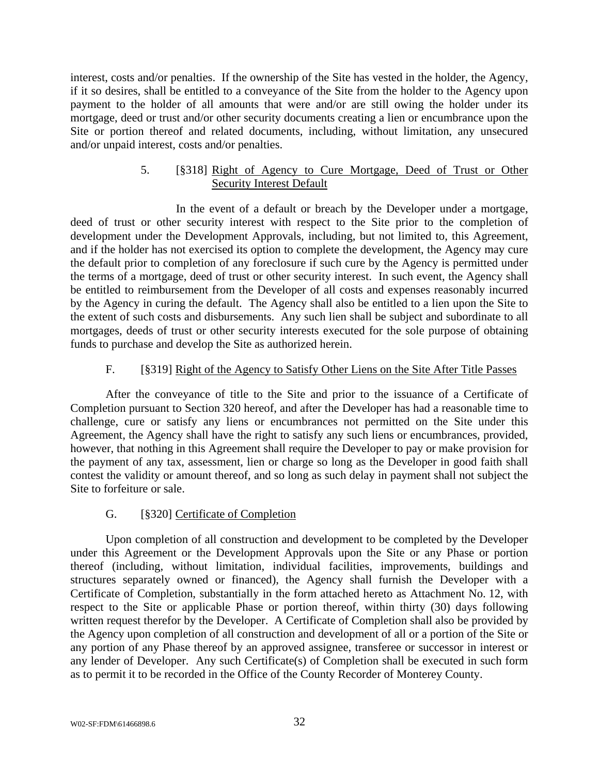interest, costs and/or penalties. If the ownership of the Site has vested in the holder, the Agency, if it so desires, shall be entitled to a conveyance of the Site from the holder to the Agency upon payment to the holder of all amounts that were and/or are still owing the holder under its mortgage, deed or trust and/or other security documents creating a lien or encumbrance upon the Site or portion thereof and related documents, including, without limitation, any unsecured and/or unpaid interest, costs and/or penalties.

### 5. [§318] Right of Agency to Cure Mortgage, Deed of Trust or Other Security Interest Default

In the event of a default or breach by the Developer under a mortgage, deed of trust or other security interest with respect to the Site prior to the completion of development under the Development Approvals, including, but not limited to, this Agreement, and if the holder has not exercised its option to complete the development, the Agency may cure the default prior to completion of any foreclosure if such cure by the Agency is permitted under the terms of a mortgage, deed of trust or other security interest. In such event, the Agency shall be entitled to reimbursement from the Developer of all costs and expenses reasonably incurred by the Agency in curing the default. The Agency shall also be entitled to a lien upon the Site to the extent of such costs and disbursements. Any such lien shall be subject and subordinate to all mortgages, deeds of trust or other security interests executed for the sole purpose of obtaining funds to purchase and develop the Site as authorized herein.

### F. [§319] Right of the Agency to Satisfy Other Liens on the Site After Title Passes

After the conveyance of title to the Site and prior to the issuance of a Certificate of Completion pursuant to Section 320 hereof, and after the Developer has had a reasonable time to challenge, cure or satisfy any liens or encumbrances not permitted on the Site under this Agreement, the Agency shall have the right to satisfy any such liens or encumbrances, provided, however, that nothing in this Agreement shall require the Developer to pay or make provision for the payment of any tax, assessment, lien or charge so long as the Developer in good faith shall contest the validity or amount thereof, and so long as such delay in payment shall not subject the Site to forfeiture or sale.

### G. [§320] Certificate of Completion

Upon completion of all construction and development to be completed by the Developer under this Agreement or the Development Approvals upon the Site or any Phase or portion thereof (including, without limitation, individual facilities, improvements, buildings and structures separately owned or financed), the Agency shall furnish the Developer with a Certificate of Completion, substantially in the form attached hereto as Attachment No. 12, with respect to the Site or applicable Phase or portion thereof, within thirty (30) days following written request therefor by the Developer. A Certificate of Completion shall also be provided by the Agency upon completion of all construction and development of all or a portion of the Site or any portion of any Phase thereof by an approved assignee, transferee or successor in interest or any lender of Developer. Any such Certificate(s) of Completion shall be executed in such form as to permit it to be recorded in the Office of the County Recorder of Monterey County.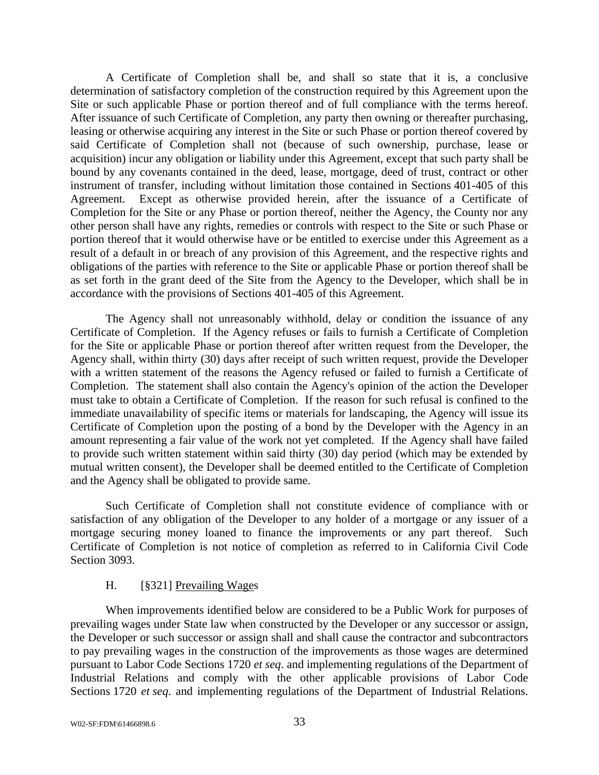A Certificate of Completion shall be, and shall so state that it is, a conclusive determination of satisfactory completion of the construction required by this Agreement upon the Site or such applicable Phase or portion thereof and of full compliance with the terms hereof. After issuance of such Certificate of Completion, any party then owning or thereafter purchasing, leasing or otherwise acquiring any interest in the Site or such Phase or portion thereof covered by said Certificate of Completion shall not (because of such ownership, purchase, lease or acquisition) incur any obligation or liability under this Agreement, except that such party shall be bound by any covenants contained in the deed, lease, mortgage, deed of trust, contract or other instrument of transfer, including without limitation those contained in Sections 401-405 of this Agreement. Except as otherwise provided herein, after the issuance of a Certificate of Completion for the Site or any Phase or portion thereof, neither the Agency, the County nor any other person shall have any rights, remedies or controls with respect to the Site or such Phase or portion thereof that it would otherwise have or be entitled to exercise under this Agreement as a result of a default in or breach of any provision of this Agreement, and the respective rights and obligations of the parties with reference to the Site or applicable Phase or portion thereof shall be as set forth in the grant deed of the Site from the Agency to the Developer, which shall be in accordance with the provisions of Sections 401-405 of this Agreement.

The Agency shall not unreasonably withhold, delay or condition the issuance of any Certificate of Completion. If the Agency refuses or fails to furnish a Certificate of Completion for the Site or applicable Phase or portion thereof after written request from the Developer, the Agency shall, within thirty (30) days after receipt of such written request, provide the Developer with a written statement of the reasons the Agency refused or failed to furnish a Certificate of Completion. The statement shall also contain the Agency's opinion of the action the Developer must take to obtain a Certificate of Completion. If the reason for such refusal is confined to the immediate unavailability of specific items or materials for landscaping, the Agency will issue its Certificate of Completion upon the posting of a bond by the Developer with the Agency in an amount representing a fair value of the work not yet completed. If the Agency shall have failed to provide such written statement within said thirty (30) day period (which may be extended by mutual written consent), the Developer shall be deemed entitled to the Certificate of Completion and the Agency shall be obligated to provide same.

Such Certificate of Completion shall not constitute evidence of compliance with or satisfaction of any obligation of the Developer to any holder of a mortgage or any issuer of a mortgage securing money loaned to finance the improvements or any part thereof. Such Certificate of Completion is not notice of completion as referred to in California Civil Code Section 3093.

### H. [§321] Prevailing Wages

When improvements identified below are considered to be a Public Work for purposes of prevailing wages under State law when constructed by the Developer or any successor or assign, the Developer or such successor or assign shall and shall cause the contractor and subcontractors to pay prevailing wages in the construction of the improvements as those wages are determined pursuant to Labor Code Sections 1720 *et seq*. and implementing regulations of the Department of Industrial Relations and comply with the other applicable provisions of Labor Code Sections 1720 *et seq*. and implementing regulations of the Department of Industrial Relations.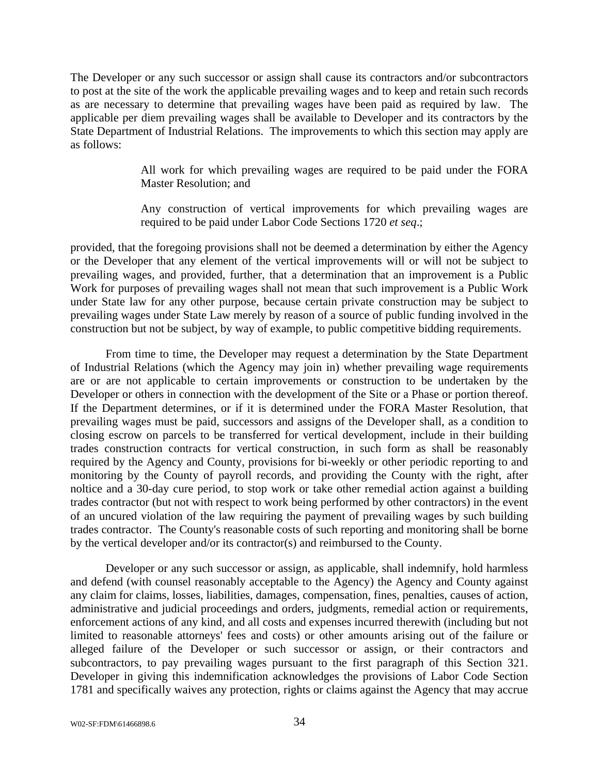The Developer or any such successor or assign shall cause its contractors and/or subcontractors to post at the site of the work the applicable prevailing wages and to keep and retain such records as are necessary to determine that prevailing wages have been paid as required by law. The applicable per diem prevailing wages shall be available to Developer and its contractors by the State Department of Industrial Relations. The improvements to which this section may apply are as follows:

> All work for which prevailing wages are required to be paid under the FORA Master Resolution; and

> Any construction of vertical improvements for which prevailing wages are required to be paid under Labor Code Sections 1720 *et seq*.;

provided, that the foregoing provisions shall not be deemed a determination by either the Agency or the Developer that any element of the vertical improvements will or will not be subject to prevailing wages, and provided, further, that a determination that an improvement is a Public Work for purposes of prevailing wages shall not mean that such improvement is a Public Work under State law for any other purpose, because certain private construction may be subject to prevailing wages under State Law merely by reason of a source of public funding involved in the construction but not be subject, by way of example, to public competitive bidding requirements.

From time to time, the Developer may request a determination by the State Department of Industrial Relations (which the Agency may join in) whether prevailing wage requirements are or are not applicable to certain improvements or construction to be undertaken by the Developer or others in connection with the development of the Site or a Phase or portion thereof. If the Department determines, or if it is determined under the FORA Master Resolution, that prevailing wages must be paid, successors and assigns of the Developer shall, as a condition to closing escrow on parcels to be transferred for vertical development, include in their building trades construction contracts for vertical construction, in such form as shall be reasonably required by the Agency and County, provisions for bi-weekly or other periodic reporting to and monitoring by the County of payroll records, and providing the County with the right, after noltice and a 30-day cure period, to stop work or take other remedial action against a building trades contractor (but not with respect to work being performed by other contractors) in the event of an uncured violation of the law requiring the payment of prevailing wages by such building trades contractor. The County's reasonable costs of such reporting and monitoring shall be borne by the vertical developer and/or its contractor(s) and reimbursed to the County.

Developer or any such successor or assign, as applicable, shall indemnify, hold harmless and defend (with counsel reasonably acceptable to the Agency) the Agency and County against any claim for claims, losses, liabilities, damages, compensation, fines, penalties, causes of action, administrative and judicial proceedings and orders, judgments, remedial action or requirements, enforcement actions of any kind, and all costs and expenses incurred therewith (including but not limited to reasonable attorneys' fees and costs) or other amounts arising out of the failure or alleged failure of the Developer or such successor or assign, or their contractors and subcontractors, to pay prevailing wages pursuant to the first paragraph of this Section 321. Developer in giving this indemnification acknowledges the provisions of Labor Code Section 1781 and specifically waives any protection, rights or claims against the Agency that may accrue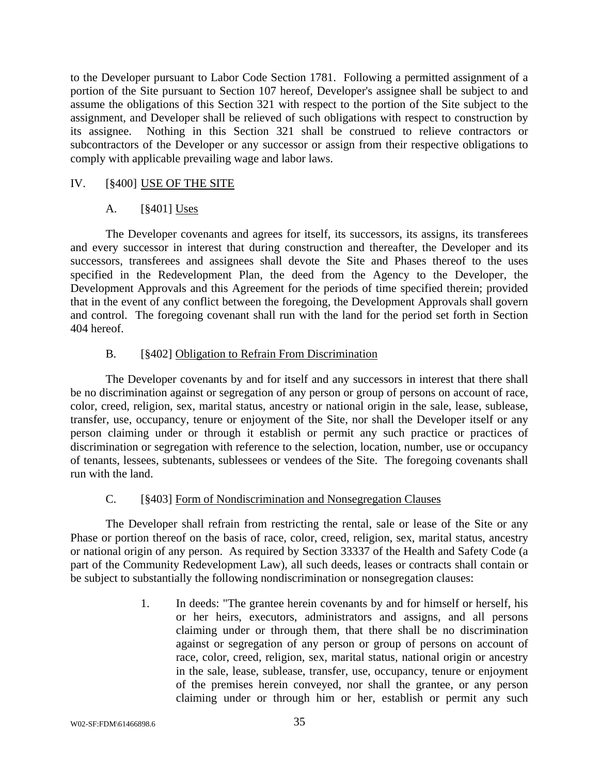to the Developer pursuant to Labor Code Section 1781. Following a permitted assignment of a portion of the Site pursuant to Section 107 hereof, Developer's assignee shall be subject to and assume the obligations of this Section 321 with respect to the portion of the Site subject to the assignment, and Developer shall be relieved of such obligations with respect to construction by its assignee. Nothing in this Section 321 shall be construed to relieve contractors or subcontractors of the Developer or any successor or assign from their respective obligations to comply with applicable prevailing wage and labor laws.

### IV. [§400] USE OF THE SITE

### A. [§401] Uses

The Developer covenants and agrees for itself, its successors, its assigns, its transferees and every successor in interest that during construction and thereafter, the Developer and its successors, transferees and assignees shall devote the Site and Phases thereof to the uses specified in the Redevelopment Plan, the deed from the Agency to the Developer, the Development Approvals and this Agreement for the periods of time specified therein; provided that in the event of any conflict between the foregoing, the Development Approvals shall govern and control. The foregoing covenant shall run with the land for the period set forth in Section 404 hereof.

### B. [§402] Obligation to Refrain From Discrimination

The Developer covenants by and for itself and any successors in interest that there shall be no discrimination against or segregation of any person or group of persons on account of race, color, creed, religion, sex, marital status, ancestry or national origin in the sale, lease, sublease, transfer, use, occupancy, tenure or enjoyment of the Site, nor shall the Developer itself or any person claiming under or through it establish or permit any such practice or practices of discrimination or segregation with reference to the selection, location, number, use or occupancy of tenants, lessees, subtenants, sublessees or vendees of the Site. The foregoing covenants shall run with the land.

### C. [§403] Form of Nondiscrimination and Nonsegregation Clauses

The Developer shall refrain from restricting the rental, sale or lease of the Site or any Phase or portion thereof on the basis of race, color, creed, religion, sex, marital status, ancestry or national origin of any person. As required by Section 33337 of the Health and Safety Code (a part of the Community Redevelopment Law), all such deeds, leases or contracts shall contain or be subject to substantially the following nondiscrimination or nonsegregation clauses:

> 1. In deeds: "The grantee herein covenants by and for himself or herself, his or her heirs, executors, administrators and assigns, and all persons claiming under or through them, that there shall be no discrimination against or segregation of any person or group of persons on account of race, color, creed, religion, sex, marital status, national origin or ancestry in the sale, lease, sublease, transfer, use, occupancy, tenure or enjoyment of the premises herein conveyed, nor shall the grantee, or any person claiming under or through him or her, establish or permit any such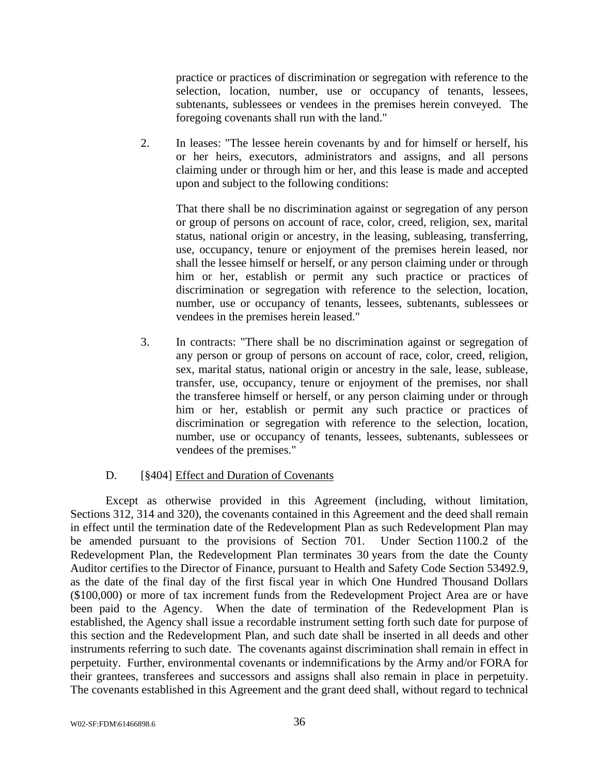practice or practices of discrimination or segregation with reference to the selection, location, number, use or occupancy of tenants, lessees, subtenants, sublessees or vendees in the premises herein conveyed. The foregoing covenants shall run with the land."

2. In leases: "The lessee herein covenants by and for himself or herself, his or her heirs, executors, administrators and assigns, and all persons claiming under or through him or her, and this lease is made and accepted upon and subject to the following conditions:

 That there shall be no discrimination against or segregation of any person or group of persons on account of race, color, creed, religion, sex, marital status, national origin or ancestry, in the leasing, subleasing, transferring, use, occupancy, tenure or enjoyment of the premises herein leased, nor shall the lessee himself or herself, or any person claiming under or through him or her, establish or permit any such practice or practices of discrimination or segregation with reference to the selection, location, number, use or occupancy of tenants, lessees, subtenants, sublessees or vendees in the premises herein leased."

3. In contracts: "There shall be no discrimination against or segregation of any person or group of persons on account of race, color, creed, religion, sex, marital status, national origin or ancestry in the sale, lease, sublease, transfer, use, occupancy, tenure or enjoyment of the premises, nor shall the transferee himself or herself, or any person claiming under or through him or her, establish or permit any such practice or practices of discrimination or segregation with reference to the selection, location, number, use or occupancy of tenants, lessees, subtenants, sublessees or vendees of the premises."

### D. [§404] Effect and Duration of Covenants

Except as otherwise provided in this Agreement (including, without limitation, Sections 312, 314 and 320), the covenants contained in this Agreement and the deed shall remain in effect until the termination date of the Redevelopment Plan as such Redevelopment Plan may be amended pursuant to the provisions of Section 701. Under Section 1100.2 of the Redevelopment Plan, the Redevelopment Plan terminates 30 years from the date the County Auditor certifies to the Director of Finance, pursuant to Health and Safety Code Section 53492.9, as the date of the final day of the first fiscal year in which One Hundred Thousand Dollars (\$100,000) or more of tax increment funds from the Redevelopment Project Area are or have been paid to the Agency. When the date of termination of the Redevelopment Plan is established, the Agency shall issue a recordable instrument setting forth such date for purpose of this section and the Redevelopment Plan, and such date shall be inserted in all deeds and other instruments referring to such date. The covenants against discrimination shall remain in effect in perpetuity. Further, environmental covenants or indemnifications by the Army and/or FORA for their grantees, transferees and successors and assigns shall also remain in place in perpetuity. The covenants established in this Agreement and the grant deed shall, without regard to technical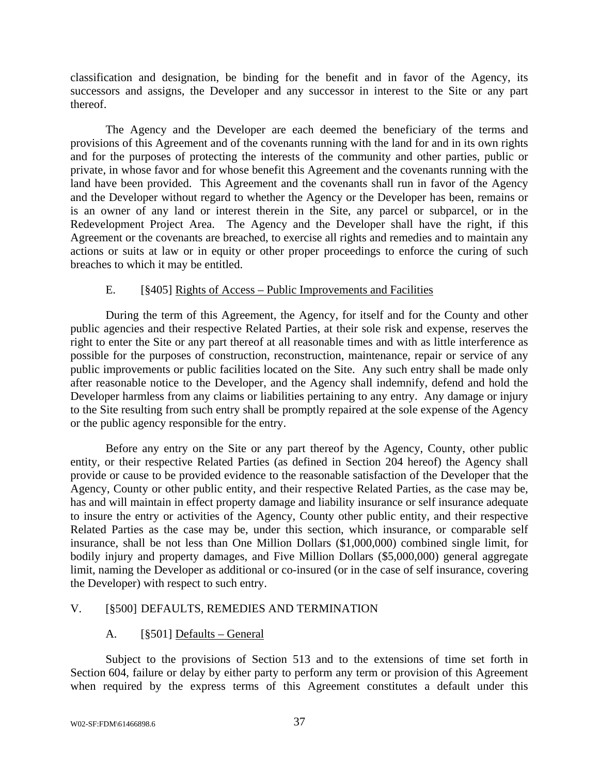classification and designation, be binding for the benefit and in favor of the Agency, its successors and assigns, the Developer and any successor in interest to the Site or any part thereof.

The Agency and the Developer are each deemed the beneficiary of the terms and provisions of this Agreement and of the covenants running with the land for and in its own rights and for the purposes of protecting the interests of the community and other parties, public or private, in whose favor and for whose benefit this Agreement and the covenants running with the land have been provided. This Agreement and the covenants shall run in favor of the Agency and the Developer without regard to whether the Agency or the Developer has been, remains or is an owner of any land or interest therein in the Site, any parcel or subparcel, or in the Redevelopment Project Area. The Agency and the Developer shall have the right, if this Agreement or the covenants are breached, to exercise all rights and remedies and to maintain any actions or suits at law or in equity or other proper proceedings to enforce the curing of such breaches to which it may be entitled.

### E. [§405] Rights of Access – Public Improvements and Facilities

During the term of this Agreement, the Agency, for itself and for the County and other public agencies and their respective Related Parties, at their sole risk and expense, reserves the right to enter the Site or any part thereof at all reasonable times and with as little interference as possible for the purposes of construction, reconstruction, maintenance, repair or service of any public improvements or public facilities located on the Site. Any such entry shall be made only after reasonable notice to the Developer, and the Agency shall indemnify, defend and hold the Developer harmless from any claims or liabilities pertaining to any entry. Any damage or injury to the Site resulting from such entry shall be promptly repaired at the sole expense of the Agency or the public agency responsible for the entry.

Before any entry on the Site or any part thereof by the Agency, County, other public entity, or their respective Related Parties (as defined in Section 204 hereof) the Agency shall provide or cause to be provided evidence to the reasonable satisfaction of the Developer that the Agency, County or other public entity, and their respective Related Parties, as the case may be, has and will maintain in effect property damage and liability insurance or self insurance adequate to insure the entry or activities of the Agency, County other public entity, and their respective Related Parties as the case may be, under this section, which insurance, or comparable self insurance, shall be not less than One Million Dollars (\$1,000,000) combined single limit, for bodily injury and property damages, and Five Million Dollars (\$5,000,000) general aggregate limit, naming the Developer as additional or co-insured (or in the case of self insurance, covering the Developer) with respect to such entry.

### V. [§500] DEFAULTS, REMEDIES AND TERMINATION

### A. [§501] Defaults – General

Subject to the provisions of Section 513 and to the extensions of time set forth in Section 604, failure or delay by either party to perform any term or provision of this Agreement when required by the express terms of this Agreement constitutes a default under this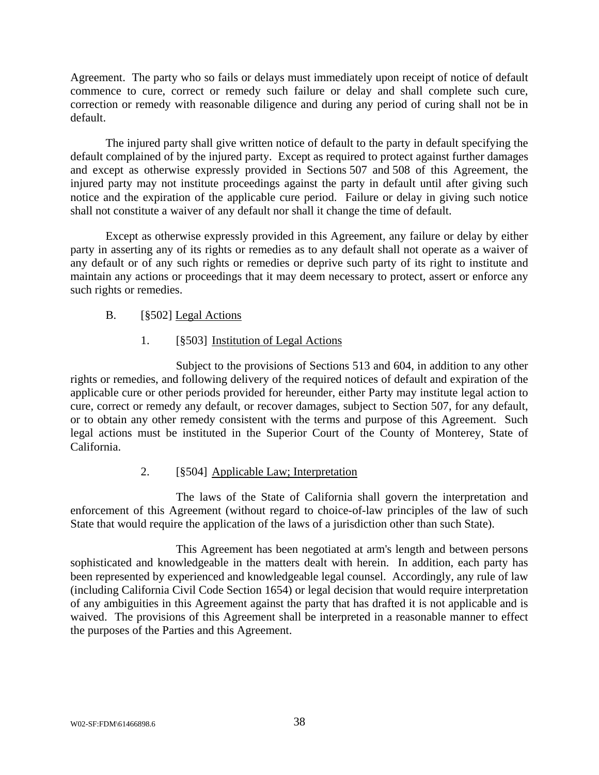Agreement. The party who so fails or delays must immediately upon receipt of notice of default commence to cure, correct or remedy such failure or delay and shall complete such cure, correction or remedy with reasonable diligence and during any period of curing shall not be in default.

The injured party shall give written notice of default to the party in default specifying the default complained of by the injured party. Except as required to protect against further damages and except as otherwise expressly provided in Sections 507 and 508 of this Agreement, the injured party may not institute proceedings against the party in default until after giving such notice and the expiration of the applicable cure period. Failure or delay in giving such notice shall not constitute a waiver of any default nor shall it change the time of default.

Except as otherwise expressly provided in this Agreement, any failure or delay by either party in asserting any of its rights or remedies as to any default shall not operate as a waiver of any default or of any such rights or remedies or deprive such party of its right to institute and maintain any actions or proceedings that it may deem necessary to protect, assert or enforce any such rights or remedies.

### B. [§502] Legal Actions

### 1. [§503] Institution of Legal Actions

Subject to the provisions of Sections 513 and 604, in addition to any other rights or remedies, and following delivery of the required notices of default and expiration of the applicable cure or other periods provided for hereunder, either Party may institute legal action to cure, correct or remedy any default, or recover damages, subject to Section 507, for any default, or to obtain any other remedy consistent with the terms and purpose of this Agreement. Such legal actions must be instituted in the Superior Court of the County of Monterey, State of California.

### 2. [§504] Applicable Law; Interpretation

The laws of the State of California shall govern the interpretation and enforcement of this Agreement (without regard to choice-of-law principles of the law of such State that would require the application of the laws of a jurisdiction other than such State).

This Agreement has been negotiated at arm's length and between persons sophisticated and knowledgeable in the matters dealt with herein. In addition, each party has been represented by experienced and knowledgeable legal counsel. Accordingly, any rule of law (including California Civil Code Section 1654) or legal decision that would require interpretation of any ambiguities in this Agreement against the party that has drafted it is not applicable and is waived. The provisions of this Agreement shall be interpreted in a reasonable manner to effect the purposes of the Parties and this Agreement.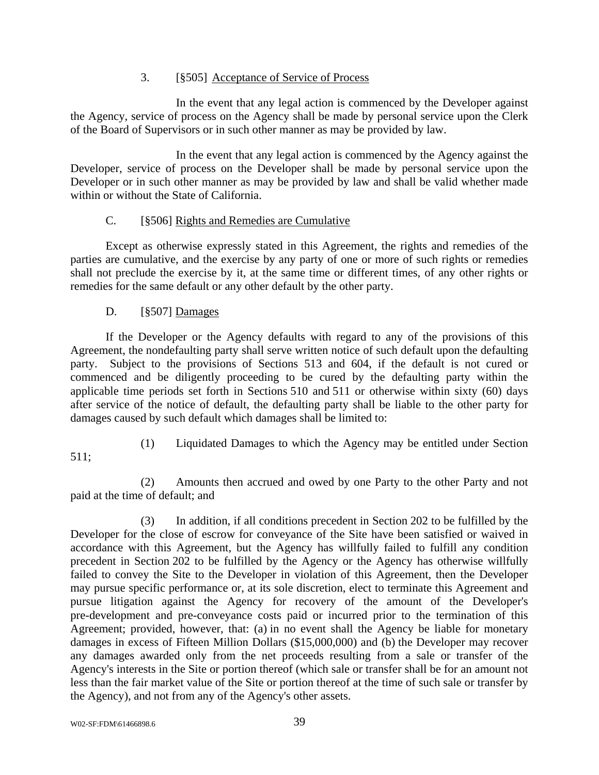### 3. [§505] Acceptance of Service of Process

In the event that any legal action is commenced by the Developer against the Agency, service of process on the Agency shall be made by personal service upon the Clerk of the Board of Supervisors or in such other manner as may be provided by law.

In the event that any legal action is commenced by the Agency against the Developer, service of process on the Developer shall be made by personal service upon the Developer or in such other manner as may be provided by law and shall be valid whether made within or without the State of California.

### C. [§506] Rights and Remedies are Cumulative

Except as otherwise expressly stated in this Agreement, the rights and remedies of the parties are cumulative, and the exercise by any party of one or more of such rights or remedies shall not preclude the exercise by it, at the same time or different times, of any other rights or remedies for the same default or any other default by the other party.

# D. [§507] Damages

If the Developer or the Agency defaults with regard to any of the provisions of this Agreement, the nondefaulting party shall serve written notice of such default upon the defaulting party. Subject to the provisions of Sections 513 and 604, if the default is not cured or commenced and be diligently proceeding to be cured by the defaulting party within the applicable time periods set forth in Sections 510 and 511 or otherwise within sixty (60) days after service of the notice of default, the defaulting party shall be liable to the other party for damages caused by such default which damages shall be limited to:

(1) Liquidated Damages to which the Agency may be entitled under Section

511;

(2) Amounts then accrued and owed by one Party to the other Party and not paid at the time of default; and

(3) In addition, if all conditions precedent in Section 202 to be fulfilled by the Developer for the close of escrow for conveyance of the Site have been satisfied or waived in accordance with this Agreement, but the Agency has willfully failed to fulfill any condition precedent in Section 202 to be fulfilled by the Agency or the Agency has otherwise willfully failed to convey the Site to the Developer in violation of this Agreement, then the Developer may pursue specific performance or, at its sole discretion, elect to terminate this Agreement and pursue litigation against the Agency for recovery of the amount of the Developer's pre-development and pre-conveyance costs paid or incurred prior to the termination of this Agreement; provided, however, that: (a) in no event shall the Agency be liable for monetary damages in excess of Fifteen Million Dollars (\$15,000,000) and (b) the Developer may recover any damages awarded only from the net proceeds resulting from a sale or transfer of the Agency's interests in the Site or portion thereof (which sale or transfer shall be for an amount not less than the fair market value of the Site or portion thereof at the time of such sale or transfer by the Agency), and not from any of the Agency's other assets.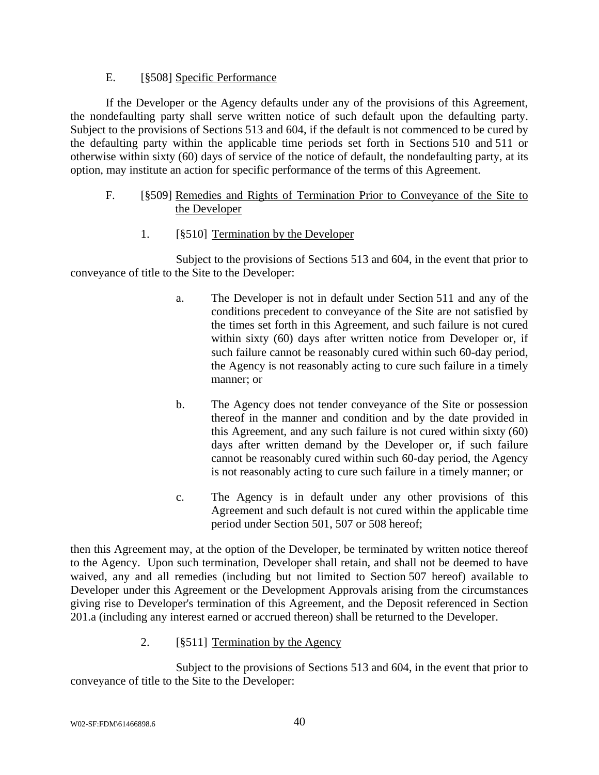### E. [§508] Specific Performance

If the Developer or the Agency defaults under any of the provisions of this Agreement, the nondefaulting party shall serve written notice of such default upon the defaulting party. Subject to the provisions of Sections 513 and 604, if the default is not commenced to be cured by the defaulting party within the applicable time periods set forth in Sections 510 and 511 or otherwise within sixty (60) days of service of the notice of default, the nondefaulting party, at its option, may institute an action for specific performance of the terms of this Agreement.

### F. [§509] Remedies and Rights of Termination Prior to Conveyance of the Site to the Developer

### 1. [§510] Termination by the Developer

Subject to the provisions of Sections 513 and 604, in the event that prior to conveyance of title to the Site to the Developer:

- a. The Developer is not in default under Section 511 and any of the conditions precedent to conveyance of the Site are not satisfied by the times set forth in this Agreement, and such failure is not cured within sixty (60) days after written notice from Developer or, if such failure cannot be reasonably cured within such 60-day period, the Agency is not reasonably acting to cure such failure in a timely manner; or
- b. The Agency does not tender conveyance of the Site or possession thereof in the manner and condition and by the date provided in this Agreement, and any such failure is not cured within sixty (60) days after written demand by the Developer or, if such failure cannot be reasonably cured within such 60-day period, the Agency is not reasonably acting to cure such failure in a timely manner; or
- c. The Agency is in default under any other provisions of this Agreement and such default is not cured within the applicable time period under Section 501, 507 or 508 hereof;

then this Agreement may, at the option of the Developer, be terminated by written notice thereof to the Agency. Upon such termination, Developer shall retain, and shall not be deemed to have waived, any and all remedies (including but not limited to Section 507 hereof) available to Developer under this Agreement or the Development Approvals arising from the circumstances giving rise to Developer's termination of this Agreement, and the Deposit referenced in Section 201.a (including any interest earned or accrued thereon) shall be returned to the Developer.

2. [§511] Termination by the Agency

Subject to the provisions of Sections 513 and 604, in the event that prior to conveyance of title to the Site to the Developer: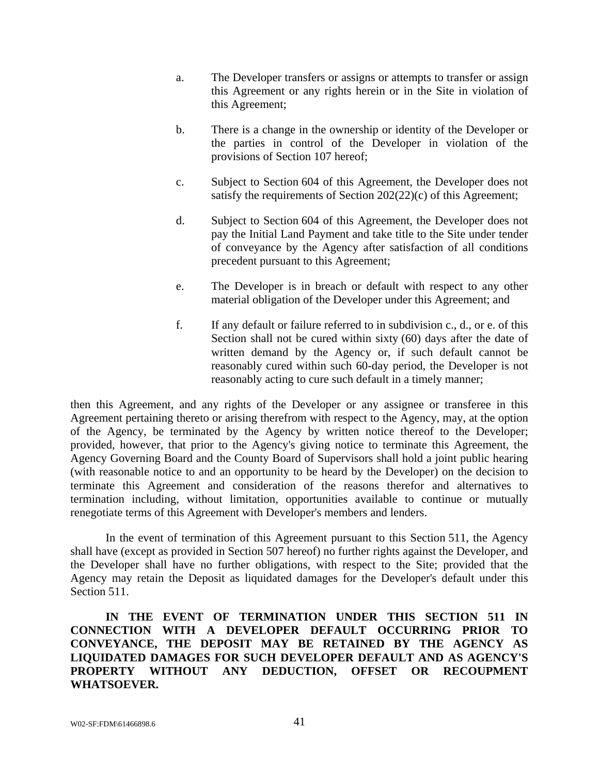- a. The Developer transfers or assigns or attempts to transfer or assign this Agreement or any rights herein or in the Site in violation of this Agreement;
- b. There is a change in the ownership or identity of the Developer or the parties in control of the Developer in violation of the provisions of Section 107 hereof;
- c. Subject to Section 604 of this Agreement, the Developer does not satisfy the requirements of Section 202(22)(c) of this Agreement;
- d. Subject to Section 604 of this Agreement, the Developer does not pay the Initial Land Payment and take title to the Site under tender of conveyance by the Agency after satisfaction of all conditions precedent pursuant to this Agreement;
- e. The Developer is in breach or default with respect to any other material obligation of the Developer under this Agreement; and
- f. If any default or failure referred to in subdivision c., d., or e. of this Section shall not be cured within sixty (60) days after the date of written demand by the Agency or, if such default cannot be reasonably cured within such 60-day period, the Developer is not reasonably acting to cure such default in a timely manner;

then this Agreement, and any rights of the Developer or any assignee or transferee in this Agreement pertaining thereto or arising therefrom with respect to the Agency, may, at the option of the Agency, be terminated by the Agency by written notice thereof to the Developer; provided, however, that prior to the Agency's giving notice to terminate this Agreement, the Agency Governing Board and the County Board of Supervisors shall hold a joint public hearing (with reasonable notice to and an opportunity to be heard by the Developer) on the decision to terminate this Agreement and consideration of the reasons therefor and alternatives to termination including, without limitation, opportunities available to continue or mutually renegotiate terms of this Agreement with Developer's members and lenders.

In the event of termination of this Agreement pursuant to this Section 511, the Agency shall have (except as provided in Section 507 hereof) no further rights against the Developer, and the Developer shall have no further obligations, with respect to the Site; provided that the Agency may retain the Deposit as liquidated damages for the Developer's default under this Section 511.

**IN THE EVENT OF TERMINATION UNDER THIS SECTION 511 IN CONNECTION WITH A DEVELOPER DEFAULT OCCURRING PRIOR TO CONVEYANCE, THE DEPOSIT MAY BE RETAINED BY THE AGENCY AS LIQUIDATED DAMAGES FOR SUCH DEVELOPER DEFAULT AND AS AGENCY'S PROPERTY WITHOUT ANY DEDUCTION, OFFSET OR RECOUPMENT WHATSOEVER.**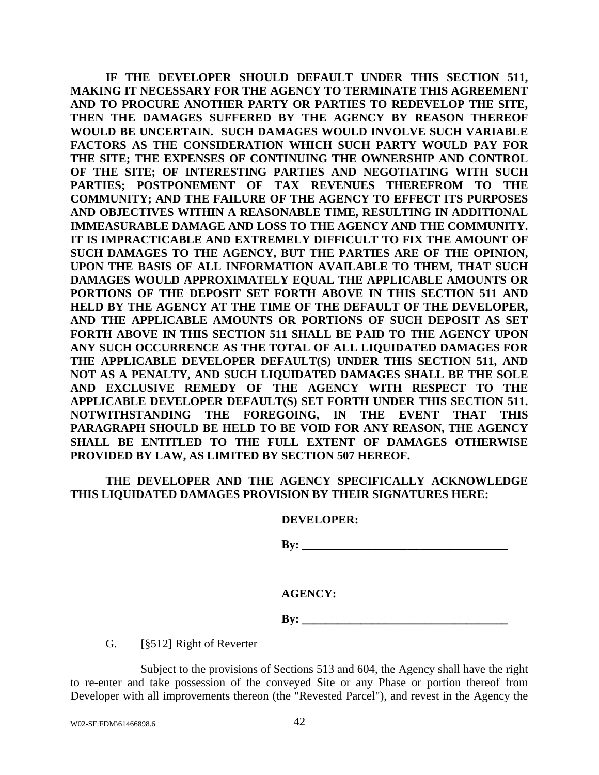**IF THE DEVELOPER SHOULD DEFAULT UNDER THIS SECTION 511, MAKING IT NECESSARY FOR THE AGENCY TO TERMINATE THIS AGREEMENT AND TO PROCURE ANOTHER PARTY OR PARTIES TO REDEVELOP THE SITE, THEN THE DAMAGES SUFFERED BY THE AGENCY BY REASON THEREOF WOULD BE UNCERTAIN. SUCH DAMAGES WOULD INVOLVE SUCH VARIABLE FACTORS AS THE CONSIDERATION WHICH SUCH PARTY WOULD PAY FOR THE SITE; THE EXPENSES OF CONTINUING THE OWNERSHIP AND CONTROL OF THE SITE; OF INTERESTING PARTIES AND NEGOTIATING WITH SUCH PARTIES; POSTPONEMENT OF TAX REVENUES THEREFROM TO THE COMMUNITY; AND THE FAILURE OF THE AGENCY TO EFFECT ITS PURPOSES AND OBJECTIVES WITHIN A REASONABLE TIME, RESULTING IN ADDITIONAL IMMEASURABLE DAMAGE AND LOSS TO THE AGENCY AND THE COMMUNITY. IT IS IMPRACTICABLE AND EXTREMELY DIFFICULT TO FIX THE AMOUNT OF SUCH DAMAGES TO THE AGENCY, BUT THE PARTIES ARE OF THE OPINION, UPON THE BASIS OF ALL INFORMATION AVAILABLE TO THEM, THAT SUCH DAMAGES WOULD APPROXIMATELY EQUAL THE APPLICABLE AMOUNTS OR PORTIONS OF THE DEPOSIT SET FORTH ABOVE IN THIS SECTION 511 AND HELD BY THE AGENCY AT THE TIME OF THE DEFAULT OF THE DEVELOPER, AND THE APPLICABLE AMOUNTS OR PORTIONS OF SUCH DEPOSIT AS SET FORTH ABOVE IN THIS SECTION 511 SHALL BE PAID TO THE AGENCY UPON ANY SUCH OCCURRENCE AS THE TOTAL OF ALL LIQUIDATED DAMAGES FOR THE APPLICABLE DEVELOPER DEFAULT(S) UNDER THIS SECTION 511, AND NOT AS A PENALTY, AND SUCH LIQUIDATED DAMAGES SHALL BE THE SOLE AND EXCLUSIVE REMEDY OF THE AGENCY WITH RESPECT TO THE APPLICABLE DEVELOPER DEFAULT(S) SET FORTH UNDER THIS SECTION 511. NOTWITHSTANDING THE FOREGOING, IN THE EVENT THAT THIS PARAGRAPH SHOULD BE HELD TO BE VOID FOR ANY REASON, THE AGENCY SHALL BE ENTITLED TO THE FULL EXTENT OF DAMAGES OTHERWISE PROVIDED BY LAW, AS LIMITED BY SECTION 507 HEREOF.** 

### **THE DEVELOPER AND THE AGENCY SPECIFICALLY ACKNOWLEDGE THIS LIQUIDATED DAMAGES PROVISION BY THEIR SIGNATURES HERE:**

#### **DEVELOPER:**

 $\mathbf{B} \mathbf{y}$ :

### **AGENCY:**

 $Bv:$ 

G. [§512] Right of Reverter

Subject to the provisions of Sections 513 and 604, the Agency shall have the right to re-enter and take possession of the conveyed Site or any Phase or portion thereof from Developer with all improvements thereon (the "Revested Parcel"), and revest in the Agency the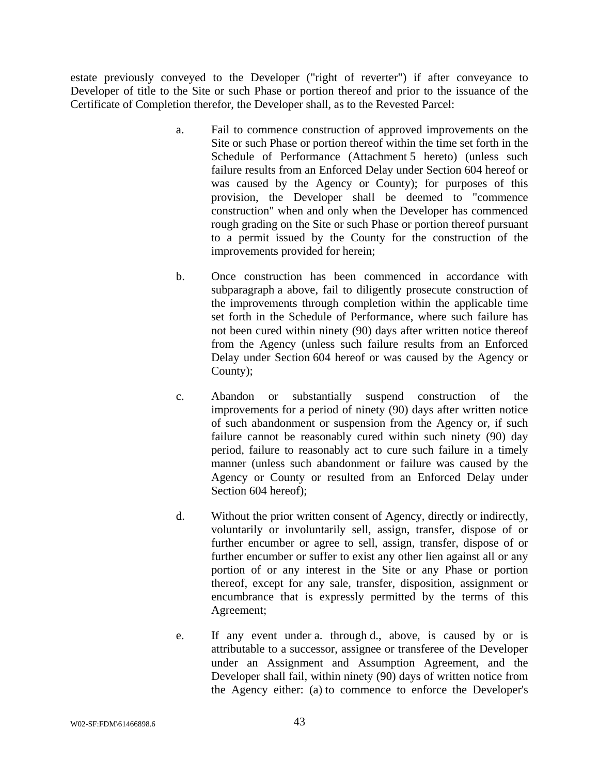estate previously conveyed to the Developer ("right of reverter") if after conveyance to Developer of title to the Site or such Phase or portion thereof and prior to the issuance of the Certificate of Completion therefor, the Developer shall, as to the Revested Parcel:

- a. Fail to commence construction of approved improvements on the Site or such Phase or portion thereof within the time set forth in the Schedule of Performance (Attachment 5 hereto) (unless such failure results from an Enforced Delay under Section 604 hereof or was caused by the Agency or County); for purposes of this provision, the Developer shall be deemed to "commence construction" when and only when the Developer has commenced rough grading on the Site or such Phase or portion thereof pursuant to a permit issued by the County for the construction of the improvements provided for herein;
- b. Once construction has been commenced in accordance with subparagraph a above, fail to diligently prosecute construction of the improvements through completion within the applicable time set forth in the Schedule of Performance, where such failure has not been cured within ninety (90) days after written notice thereof from the Agency (unless such failure results from an Enforced Delay under Section 604 hereof or was caused by the Agency or County);
- c. Abandon or substantially suspend construction of the improvements for a period of ninety (90) days after written notice of such abandonment or suspension from the Agency or, if such failure cannot be reasonably cured within such ninety (90) day period, failure to reasonably act to cure such failure in a timely manner (unless such abandonment or failure was caused by the Agency or County or resulted from an Enforced Delay under Section 604 hereof);
- d. Without the prior written consent of Agency, directly or indirectly, voluntarily or involuntarily sell, assign, transfer, dispose of or further encumber or agree to sell, assign, transfer, dispose of or further encumber or suffer to exist any other lien against all or any portion of or any interest in the Site or any Phase or portion thereof, except for any sale, transfer, disposition, assignment or encumbrance that is expressly permitted by the terms of this Agreement;
- e. If any event under a. through d., above, is caused by or is attributable to a successor, assignee or transferee of the Developer under an Assignment and Assumption Agreement, and the Developer shall fail, within ninety (90) days of written notice from the Agency either: (a) to commence to enforce the Developer's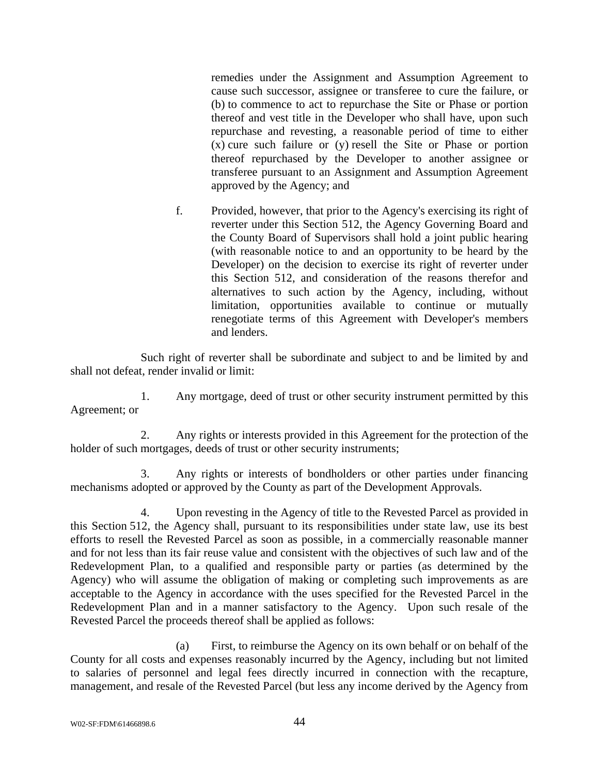remedies under the Assignment and Assumption Agreement to cause such successor, assignee or transferee to cure the failure, or (b) to commence to act to repurchase the Site or Phase or portion thereof and vest title in the Developer who shall have, upon such repurchase and revesting, a reasonable period of time to either (x) cure such failure or (y) resell the Site or Phase or portion thereof repurchased by the Developer to another assignee or transferee pursuant to an Assignment and Assumption Agreement approved by the Agency; and

f. Provided, however, that prior to the Agency's exercising its right of reverter under this Section 512, the Agency Governing Board and the County Board of Supervisors shall hold a joint public hearing (with reasonable notice to and an opportunity to be heard by the Developer) on the decision to exercise its right of reverter under this Section 512, and consideration of the reasons therefor and alternatives to such action by the Agency, including, without limitation, opportunities available to continue or mutually renegotiate terms of this Agreement with Developer's members and lenders.

Such right of reverter shall be subordinate and subject to and be limited by and shall not defeat, render invalid or limit:

1. Any mortgage, deed of trust or other security instrument permitted by this Agreement; or

2. Any rights or interests provided in this Agreement for the protection of the holder of such mortgages, deeds of trust or other security instruments;

3. Any rights or interests of bondholders or other parties under financing mechanisms adopted or approved by the County as part of the Development Approvals.

4. Upon revesting in the Agency of title to the Revested Parcel as provided in this Section 512, the Agency shall, pursuant to its responsibilities under state law, use its best efforts to resell the Revested Parcel as soon as possible, in a commercially reasonable manner and for not less than its fair reuse value and consistent with the objectives of such law and of the Redevelopment Plan, to a qualified and responsible party or parties (as determined by the Agency) who will assume the obligation of making or completing such improvements as are acceptable to the Agency in accordance with the uses specified for the Revested Parcel in the Redevelopment Plan and in a manner satisfactory to the Agency. Upon such resale of the Revested Parcel the proceeds thereof shall be applied as follows:

(a) First, to reimburse the Agency on its own behalf or on behalf of the County for all costs and expenses reasonably incurred by the Agency, including but not limited to salaries of personnel and legal fees directly incurred in connection with the recapture, management, and resale of the Revested Parcel (but less any income derived by the Agency from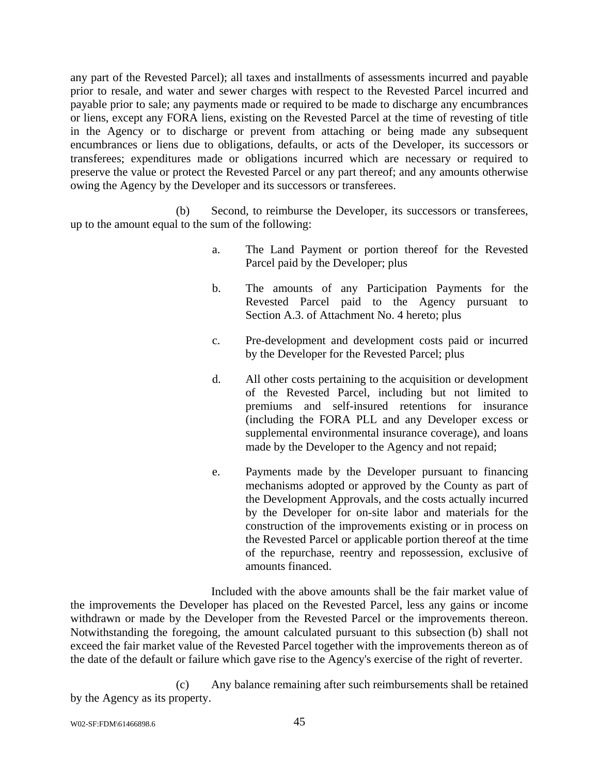any part of the Revested Parcel); all taxes and installments of assessments incurred and payable prior to resale, and water and sewer charges with respect to the Revested Parcel incurred and payable prior to sale; any payments made or required to be made to discharge any encumbrances or liens, except any FORA liens, existing on the Revested Parcel at the time of revesting of title in the Agency or to discharge or prevent from attaching or being made any subsequent encumbrances or liens due to obligations, defaults, or acts of the Developer, its successors or transferees; expenditures made or obligations incurred which are necessary or required to preserve the value or protect the Revested Parcel or any part thereof; and any amounts otherwise owing the Agency by the Developer and its successors or transferees.

(b) Second, to reimburse the Developer, its successors or transferees, up to the amount equal to the sum of the following:

- a. The Land Payment or portion thereof for the Revested Parcel paid by the Developer; plus
- b. The amounts of any Participation Payments for the Revested Parcel paid to the Agency pursuant to Section A.3. of Attachment No. 4 hereto; plus
- c. Pre-development and development costs paid or incurred by the Developer for the Revested Parcel; plus
- d. All other costs pertaining to the acquisition or development of the Revested Parcel, including but not limited to premiums and self-insured retentions for insurance (including the FORA PLL and any Developer excess or supplemental environmental insurance coverage), and loans made by the Developer to the Agency and not repaid;
- e. Payments made by the Developer pursuant to financing mechanisms adopted or approved by the County as part of the Development Approvals, and the costs actually incurred by the Developer for on-site labor and materials for the construction of the improvements existing or in process on the Revested Parcel or applicable portion thereof at the time of the repurchase, reentry and repossession, exclusive of amounts financed.

Included with the above amounts shall be the fair market value of the improvements the Developer has placed on the Revested Parcel, less any gains or income withdrawn or made by the Developer from the Revested Parcel or the improvements thereon. Notwithstanding the foregoing, the amount calculated pursuant to this subsection (b) shall not exceed the fair market value of the Revested Parcel together with the improvements thereon as of the date of the default or failure which gave rise to the Agency's exercise of the right of reverter.

(c) Any balance remaining after such reimbursements shall be retained by the Agency as its property.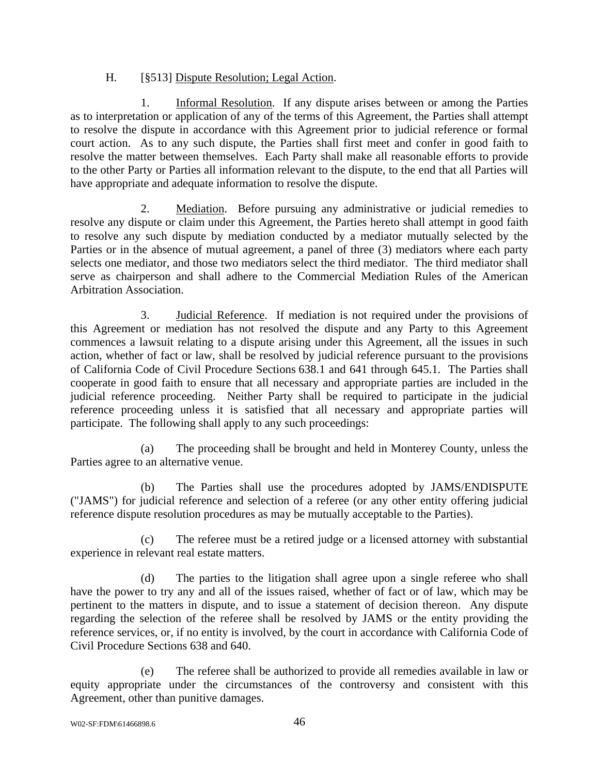### H. [§513] Dispute Resolution; Legal Action.

1. Informal Resolution. If any dispute arises between or among the Parties as to interpretation or application of any of the terms of this Agreement, the Parties shall attempt to resolve the dispute in accordance with this Agreement prior to judicial reference or formal court action. As to any such dispute, the Parties shall first meet and confer in good faith to resolve the matter between themselves. Each Party shall make all reasonable efforts to provide to the other Party or Parties all information relevant to the dispute, to the end that all Parties will have appropriate and adequate information to resolve the dispute.

2. Mediation. Before pursuing any administrative or judicial remedies to resolve any dispute or claim under this Agreement, the Parties hereto shall attempt in good faith to resolve any such dispute by mediation conducted by a mediator mutually selected by the Parties or in the absence of mutual agreement, a panel of three (3) mediators where each party selects one mediator, and those two mediators select the third mediator. The third mediator shall serve as chairperson and shall adhere to the Commercial Mediation Rules of the American Arbitration Association.

3. Judicial Reference. If mediation is not required under the provisions of this Agreement or mediation has not resolved the dispute and any Party to this Agreement commences a lawsuit relating to a dispute arising under this Agreement, all the issues in such action, whether of fact or law, shall be resolved by judicial reference pursuant to the provisions of California Code of Civil Procedure Sections 638.1 and 641 through 645.1. The Parties shall cooperate in good faith to ensure that all necessary and appropriate parties are included in the judicial reference proceeding. Neither Party shall be required to participate in the judicial reference proceeding unless it is satisfied that all necessary and appropriate parties will participate. The following shall apply to any such proceedings:

(a) The proceeding shall be brought and held in Monterey County, unless the Parties agree to an alternative venue.

(b) The Parties shall use the procedures adopted by JAMS/ENDISPUTE ("JAMS") for judicial reference and selection of a referee (or any other entity offering judicial reference dispute resolution procedures as may be mutually acceptable to the Parties).

(c) The referee must be a retired judge or a licensed attorney with substantial experience in relevant real estate matters.

(d) The parties to the litigation shall agree upon a single referee who shall have the power to try any and all of the issues raised, whether of fact or of law, which may be pertinent to the matters in dispute, and to issue a statement of decision thereon. Any dispute regarding the selection of the referee shall be resolved by JAMS or the entity providing the reference services, or, if no entity is involved, by the court in accordance with California Code of Civil Procedure Sections 638 and 640.

(e) The referee shall be authorized to provide all remedies available in law or equity appropriate under the circumstances of the controversy and consistent with this Agreement, other than punitive damages.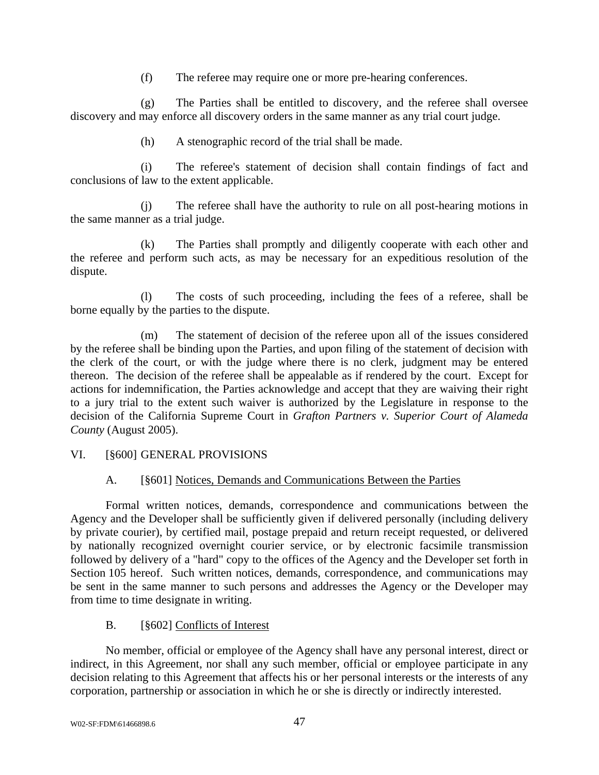(f) The referee may require one or more pre-hearing conferences.

(g) The Parties shall be entitled to discovery, and the referee shall oversee discovery and may enforce all discovery orders in the same manner as any trial court judge.

(h) A stenographic record of the trial shall be made.

(i) The referee's statement of decision shall contain findings of fact and conclusions of law to the extent applicable.

(j) The referee shall have the authority to rule on all post-hearing motions in the same manner as a trial judge.

(k) The Parties shall promptly and diligently cooperate with each other and the referee and perform such acts, as may be necessary for an expeditious resolution of the dispute.

(l) The costs of such proceeding, including the fees of a referee, shall be borne equally by the parties to the dispute.

(m) The statement of decision of the referee upon all of the issues considered by the referee shall be binding upon the Parties, and upon filing of the statement of decision with the clerk of the court, or with the judge where there is no clerk, judgment may be entered thereon. The decision of the referee shall be appealable as if rendered by the court. Except for actions for indemnification, the Parties acknowledge and accept that they are waiving their right to a jury trial to the extent such waiver is authorized by the Legislature in response to the decision of the California Supreme Court in *Grafton Partners v. Superior Court of Alameda County* (August 2005).

### VI. [§600] GENERAL PROVISIONS

### A. [§601] Notices, Demands and Communications Between the Parties

Formal written notices, demands, correspondence and communications between the Agency and the Developer shall be sufficiently given if delivered personally (including delivery by private courier), by certified mail, postage prepaid and return receipt requested, or delivered by nationally recognized overnight courier service, or by electronic facsimile transmission followed by delivery of a "hard" copy to the offices of the Agency and the Developer set forth in Section 105 hereof. Such written notices, demands, correspondence, and communications may be sent in the same manner to such persons and addresses the Agency or the Developer may from time to time designate in writing.

### B. [§602] Conflicts of Interest

No member, official or employee of the Agency shall have any personal interest, direct or indirect, in this Agreement, nor shall any such member, official or employee participate in any decision relating to this Agreement that affects his or her personal interests or the interests of any corporation, partnership or association in which he or she is directly or indirectly interested.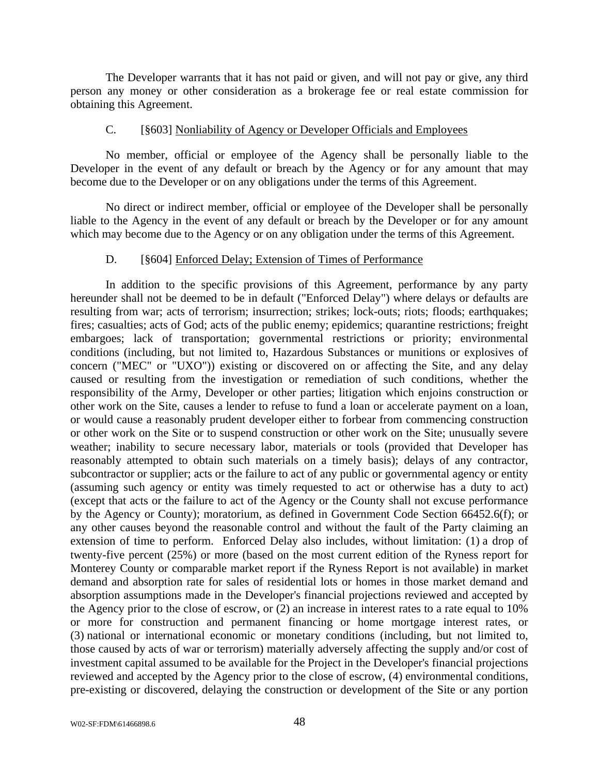The Developer warrants that it has not paid or given, and will not pay or give, any third person any money or other consideration as a brokerage fee or real estate commission for obtaining this Agreement.

#### C. [§603] Nonliability of Agency or Developer Officials and Employees

No member, official or employee of the Agency shall be personally liable to the Developer in the event of any default or breach by the Agency or for any amount that may become due to the Developer or on any obligations under the terms of this Agreement.

No direct or indirect member, official or employee of the Developer shall be personally liable to the Agency in the event of any default or breach by the Developer or for any amount which may become due to the Agency or on any obligation under the terms of this Agreement.

#### D. [§604] Enforced Delay; Extension of Times of Performance

In addition to the specific provisions of this Agreement, performance by any party hereunder shall not be deemed to be in default ("Enforced Delay") where delays or defaults are resulting from war; acts of terrorism; insurrection; strikes; lock-outs; riots; floods; earthquakes; fires; casualties; acts of God; acts of the public enemy; epidemics; quarantine restrictions; freight embargoes; lack of transportation; governmental restrictions or priority; environmental conditions (including, but not limited to, Hazardous Substances or munitions or explosives of concern ("MEC" or "UXO")) existing or discovered on or affecting the Site, and any delay caused or resulting from the investigation or remediation of such conditions, whether the responsibility of the Army, Developer or other parties; litigation which enjoins construction or other work on the Site, causes a lender to refuse to fund a loan or accelerate payment on a loan, or would cause a reasonably prudent developer either to forbear from commencing construction or other work on the Site or to suspend construction or other work on the Site; unusually severe weather; inability to secure necessary labor, materials or tools (provided that Developer has reasonably attempted to obtain such materials on a timely basis); delays of any contractor, subcontractor or supplier; acts or the failure to act of any public or governmental agency or entity (assuming such agency or entity was timely requested to act or otherwise has a duty to act) (except that acts or the failure to act of the Agency or the County shall not excuse performance by the Agency or County); moratorium, as defined in Government Code Section 66452.6(f); or any other causes beyond the reasonable control and without the fault of the Party claiming an extension of time to perform. Enforced Delay also includes, without limitation: (1) a drop of twenty-five percent (25%) or more (based on the most current edition of the Ryness report for Monterey County or comparable market report if the Ryness Report is not available) in market demand and absorption rate for sales of residential lots or homes in those market demand and absorption assumptions made in the Developer's financial projections reviewed and accepted by the Agency prior to the close of escrow, or (2) an increase in interest rates to a rate equal to 10% or more for construction and permanent financing or home mortgage interest rates, or (3) national or international economic or monetary conditions (including, but not limited to, those caused by acts of war or terrorism) materially adversely affecting the supply and/or cost of investment capital assumed to be available for the Project in the Developer's financial projections reviewed and accepted by the Agency prior to the close of escrow, (4) environmental conditions, pre-existing or discovered, delaying the construction or development of the Site or any portion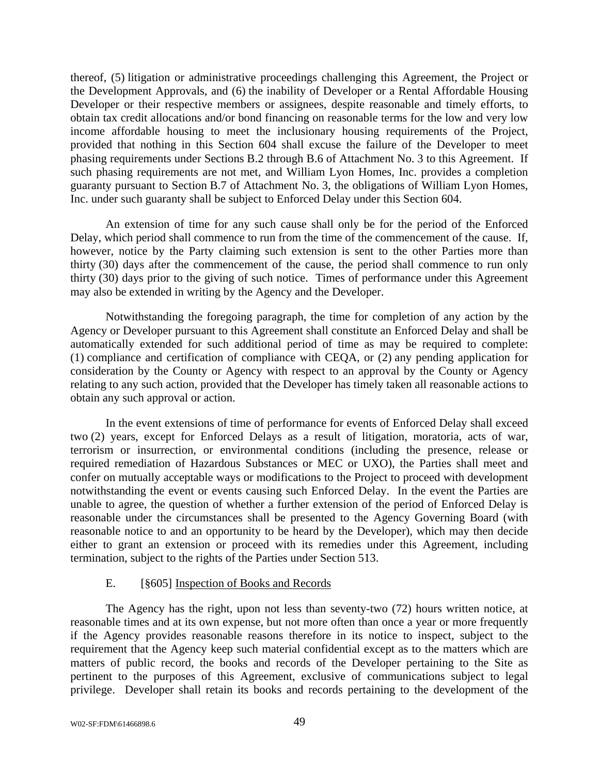thereof, (5) litigation or administrative proceedings challenging this Agreement, the Project or the Development Approvals, and (6) the inability of Developer or a Rental Affordable Housing Developer or their respective members or assignees, despite reasonable and timely efforts, to obtain tax credit allocations and/or bond financing on reasonable terms for the low and very low income affordable housing to meet the inclusionary housing requirements of the Project, provided that nothing in this Section 604 shall excuse the failure of the Developer to meet phasing requirements under Sections B.2 through B.6 of Attachment No. 3 to this Agreement. If such phasing requirements are not met, and William Lyon Homes, Inc. provides a completion guaranty pursuant to Section B.7 of Attachment No. 3, the obligations of William Lyon Homes, Inc. under such guaranty shall be subject to Enforced Delay under this Section 604.

An extension of time for any such cause shall only be for the period of the Enforced Delay, which period shall commence to run from the time of the commencement of the cause. If, however, notice by the Party claiming such extension is sent to the other Parties more than thirty (30) days after the commencement of the cause, the period shall commence to run only thirty (30) days prior to the giving of such notice. Times of performance under this Agreement may also be extended in writing by the Agency and the Developer.

Notwithstanding the foregoing paragraph, the time for completion of any action by the Agency or Developer pursuant to this Agreement shall constitute an Enforced Delay and shall be automatically extended for such additional period of time as may be required to complete: (1) compliance and certification of compliance with CEQA, or (2) any pending application for consideration by the County or Agency with respect to an approval by the County or Agency relating to any such action, provided that the Developer has timely taken all reasonable actions to obtain any such approval or action.

In the event extensions of time of performance for events of Enforced Delay shall exceed two (2) years, except for Enforced Delays as a result of litigation, moratoria, acts of war, terrorism or insurrection, or environmental conditions (including the presence, release or required remediation of Hazardous Substances or MEC or UXO), the Parties shall meet and confer on mutually acceptable ways or modifications to the Project to proceed with development notwithstanding the event or events causing such Enforced Delay. In the event the Parties are unable to agree, the question of whether a further extension of the period of Enforced Delay is reasonable under the circumstances shall be presented to the Agency Governing Board (with reasonable notice to and an opportunity to be heard by the Developer), which may then decide either to grant an extension or proceed with its remedies under this Agreement, including termination, subject to the rights of the Parties under Section 513.

#### E. [§605] Inspection of Books and Records

The Agency has the right, upon not less than seventy-two (72) hours written notice, at reasonable times and at its own expense, but not more often than once a year or more frequently if the Agency provides reasonable reasons therefore in its notice to inspect, subject to the requirement that the Agency keep such material confidential except as to the matters which are matters of public record, the books and records of the Developer pertaining to the Site as pertinent to the purposes of this Agreement, exclusive of communications subject to legal privilege. Developer shall retain its books and records pertaining to the development of the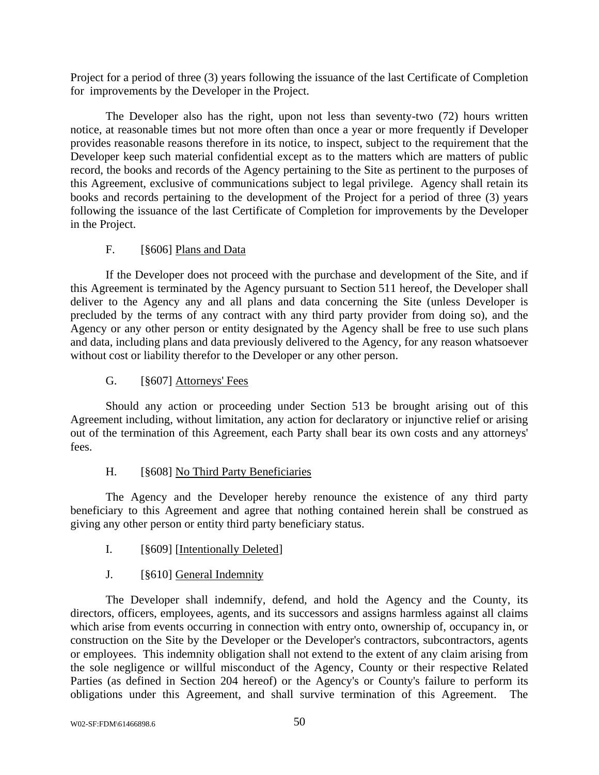Project for a period of three (3) years following the issuance of the last Certificate of Completion for improvements by the Developer in the Project.

The Developer also has the right, upon not less than seventy-two (72) hours written notice, at reasonable times but not more often than once a year or more frequently if Developer provides reasonable reasons therefore in its notice, to inspect, subject to the requirement that the Developer keep such material confidential except as to the matters which are matters of public record, the books and records of the Agency pertaining to the Site as pertinent to the purposes of this Agreement, exclusive of communications subject to legal privilege. Agency shall retain its books and records pertaining to the development of the Project for a period of three (3) years following the issuance of the last Certificate of Completion for improvements by the Developer in the Project.

### F. [§606] Plans and Data

If the Developer does not proceed with the purchase and development of the Site, and if this Agreement is terminated by the Agency pursuant to Section 511 hereof, the Developer shall deliver to the Agency any and all plans and data concerning the Site (unless Developer is precluded by the terms of any contract with any third party provider from doing so), and the Agency or any other person or entity designated by the Agency shall be free to use such plans and data, including plans and data previously delivered to the Agency, for any reason whatsoever without cost or liability therefor to the Developer or any other person.

### G. [§607] Attorneys' Fees

Should any action or proceeding under Section 513 be brought arising out of this Agreement including, without limitation, any action for declaratory or injunctive relief or arising out of the termination of this Agreement, each Party shall bear its own costs and any attorneys' fees.

### H. [§608] No Third Party Beneficiaries

The Agency and the Developer hereby renounce the existence of any third party beneficiary to this Agreement and agree that nothing contained herein shall be construed as giving any other person or entity third party beneficiary status.

I. [§609] [Intentionally Deleted]

### J. [§610] General Indemnity

The Developer shall indemnify, defend, and hold the Agency and the County, its directors, officers, employees, agents, and its successors and assigns harmless against all claims which arise from events occurring in connection with entry onto, ownership of, occupancy in, or construction on the Site by the Developer or the Developer's contractors, subcontractors, agents or employees. This indemnity obligation shall not extend to the extent of any claim arising from the sole negligence or willful misconduct of the Agency, County or their respective Related Parties (as defined in Section 204 hereof) or the Agency's or County's failure to perform its obligations under this Agreement, and shall survive termination of this Agreement. The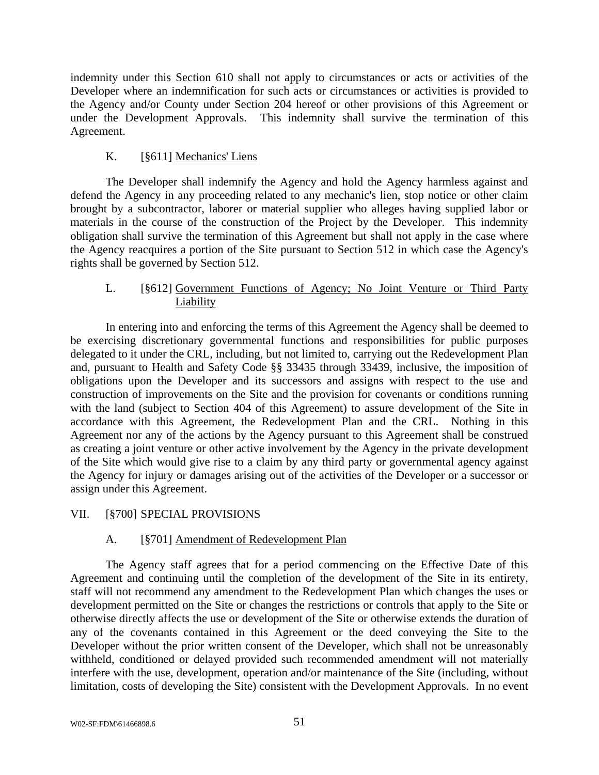indemnity under this Section 610 shall not apply to circumstances or acts or activities of the Developer where an indemnification for such acts or circumstances or activities is provided to the Agency and/or County under Section 204 hereof or other provisions of this Agreement or under the Development Approvals. This indemnity shall survive the termination of this Agreement.

### K. [§611] Mechanics' Liens

The Developer shall indemnify the Agency and hold the Agency harmless against and defend the Agency in any proceeding related to any mechanic's lien, stop notice or other claim brought by a subcontractor, laborer or material supplier who alleges having supplied labor or materials in the course of the construction of the Project by the Developer. This indemnity obligation shall survive the termination of this Agreement but shall not apply in the case where the Agency reacquires a portion of the Site pursuant to Section 512 in which case the Agency's rights shall be governed by Section 512.

### L. [§612] Government Functions of Agency; No Joint Venture or Third Party Liability

In entering into and enforcing the terms of this Agreement the Agency shall be deemed to be exercising discretionary governmental functions and responsibilities for public purposes delegated to it under the CRL, including, but not limited to, carrying out the Redevelopment Plan and, pursuant to Health and Safety Code §§ 33435 through 33439, inclusive, the imposition of obligations upon the Developer and its successors and assigns with respect to the use and construction of improvements on the Site and the provision for covenants or conditions running with the land (subject to Section 404 of this Agreement) to assure development of the Site in accordance with this Agreement, the Redevelopment Plan and the CRL. Nothing in this Agreement nor any of the actions by the Agency pursuant to this Agreement shall be construed as creating a joint venture or other active involvement by the Agency in the private development of the Site which would give rise to a claim by any third party or governmental agency against the Agency for injury or damages arising out of the activities of the Developer or a successor or assign under this Agreement.

### VII. [§700] SPECIAL PROVISIONS

### A. [§701] Amendment of Redevelopment Plan

The Agency staff agrees that for a period commencing on the Effective Date of this Agreement and continuing until the completion of the development of the Site in its entirety, staff will not recommend any amendment to the Redevelopment Plan which changes the uses or development permitted on the Site or changes the restrictions or controls that apply to the Site or otherwise directly affects the use or development of the Site or otherwise extends the duration of any of the covenants contained in this Agreement or the deed conveying the Site to the Developer without the prior written consent of the Developer, which shall not be unreasonably withheld, conditioned or delayed provided such recommended amendment will not materially interfere with the use, development, operation and/or maintenance of the Site (including, without limitation, costs of developing the Site) consistent with the Development Approvals. In no event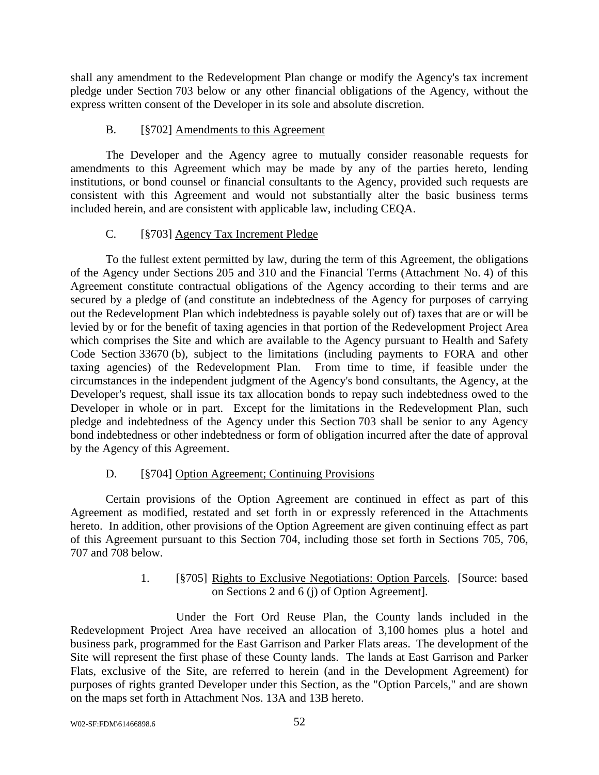shall any amendment to the Redevelopment Plan change or modify the Agency's tax increment pledge under Section 703 below or any other financial obligations of the Agency, without the express written consent of the Developer in its sole and absolute discretion.

### B. [§702] Amendments to this Agreement

The Developer and the Agency agree to mutually consider reasonable requests for amendments to this Agreement which may be made by any of the parties hereto, lending institutions, or bond counsel or financial consultants to the Agency, provided such requests are consistent with this Agreement and would not substantially alter the basic business terms included herein, and are consistent with applicable law, including CEQA.

### C. [§703] Agency Tax Increment Pledge

To the fullest extent permitted by law, during the term of this Agreement, the obligations of the Agency under Sections 205 and 310 and the Financial Terms (Attachment No. 4) of this Agreement constitute contractual obligations of the Agency according to their terms and are secured by a pledge of (and constitute an indebtedness of the Agency for purposes of carrying out the Redevelopment Plan which indebtedness is payable solely out of) taxes that are or will be levied by or for the benefit of taxing agencies in that portion of the Redevelopment Project Area which comprises the Site and which are available to the Agency pursuant to Health and Safety Code Section 33670 (b), subject to the limitations (including payments to FORA and other taxing agencies) of the Redevelopment Plan. From time to time, if feasible under the circumstances in the independent judgment of the Agency's bond consultants, the Agency, at the Developer's request, shall issue its tax allocation bonds to repay such indebtedness owed to the Developer in whole or in part. Except for the limitations in the Redevelopment Plan, such pledge and indebtedness of the Agency under this Section 703 shall be senior to any Agency bond indebtedness or other indebtedness or form of obligation incurred after the date of approval by the Agency of this Agreement.

### D. [§704] Option Agreement; Continuing Provisions

Certain provisions of the Option Agreement are continued in effect as part of this Agreement as modified, restated and set forth in or expressly referenced in the Attachments hereto. In addition, other provisions of the Option Agreement are given continuing effect as part of this Agreement pursuant to this Section 704, including those set forth in Sections 705, 706, 707 and 708 below.

### 1. [§705] Rights to Exclusive Negotiations: Option Parcels. [Source: based on Sections 2 and 6 (j) of Option Agreement].

Under the Fort Ord Reuse Plan, the County lands included in the Redevelopment Project Area have received an allocation of 3,100 homes plus a hotel and business park, programmed for the East Garrison and Parker Flats areas. The development of the Site will represent the first phase of these County lands. The lands at East Garrison and Parker Flats, exclusive of the Site, are referred to herein (and in the Development Agreement) for purposes of rights granted Developer under this Section, as the "Option Parcels," and are shown on the maps set forth in Attachment Nos. 13A and 13B hereto.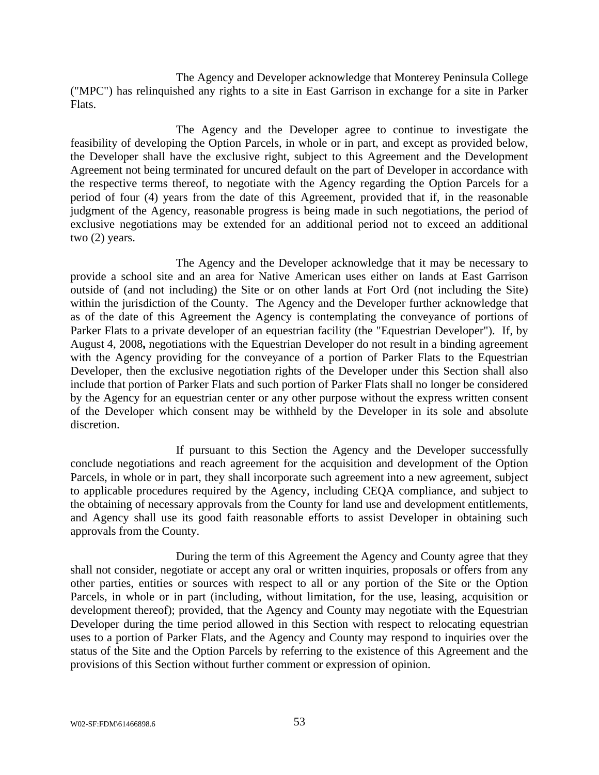The Agency and Developer acknowledge that Monterey Peninsula College ("MPC") has relinquished any rights to a site in East Garrison in exchange for a site in Parker Flats.

The Agency and the Developer agree to continue to investigate the feasibility of developing the Option Parcels, in whole or in part, and except as provided below, the Developer shall have the exclusive right, subject to this Agreement and the Development Agreement not being terminated for uncured default on the part of Developer in accordance with the respective terms thereof, to negotiate with the Agency regarding the Option Parcels for a period of four (4) years from the date of this Agreement, provided that if, in the reasonable judgment of the Agency, reasonable progress is being made in such negotiations, the period of exclusive negotiations may be extended for an additional period not to exceed an additional two (2) years.

The Agency and the Developer acknowledge that it may be necessary to provide a school site and an area for Native American uses either on lands at East Garrison outside of (and not including) the Site or on other lands at Fort Ord (not including the Site) within the jurisdiction of the County. The Agency and the Developer further acknowledge that as of the date of this Agreement the Agency is contemplating the conveyance of portions of Parker Flats to a private developer of an equestrian facility (the "Equestrian Developer"). If, by August 4, 2008**,** negotiations with the Equestrian Developer do not result in a binding agreement with the Agency providing for the conveyance of a portion of Parker Flats to the Equestrian Developer, then the exclusive negotiation rights of the Developer under this Section shall also include that portion of Parker Flats and such portion of Parker Flats shall no longer be considered by the Agency for an equestrian center or any other purpose without the express written consent of the Developer which consent may be withheld by the Developer in its sole and absolute discretion.

If pursuant to this Section the Agency and the Developer successfully conclude negotiations and reach agreement for the acquisition and development of the Option Parcels, in whole or in part, they shall incorporate such agreement into a new agreement, subject to applicable procedures required by the Agency, including CEQA compliance, and subject to the obtaining of necessary approvals from the County for land use and development entitlements, and Agency shall use its good faith reasonable efforts to assist Developer in obtaining such approvals from the County.

During the term of this Agreement the Agency and County agree that they shall not consider, negotiate or accept any oral or written inquiries, proposals or offers from any other parties, entities or sources with respect to all or any portion of the Site or the Option Parcels, in whole or in part (including, without limitation, for the use, leasing, acquisition or development thereof); provided, that the Agency and County may negotiate with the Equestrian Developer during the time period allowed in this Section with respect to relocating equestrian uses to a portion of Parker Flats, and the Agency and County may respond to inquiries over the status of the Site and the Option Parcels by referring to the existence of this Agreement and the provisions of this Section without further comment or expression of opinion.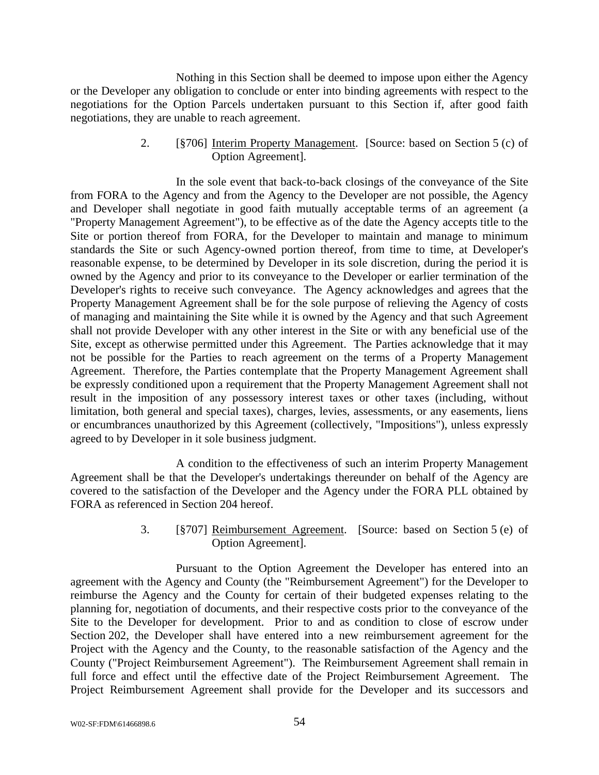Nothing in this Section shall be deemed to impose upon either the Agency or the Developer any obligation to conclude or enter into binding agreements with respect to the negotiations for the Option Parcels undertaken pursuant to this Section if, after good faith negotiations, they are unable to reach agreement.

> 2. [§706] Interim Property Management. [Source: based on Section 5 (c) of Option Agreement].

In the sole event that back-to-back closings of the conveyance of the Site from FORA to the Agency and from the Agency to the Developer are not possible, the Agency and Developer shall negotiate in good faith mutually acceptable terms of an agreement (a "Property Management Agreement"), to be effective as of the date the Agency accepts title to the Site or portion thereof from FORA, for the Developer to maintain and manage to minimum standards the Site or such Agency-owned portion thereof, from time to time, at Developer's reasonable expense, to be determined by Developer in its sole discretion, during the period it is owned by the Agency and prior to its conveyance to the Developer or earlier termination of the Developer's rights to receive such conveyance. The Agency acknowledges and agrees that the Property Management Agreement shall be for the sole purpose of relieving the Agency of costs of managing and maintaining the Site while it is owned by the Agency and that such Agreement shall not provide Developer with any other interest in the Site or with any beneficial use of the Site, except as otherwise permitted under this Agreement. The Parties acknowledge that it may not be possible for the Parties to reach agreement on the terms of a Property Management Agreement. Therefore, the Parties contemplate that the Property Management Agreement shall be expressly conditioned upon a requirement that the Property Management Agreement shall not result in the imposition of any possessory interest taxes or other taxes (including, without limitation, both general and special taxes), charges, levies, assessments, or any easements, liens or encumbrances unauthorized by this Agreement (collectively, "Impositions"), unless expressly agreed to by Developer in it sole business judgment.

A condition to the effectiveness of such an interim Property Management Agreement shall be that the Developer's undertakings thereunder on behalf of the Agency are covered to the satisfaction of the Developer and the Agency under the FORA PLL obtained by FORA as referenced in Section 204 hereof.

> 3. [§707] Reimbursement Agreement. [Source: based on Section 5 (e) of Option Agreement].

Pursuant to the Option Agreement the Developer has entered into an agreement with the Agency and County (the "Reimbursement Agreement") for the Developer to reimburse the Agency and the County for certain of their budgeted expenses relating to the planning for, negotiation of documents, and their respective costs prior to the conveyance of the Site to the Developer for development. Prior to and as condition to close of escrow under Section 202, the Developer shall have entered into a new reimbursement agreement for the Project with the Agency and the County, to the reasonable satisfaction of the Agency and the County ("Project Reimbursement Agreement"). The Reimbursement Agreement shall remain in full force and effect until the effective date of the Project Reimbursement Agreement. The Project Reimbursement Agreement shall provide for the Developer and its successors and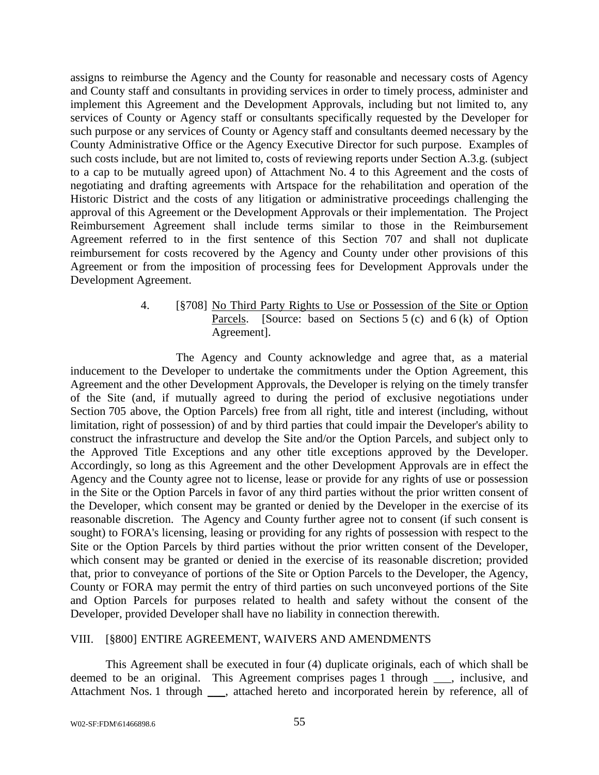assigns to reimburse the Agency and the County for reasonable and necessary costs of Agency and County staff and consultants in providing services in order to timely process, administer and implement this Agreement and the Development Approvals, including but not limited to, any services of County or Agency staff or consultants specifically requested by the Developer for such purpose or any services of County or Agency staff and consultants deemed necessary by the County Administrative Office or the Agency Executive Director for such purpose. Examples of such costs include, but are not limited to, costs of reviewing reports under Section A.3.g. (subject to a cap to be mutually agreed upon) of Attachment No. 4 to this Agreement and the costs of negotiating and drafting agreements with Artspace for the rehabilitation and operation of the Historic District and the costs of any litigation or administrative proceedings challenging the approval of this Agreement or the Development Approvals or their implementation. The Project Reimbursement Agreement shall include terms similar to those in the Reimbursement Agreement referred to in the first sentence of this Section 707 and shall not duplicate reimbursement for costs recovered by the Agency and County under other provisions of this Agreement or from the imposition of processing fees for Development Approvals under the Development Agreement.

> 4. [§708] No Third Party Rights to Use or Possession of the Site or Option Parcels. [Source: based on Sections 5 (c) and 6 (k) of Option Agreement].

The Agency and County acknowledge and agree that, as a material inducement to the Developer to undertake the commitments under the Option Agreement, this Agreement and the other Development Approvals, the Developer is relying on the timely transfer of the Site (and, if mutually agreed to during the period of exclusive negotiations under Section 705 above, the Option Parcels) free from all right, title and interest (including, without limitation, right of possession) of and by third parties that could impair the Developer's ability to construct the infrastructure and develop the Site and/or the Option Parcels, and subject only to the Approved Title Exceptions and any other title exceptions approved by the Developer. Accordingly, so long as this Agreement and the other Development Approvals are in effect the Agency and the County agree not to license, lease or provide for any rights of use or possession in the Site or the Option Parcels in favor of any third parties without the prior written consent of the Developer, which consent may be granted or denied by the Developer in the exercise of its reasonable discretion. The Agency and County further agree not to consent (if such consent is sought) to FORA's licensing, leasing or providing for any rights of possession with respect to the Site or the Option Parcels by third parties without the prior written consent of the Developer, which consent may be granted or denied in the exercise of its reasonable discretion; provided that, prior to conveyance of portions of the Site or Option Parcels to the Developer, the Agency, County or FORA may permit the entry of third parties on such unconveyed portions of the Site and Option Parcels for purposes related to health and safety without the consent of the Developer, provided Developer shall have no liability in connection therewith.

#### VIII. [§800] ENTIRE AGREEMENT, WAIVERS AND AMENDMENTS

This Agreement shall be executed in four (4) duplicate originals, each of which shall be deemed to be an original. This Agreement comprises pages 1 through \_\_\_, inclusive, and Attachment Nos. 1 through \_\_\_, attached hereto and incorporated herein by reference, all of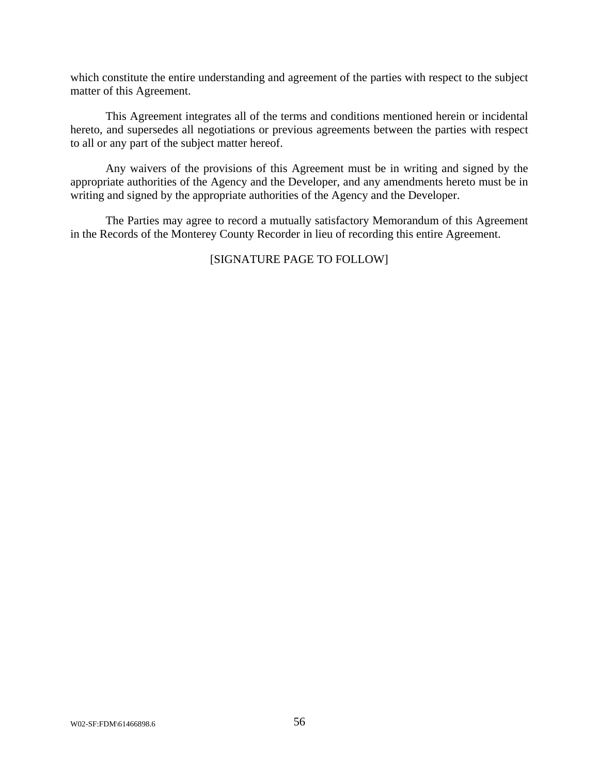which constitute the entire understanding and agreement of the parties with respect to the subject matter of this Agreement.

This Agreement integrates all of the terms and conditions mentioned herein or incidental hereto, and supersedes all negotiations or previous agreements between the parties with respect to all or any part of the subject matter hereof.

Any waivers of the provisions of this Agreement must be in writing and signed by the appropriate authorities of the Agency and the Developer, and any amendments hereto must be in writing and signed by the appropriate authorities of the Agency and the Developer.

The Parties may agree to record a mutually satisfactory Memorandum of this Agreement in the Records of the Monterey County Recorder in lieu of recording this entire Agreement.

#### [SIGNATURE PAGE TO FOLLOW]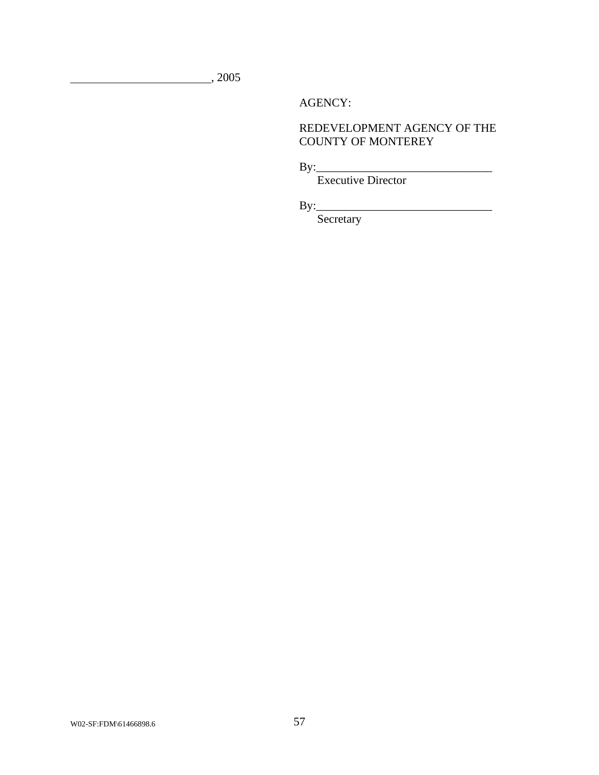, 2005

AGENCY:

### REDEVELOPMENT AGENCY OF THE COUNTY OF MONTEREY

By:\_\_\_\_\_\_\_\_\_\_\_\_\_\_\_\_\_\_\_\_\_\_\_\_\_\_\_\_\_\_

Executive Director

By:\_\_\_\_\_\_\_\_\_\_\_\_\_\_\_\_\_\_\_\_\_\_\_\_\_\_\_\_\_\_

Secretary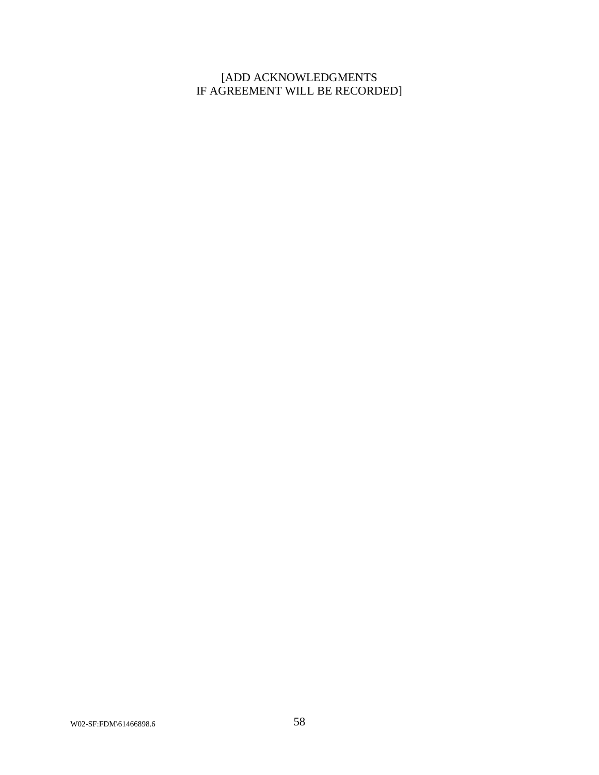## [ADD ACKNOWLEDGMENTS IF AGREEMENT WILL BE RECORDED]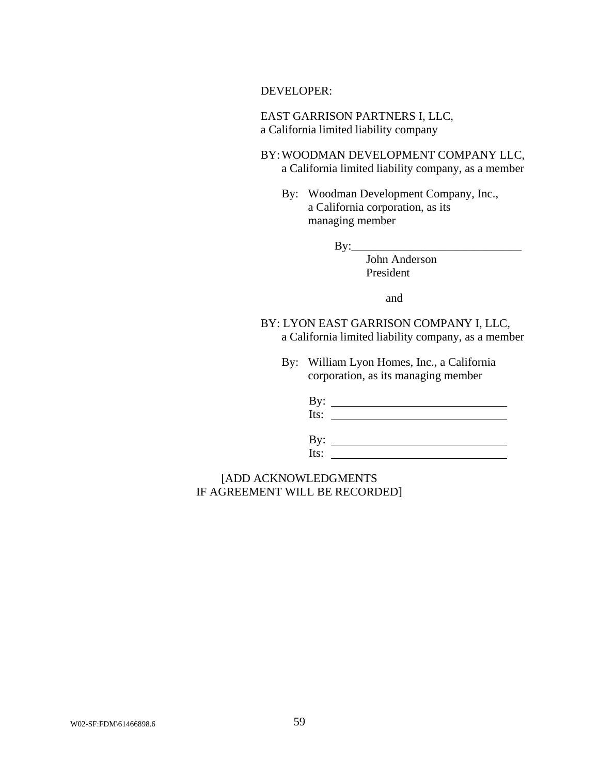DEVELOPER:

EAST GARRISON PARTNERS I, LLC, a California limited liability company

BY: WOODMAN DEVELOPMENT COMPANY LLC, a California limited liability company, as a member

 By: Woodman Development Company, Inc., a California corporation, as its managing member

By:\_\_\_\_\_\_\_\_\_\_\_\_\_\_\_\_\_\_\_\_\_\_\_\_\_\_\_\_\_

 John Anderson President

and

BY: LYON EAST GARRISON COMPANY I, LLC, a California limited liability company, as a member

 By: William Lyon Homes, Inc., a California corporation, as its managing member

 By: Its: By: Its:

[ADD ACKNOWLEDGMENTS IF AGREEMENT WILL BE RECORDED]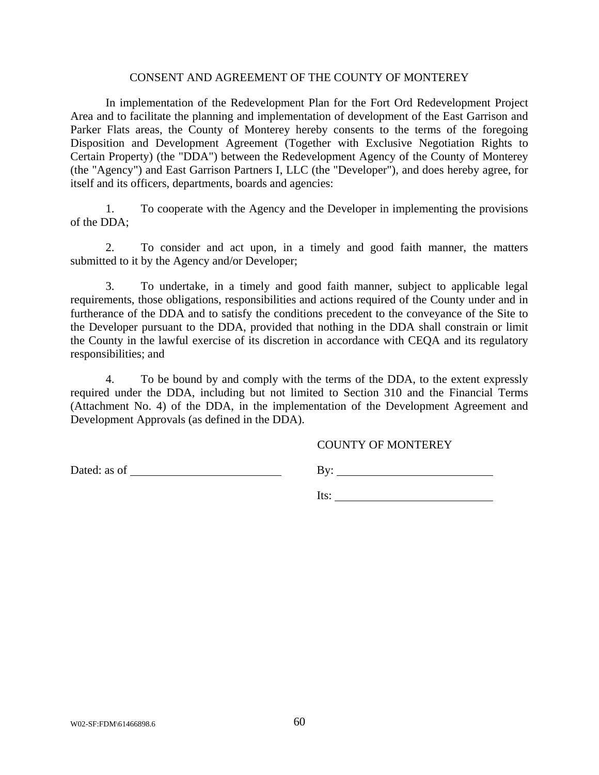#### CONSENT AND AGREEMENT OF THE COUNTY OF MONTEREY

In implementation of the Redevelopment Plan for the Fort Ord Redevelopment Project Area and to facilitate the planning and implementation of development of the East Garrison and Parker Flats areas, the County of Monterey hereby consents to the terms of the foregoing Disposition and Development Agreement (Together with Exclusive Negotiation Rights to Certain Property) (the "DDA") between the Redevelopment Agency of the County of Monterey (the "Agency") and East Garrison Partners I, LLC (the "Developer"), and does hereby agree, for itself and its officers, departments, boards and agencies:

1. To cooperate with the Agency and the Developer in implementing the provisions of the DDA;

2. To consider and act upon, in a timely and good faith manner, the matters submitted to it by the Agency and/or Developer;

3. To undertake, in a timely and good faith manner, subject to applicable legal requirements, those obligations, responsibilities and actions required of the County under and in furtherance of the DDA and to satisfy the conditions precedent to the conveyance of the Site to the Developer pursuant to the DDA, provided that nothing in the DDA shall constrain or limit the County in the lawful exercise of its discretion in accordance with CEQA and its regulatory responsibilities; and

4. To be bound by and comply with the terms of the DDA, to the extent expressly required under the DDA, including but not limited to Section 310 and the Financial Terms (Attachment No. 4) of the DDA, in the implementation of the Development Agreement and Development Approvals (as defined in the DDA).

#### COUNTY OF MONTEREY

Dated: as of By:

Its: